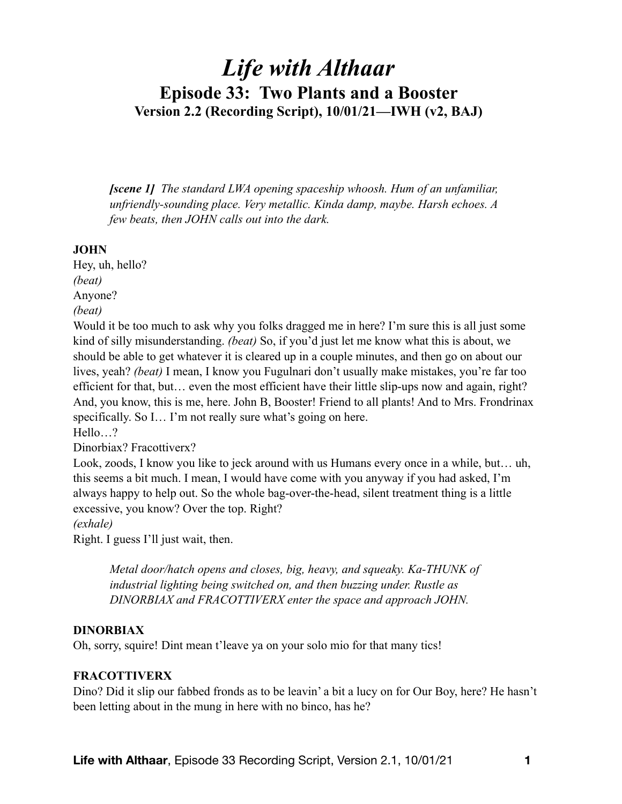# *Life with Althaar*  **Episode 33: Two Plants and a Booster Version 2.2 (Recording Script), 10/01/21—IWH (v2, BAJ)**

*[scene 1] The standard LWA opening spaceship whoosh. Hum of an unfamiliar, unfriendly-sounding place. Very metallic. Kinda damp, maybe. Harsh echoes. A few beats, then JOHN calls out into the dark.* 

#### **JOHN**

Hey, uh, hello? *(beat)*  Anyone? *(beat)*

Would it be too much to ask why you folks dragged me in here? I'm sure this is all just some kind of silly misunderstanding. *(beat)* So, if you'd just let me know what this is about, we should be able to get whatever it is cleared up in a couple minutes, and then go on about our lives, yeah? *(beat)* I mean, I know you Fugulnari don't usually make mistakes, you're far too efficient for that, but… even the most efficient have their little slip-ups now and again, right? And, you know, this is me, here. John B, Booster! Friend to all plants! And to Mrs. Frondrinax specifically. So I... I'm not really sure what's going on here.

Hello…?

Dinorbiax? Fracottiverx?

Look, zoods, I know you like to jeck around with us Humans every once in a while, but… uh, this seems a bit much. I mean, I would have come with you anyway if you had asked, I'm always happy to help out. So the whole bag-over-the-head, silent treatment thing is a little excessive, you know? Over the top. Right?

*(exhale)* 

Right. I guess I'll just wait, then.

*Metal door/hatch opens and closes, big, heavy, and squeaky. Ka-THUNK of industrial lighting being switched on, and then buzzing under. Rustle as DINORBIAX and FRACOTTIVERX enter the space and approach JOHN.* 

#### **DINORBIAX**

Oh, sorry, squire! Dint mean t'leave ya on your solo mio for that many tics!

#### **FRACOTTIVERX**

Dino? Did it slip our fabbed fronds as to be leavin' a bit a lucy on for Our Boy, here? He hasn't been letting about in the mung in here with no binco, has he?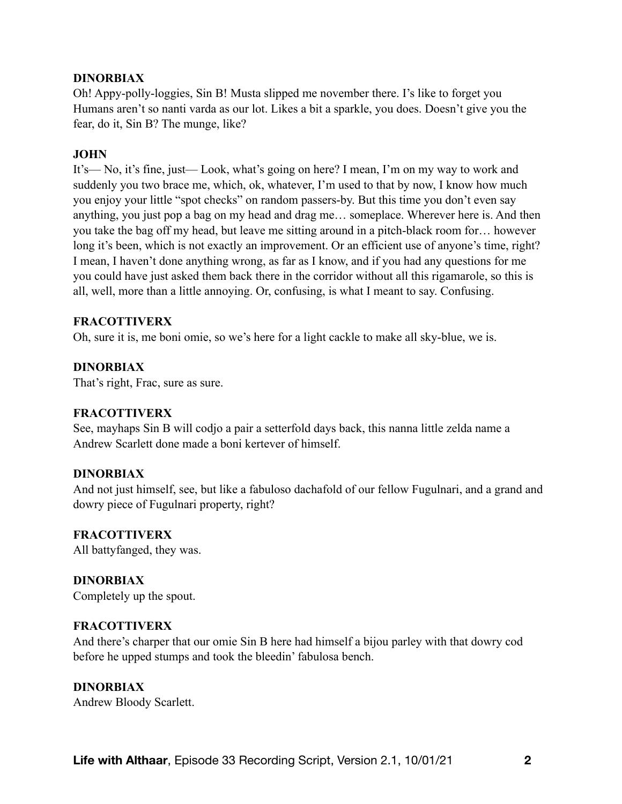### **DINORBIAX**

Oh! Appy-polly-loggies, Sin B! Musta slipped me november there. I's like to forget you Humans aren't so nanti varda as our lot. Likes a bit a sparkle, you does. Doesn't give you the fear, do it, Sin B? The munge, like?

#### **JOHN**

It's— No, it's fine, just— Look, what's going on here? I mean, I'm on my way to work and suddenly you two brace me, which, ok, whatever, I'm used to that by now, I know how much you enjoy your little "spot checks" on random passers-by. But this time you don't even say anything, you just pop a bag on my head and drag me… someplace. Wherever here is. And then you take the bag off my head, but leave me sitting around in a pitch-black room for… however long it's been, which is not exactly an improvement. Or an efficient use of anyone's time, right? I mean, I haven't done anything wrong, as far as I know, and if you had any questions for me you could have just asked them back there in the corridor without all this rigamarole, so this is all, well, more than a little annoying. Or, confusing, is what I meant to say. Confusing.

#### **FRACOTTIVERX**

Oh, sure it is, me boni omie, so we's here for a light cackle to make all sky-blue, we is.

#### **DINORBIAX**

That's right, Frac, sure as sure.

#### **FRACOTTIVERX**

See, mayhaps Sin B will codjo a pair a setterfold days back, this nanna little zelda name a Andrew Scarlett done made a boni kertever of himself.

#### **DINORBIAX**

And not just himself, see, but like a fabuloso dachafold of our fellow Fugulnari, and a grand and dowry piece of Fugulnari property, right?

#### **FRACOTTIVERX**

All battyfanged, they was.

#### **DINORBIAX**

Completely up the spout.

#### **FRACOTTIVERX**

And there's charper that our omie Sin B here had himself a bijou parley with that dowry cod before he upped stumps and took the bleedin' fabulosa bench.

#### **DINORBIAX**

Andrew Bloody Scarlett.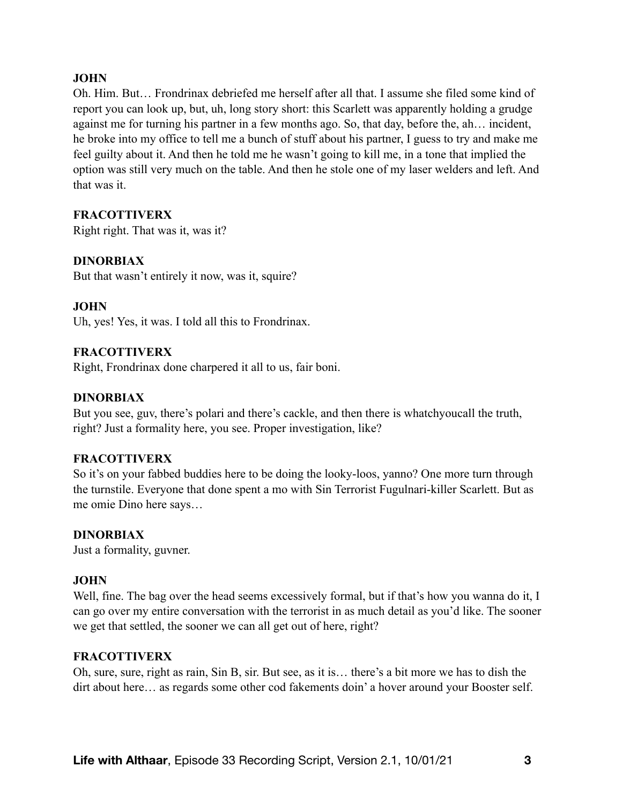### **JOHN**

Oh. Him. But… Frondrinax debriefed me herself after all that. I assume she filed some kind of report you can look up, but, uh, long story short: this Scarlett was apparently holding a grudge against me for turning his partner in a few months ago. So, that day, before the, ah… incident, he broke into my office to tell me a bunch of stuff about his partner, I guess to try and make me feel guilty about it. And then he told me he wasn't going to kill me, in a tone that implied the option was still very much on the table. And then he stole one of my laser welders and left. And that was it.

#### **FRACOTTIVERX**

Right right. That was it, was it?

#### **DINORBIAX**

But that wasn't entirely it now, was it, squire?

#### **JOHN**

Uh, yes! Yes, it was. I told all this to Frondrinax.

#### **FRACOTTIVERX**

Right, Frondrinax done charpered it all to us, fair boni.

### **DINORBIAX**

But you see, guv, there's polari and there's cackle, and then there is whatchyoucall the truth, right? Just a formality here, you see. Proper investigation, like?

#### **FRACOTTIVERX**

So it's on your fabbed buddies here to be doing the looky-loos, yanno? One more turn through the turnstile. Everyone that done spent a mo with Sin Terrorist Fugulnari-killer Scarlett. But as me omie Dino here says…

#### **DINORBIAX**

Just a formality, guvner.

#### **JOHN**

Well, fine. The bag over the head seems excessively formal, but if that's how you wanna do it, I can go over my entire conversation with the terrorist in as much detail as you'd like. The sooner we get that settled, the sooner we can all get out of here, right?

#### **FRACOTTIVERX**

Oh, sure, sure, right as rain, Sin B, sir. But see, as it is… there's a bit more we has to dish the dirt about here… as regards some other cod fakements doin' a hover around your Booster self.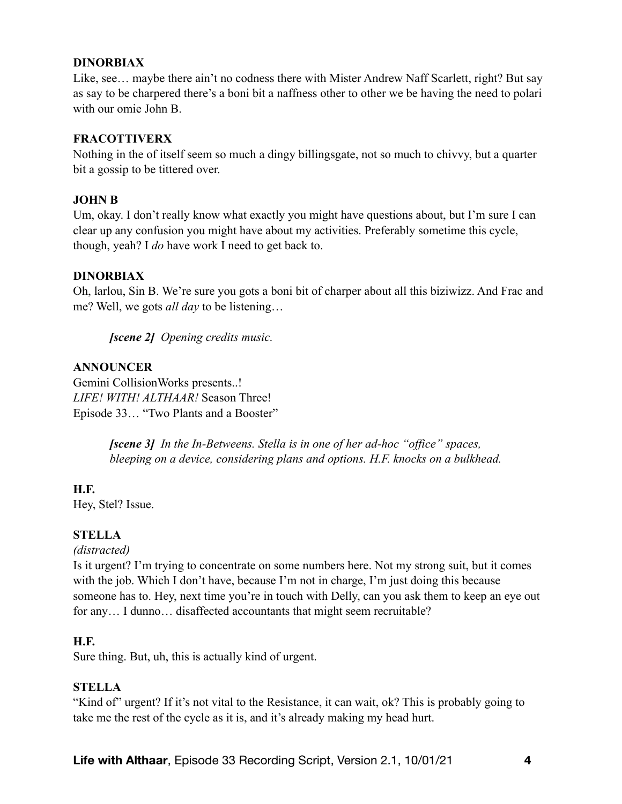# **DINORBIAX**

Like, see… maybe there ain't no codness there with Mister Andrew Naff Scarlett, right? But say as say to be charpered there's a boni bit a naffness other to other we be having the need to polari with our omie John B.

# **FRACOTTIVERX**

Nothing in the of itself seem so much a dingy billingsgate, not so much to chivvy, but a quarter bit a gossip to be tittered over.

# **JOHN B**

Um, okay. I don't really know what exactly you might have questions about, but I'm sure I can clear up any confusion you might have about my activities. Preferably sometime this cycle, though, yeah? I *do* have work I need to get back to.

# **DINORBIAX**

Oh, larlou, Sin B. We're sure you gots a boni bit of charper about all this biziwizz. And Frac and me? Well, we gots *all day* to be listening…

*[scene 2] Opening credits music.* 

# **ANNOUNCER**

Gemini CollisionWorks presents..! *LIFE! WITH! ALTHAAR!* Season Three! Episode 33… "Two Plants and a Booster"

> *[scene 3] In the In-Betweens. Stella is in one of her ad-hoc "office" spaces, bleeping on a device, considering plans and options. H.F. knocks on a bulkhead.*

# **H.F.**

Hey, Stel? Issue.

# **STELLA**

*(distracted)* 

Is it urgent? I'm trying to concentrate on some numbers here. Not my strong suit, but it comes with the job. Which I don't have, because I'm not in charge, I'm just doing this because someone has to. Hey, next time you're in touch with Delly, can you ask them to keep an eye out for any... I dunno... disaffected accountants that might seem recruitable?

# **H.F.**

Sure thing. But, uh, this is actually kind of urgent.

# **STELLA**

"Kind of" urgent? If it's not vital to the Resistance, it can wait, ok? This is probably going to take me the rest of the cycle as it is, and it's already making my head hurt.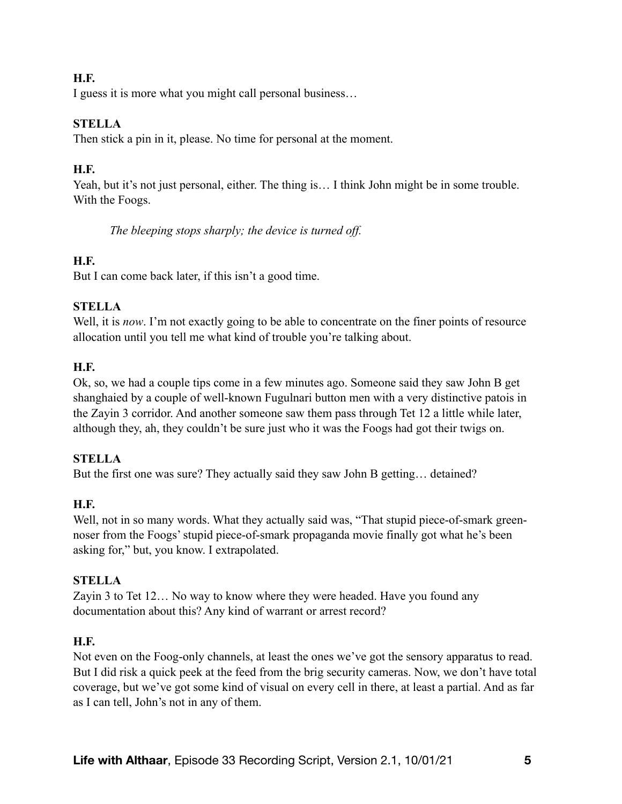# **H.F.**

I guess it is more what you might call personal business…

# **STELLA**

Then stick a pin in it, please. No time for personal at the moment.

# **H.F.**

Yeah, but it's not just personal, either. The thing is... I think John might be in some trouble. With the Foogs.

*The bleeping stops sharply; the device is turned off.* 

# **H.F.**

But I can come back later, if this isn't a good time.

# **STELLA**

Well, it is *now*. I'm not exactly going to be able to concentrate on the finer points of resource allocation until you tell me what kind of trouble you're talking about.

# **H.F.**

Ok, so, we had a couple tips come in a few minutes ago. Someone said they saw John B get shanghaied by a couple of well-known Fugulnari button men with a very distinctive patois in the Zayin 3 corridor. And another someone saw them pass through Tet 12 a little while later, although they, ah, they couldn't be sure just who it was the Foogs had got their twigs on.

# **STELLA**

But the first one was sure? They actually said they saw John B getting… detained?

# **H.F.**

Well, not in so many words. What they actually said was, "That stupid piece-of-smark greennoser from the Foogs' stupid piece-of-smark propaganda movie finally got what he's been asking for," but, you know. I extrapolated.

# **STELLA**

Zayin 3 to Tet 12… No way to know where they were headed. Have you found any documentation about this? Any kind of warrant or arrest record?

# **H.F.**

Not even on the Foog-only channels, at least the ones we've got the sensory apparatus to read. But I did risk a quick peek at the feed from the brig security cameras. Now, we don't have total coverage, but we've got some kind of visual on every cell in there, at least a partial. And as far as I can tell, John's not in any of them.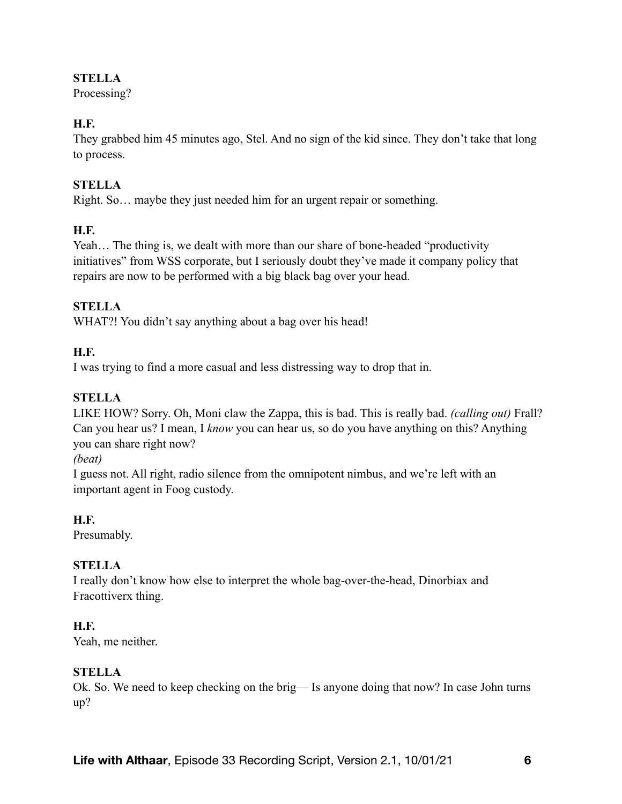Processing?

# **H.F.**

They grabbed him 45 minutes ago, Stel. And no sign of the kid since. They don't take that long to process.

# **STELLA**

Right. So… maybe they just needed him for an urgent repair or something.

# **H.F.**

Yeah... The thing is, we dealt with more than our share of bone-headed "productivity" initiatives" from WSS corporate, but I seriously doubt they've made it company policy that repairs are now to be performed with a big black bag over your head.

# **STELLA**

WHAT?! You didn't say anything about a bag over his head!

# **H.F.**

I was trying to find a more casual and less distressing way to drop that in.

# **STELLA**

LIKE HOW? Sorry. Oh, Moni claw the Zappa, this is bad. This is really bad. *(calling out)* Frall? Can you hear us? I mean, I *know* you can hear us, so do you have anything on this? Anything you can share right now?

*(beat)* 

I guess not. All right, radio silence from the omnipotent nimbus, and we're left with an important agent in Foog custody.

# **H.F.**

Presumably.

# **STELLA**

I really don't know how else to interpret the whole bag-over-the-head, Dinorbiax and Fracottiverx thing.

# **H.F.**

Yeah, me neither.

# **STELLA**

Ok. So. We need to keep checking on the brig— Is anyone doing that now? In case John turns up?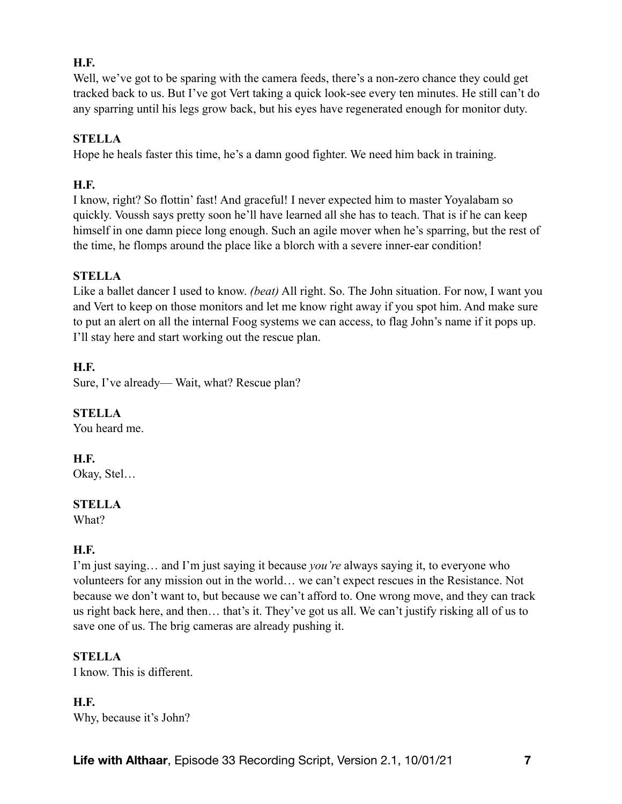# **H.F.**

Well, we've got to be sparing with the camera feeds, there's a non-zero chance they could get tracked back to us. But I've got Vert taking a quick look-see every ten minutes. He still can't do any sparring until his legs grow back, but his eyes have regenerated enough for monitor duty.

# **STELLA**

Hope he heals faster this time, he's a damn good fighter. We need him back in training.

# **H.F.**

I know, right? So flottin' fast! And graceful! I never expected him to master Yoyalabam so quickly. Voussh says pretty soon he'll have learned all she has to teach. That is if he can keep himself in one damn piece long enough. Such an agile mover when he's sparring, but the rest of the time, he flomps around the place like a blorch with a severe inner-ear condition!

# **STELLA**

Like a ballet dancer I used to know. *(beat)* All right. So. The John situation. For now, I want you and Vert to keep on those monitors and let me know right away if you spot him. And make sure to put an alert on all the internal Foog systems we can access, to flag John's name if it pops up. I'll stay here and start working out the rescue plan.

# **H.F.**

Sure, I've already— Wait, what? Rescue plan?

# **STELLA**

You heard me.

# **H.F.**

Okay, Stel…

# **STELLA**

What?

# **H.F.**

I'm just saying… and I'm just saying it because *you're* always saying it, to everyone who volunteers for any mission out in the world… we can't expect rescues in the Resistance. Not because we don't want to, but because we can't afford to. One wrong move, and they can track us right back here, and then… that's it. They've got us all. We can't justify risking all of us to save one of us. The brig cameras are already pushing it.

# **STELLA**

I know. This is different.

# **H.F.**

Why, because it's John?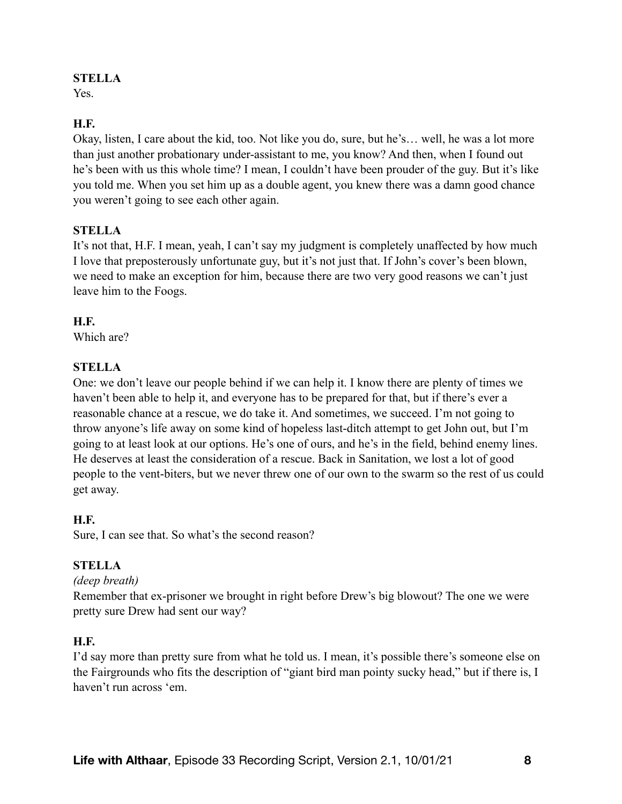Yes.

# **H.F.**

Okay, listen, I care about the kid, too. Not like you do, sure, but he's… well, he was a lot more than just another probationary under-assistant to me, you know? And then, when I found out he's been with us this whole time? I mean, I couldn't have been prouder of the guy. But it's like you told me. When you set him up as a double agent, you knew there was a damn good chance you weren't going to see each other again.

# **STELLA**

It's not that, H.F. I mean, yeah, I can't say my judgment is completely unaffected by how much I love that preposterously unfortunate guy, but it's not just that. If John's cover's been blown, we need to make an exception for him, because there are two very good reasons we can't just leave him to the Foogs.

# **H.F.**

Which are?

# **STELLA**

One: we don't leave our people behind if we can help it. I know there are plenty of times we haven't been able to help it, and everyone has to be prepared for that, but if there's ever a reasonable chance at a rescue, we do take it. And sometimes, we succeed. I'm not going to throw anyone's life away on some kind of hopeless last-ditch attempt to get John out, but I'm going to at least look at our options. He's one of ours, and he's in the field, behind enemy lines. He deserves at least the consideration of a rescue. Back in Sanitation, we lost a lot of good people to the vent-biters, but we never threw one of our own to the swarm so the rest of us could get away.

# **H.F.**

Sure, I can see that. So what's the second reason?

# **STELLA**

# *(deep breath)*

Remember that ex-prisoner we brought in right before Drew's big blowout? The one we were pretty sure Drew had sent our way?

# **H.F.**

I'd say more than pretty sure from what he told us. I mean, it's possible there's someone else on the Fairgrounds who fits the description of "giant bird man pointy sucky head," but if there is, I haven't run across 'em.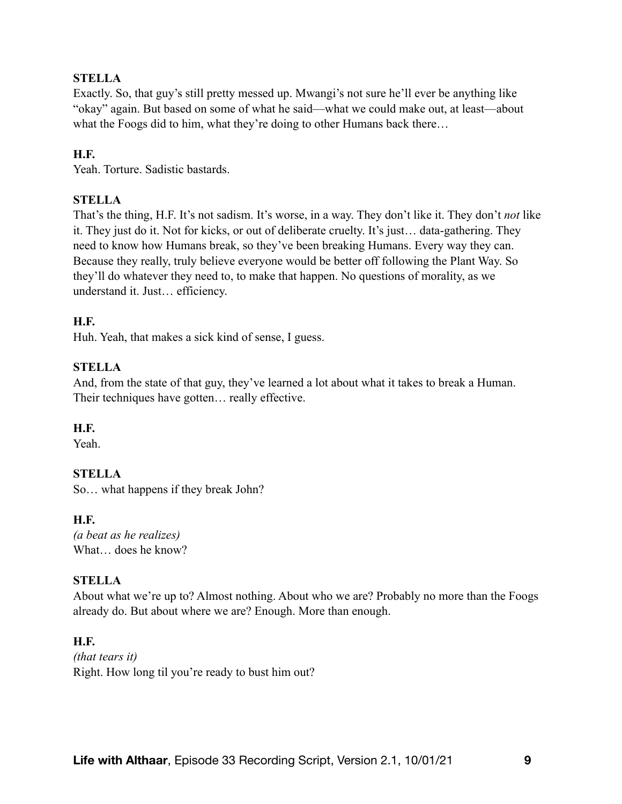Exactly. So, that guy's still pretty messed up. Mwangi's not sure he'll ever be anything like "okay" again. But based on some of what he said—what we could make out, at least—about what the Foogs did to him, what they're doing to other Humans back there...

### **H.F.**

Yeah. Torture. Sadistic bastards.

### **STELLA**

That's the thing, H.F. It's not sadism. It's worse, in a way. They don't like it. They don't *not* like it. They just do it. Not for kicks, or out of deliberate cruelty. It's just… data-gathering. They need to know how Humans break, so they've been breaking Humans. Every way they can. Because they really, truly believe everyone would be better off following the Plant Way. So they'll do whatever they need to, to make that happen. No questions of morality, as we understand it. Just… efficiency.

#### **H.F.**

Huh. Yeah, that makes a sick kind of sense, I guess.

#### **STELLA**

And, from the state of that guy, they've learned a lot about what it takes to break a Human. Their techniques have gotten… really effective.

#### **H.F.**

Yeah.

# **STELLA**

So… what happens if they break John?

# **H.F.**

*(a beat as he realizes)*  What does he know?

# **STELLA**

About what we're up to? Almost nothing. About who we are? Probably no more than the Foogs already do. But about where we are? Enough. More than enough.

#### **H.F.**

*(that tears it)*  Right. How long til you're ready to bust him out?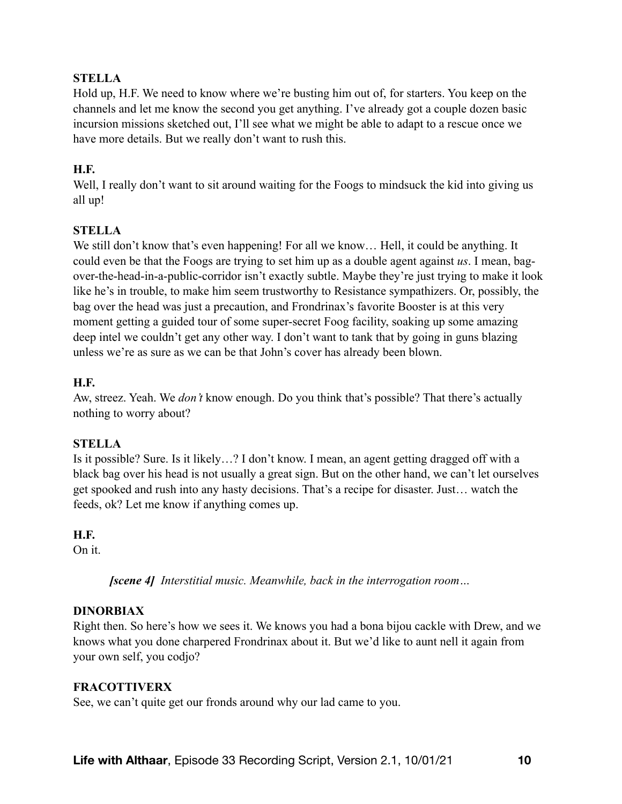Hold up, H.F. We need to know where we're busting him out of, for starters. You keep on the channels and let me know the second you get anything. I've already got a couple dozen basic incursion missions sketched out, I'll see what we might be able to adapt to a rescue once we have more details. But we really don't want to rush this.

# **H.F.**

Well, I really don't want to sit around waiting for the Foogs to mindsuck the kid into giving us all up!

# **STELLA**

We still don't know that's even happening! For all we know... Hell, it could be anything. It could even be that the Foogs are trying to set him up as a double agent against *us*. I mean, bagover-the-head-in-a-public-corridor isn't exactly subtle. Maybe they're just trying to make it look like he's in trouble, to make him seem trustworthy to Resistance sympathizers. Or, possibly, the bag over the head was just a precaution, and Frondrinax's favorite Booster is at this very moment getting a guided tour of some super-secret Foog facility, soaking up some amazing deep intel we couldn't get any other way. I don't want to tank that by going in guns blazing unless we're as sure as we can be that John's cover has already been blown.

# **H.F.**

Aw, streez. Yeah. We *don't* know enough. Do you think that's possible? That there's actually nothing to worry about?

# **STELLA**

Is it possible? Sure. Is it likely…? I don't know. I mean, an agent getting dragged off with a black bag over his head is not usually a great sign. But on the other hand, we can't let ourselves get spooked and rush into any hasty decisions. That's a recipe for disaster. Just… watch the feeds, ok? Let me know if anything comes up.

# **H.F.**

On it.

*[scene 4] Interstitial music. Meanwhile, back in the interrogation room…*

# **DINORBIAX**

Right then. So here's how we sees it. We knows you had a bona bijou cackle with Drew, and we knows what you done charpered Frondrinax about it. But we'd like to aunt nell it again from your own self, you codjo?

# **FRACOTTIVERX**

See, we can't quite get our fronds around why our lad came to you.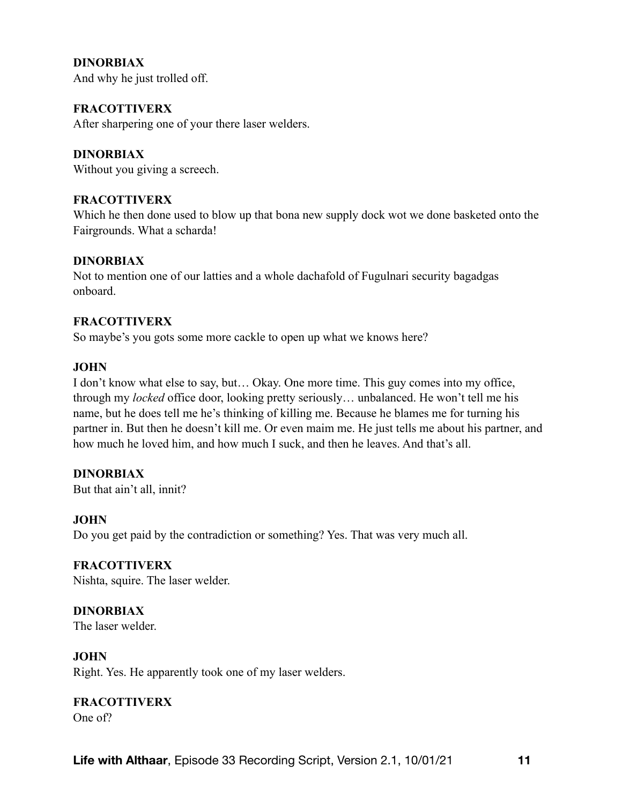# **DINORBIAX**

And why he just trolled off.

### **FRACOTTIVERX**

After sharpering one of your there laser welders.

### **DINORBIAX**

Without you giving a screech.

### **FRACOTTIVERX**

Which he then done used to blow up that bona new supply dock wot we done basketed onto the Fairgrounds. What a scharda!

#### **DINORBIAX**

Not to mention one of our latties and a whole dachafold of Fugulnari security bagadgas onboard.

### **FRACOTTIVERX**

So maybe's you gots some more cackle to open up what we knows here?

#### **JOHN**

I don't know what else to say, but… Okay. One more time. This guy comes into my office, through my *locked* office door, looking pretty seriously… unbalanced. He won't tell me his name, but he does tell me he's thinking of killing me. Because he blames me for turning his partner in. But then he doesn't kill me. Or even maim me. He just tells me about his partner, and how much he loved him, and how much I suck, and then he leaves. And that's all.

#### **DINORBIAX**

But that ain't all, innit?

#### **JOHN**

Do you get paid by the contradiction or something? Yes. That was very much all.

#### **FRACOTTIVERX**

Nishta, squire. The laser welder.

# **DINORBIAX**

The laser welder.

#### **JOHN**

Right. Yes. He apparently took one of my laser welders.

# **FRACOTTIVERX**

One of?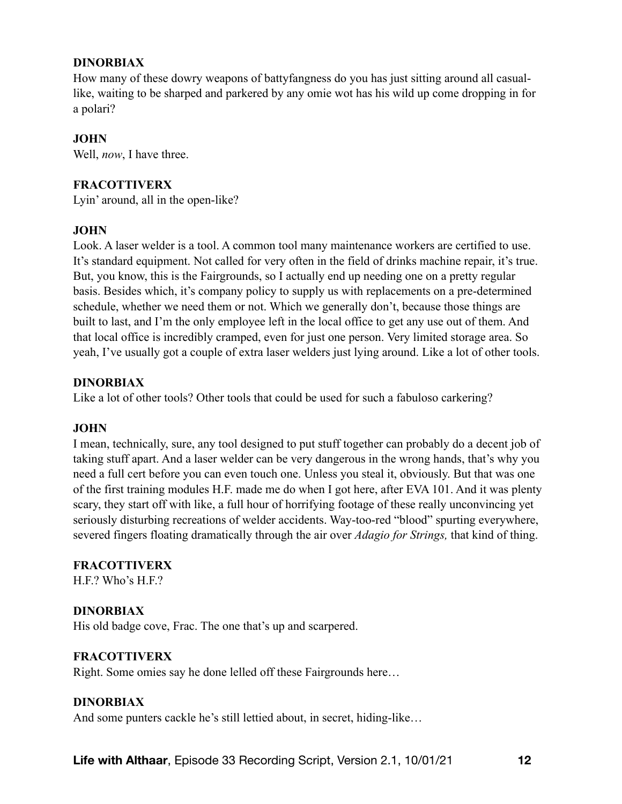# **DINORBIAX**

How many of these dowry weapons of battyfangness do you has just sitting around all casuallike, waiting to be sharped and parkered by any omie wot has his wild up come dropping in for a polari?

# **JOHN**

Well, *now*, I have three.

# **FRACOTTIVERX**

Lyin' around, all in the open-like?

# **JOHN**

Look. A laser welder is a tool. A common tool many maintenance workers are certified to use. It's standard equipment. Not called for very often in the field of drinks machine repair, it's true. But, you know, this is the Fairgrounds, so I actually end up needing one on a pretty regular basis. Besides which, it's company policy to supply us with replacements on a pre-determined schedule, whether we need them or not. Which we generally don't, because those things are built to last, and I'm the only employee left in the local office to get any use out of them. And that local office is incredibly cramped, even for just one person. Very limited storage area. So yeah, I've usually got a couple of extra laser welders just lying around. Like a lot of other tools.

# **DINORBIAX**

Like a lot of other tools? Other tools that could be used for such a fabuloso carkering?

# **JOHN**

I mean, technically, sure, any tool designed to put stuff together can probably do a decent job of taking stuff apart. And a laser welder can be very dangerous in the wrong hands, that's why you need a full cert before you can even touch one. Unless you steal it, obviously. But that was one of the first training modules H.F. made me do when I got here, after EVA 101. And it was plenty scary, they start off with like, a full hour of horrifying footage of these really unconvincing yet seriously disturbing recreations of welder accidents. Way-too-red "blood" spurting everywhere, severed fingers floating dramatically through the air over *Adagio for Strings,* that kind of thing.

# **FRACOTTIVERX**

H.F.? Who's H.F.?

# **DINORBIAX**

His old badge cove, Frac. The one that's up and scarpered.

# **FRACOTTIVERX**

Right. Some omies say he done lelled off these Fairgrounds here…

# **DINORBIAX**

And some punters cackle he's still lettied about, in secret, hiding-like…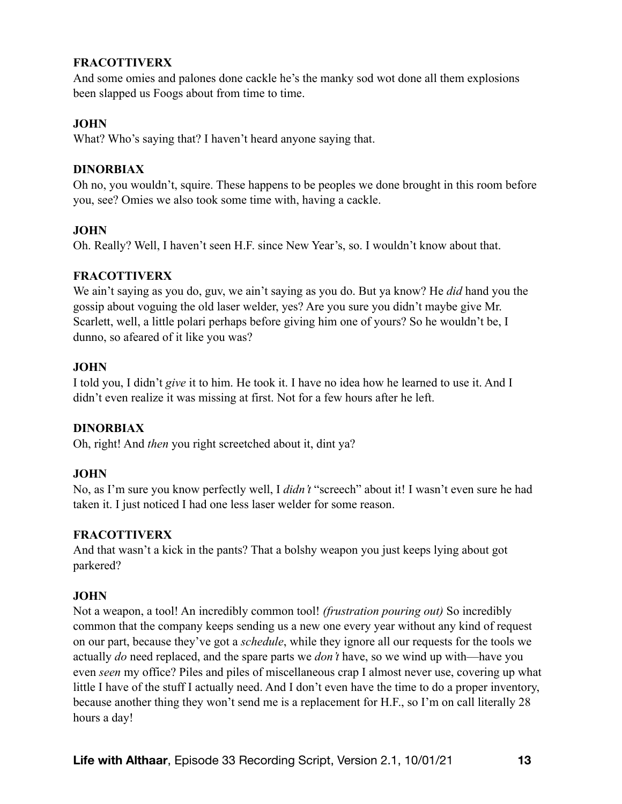# **FRACOTTIVERX**

And some omies and palones done cackle he's the manky sod wot done all them explosions been slapped us Foogs about from time to time.

# **JOHN**

What? Who's saying that? I haven't heard anyone saying that.

# **DINORBIAX**

Oh no, you wouldn't, squire. These happens to be peoples we done brought in this room before you, see? Omies we also took some time with, having a cackle.

# **JOHN**

Oh. Really? Well, I haven't seen H.F. since New Year's, so. I wouldn't know about that.

# **FRACOTTIVERX**

We ain't saying as you do, guv, we ain't saying as you do. But ya know? He *did* hand you the gossip about voguing the old laser welder, yes? Are you sure you didn't maybe give Mr. Scarlett, well, a little polari perhaps before giving him one of yours? So he wouldn't be, I dunno, so afeared of it like you was?

# **JOHN**

I told you, I didn't *give* it to him. He took it. I have no idea how he learned to use it. And I didn't even realize it was missing at first. Not for a few hours after he left.

# **DINORBIAX**

Oh, right! And *then* you right screetched about it, dint ya?

# **JOHN**

No, as I'm sure you know perfectly well, I *didn't* "screech" about it! I wasn't even sure he had taken it. I just noticed I had one less laser welder for some reason.

# **FRACOTTIVERX**

And that wasn't a kick in the pants? That a bolshy weapon you just keeps lying about got parkered?

# **JOHN**

Not a weapon, a tool! An incredibly common tool! *(frustration pouring out)* So incredibly common that the company keeps sending us a new one every year without any kind of request on our part, because they've got a *schedule*, while they ignore all our requests for the tools we actually *do* need replaced, and the spare parts we *don't* have, so we wind up with—have you even *seen* my office? Piles and piles of miscellaneous crap I almost never use, covering up what little I have of the stuff I actually need. And I don't even have the time to do a proper inventory, because another thing they won't send me is a replacement for H.F., so I'm on call literally 28 hours a day!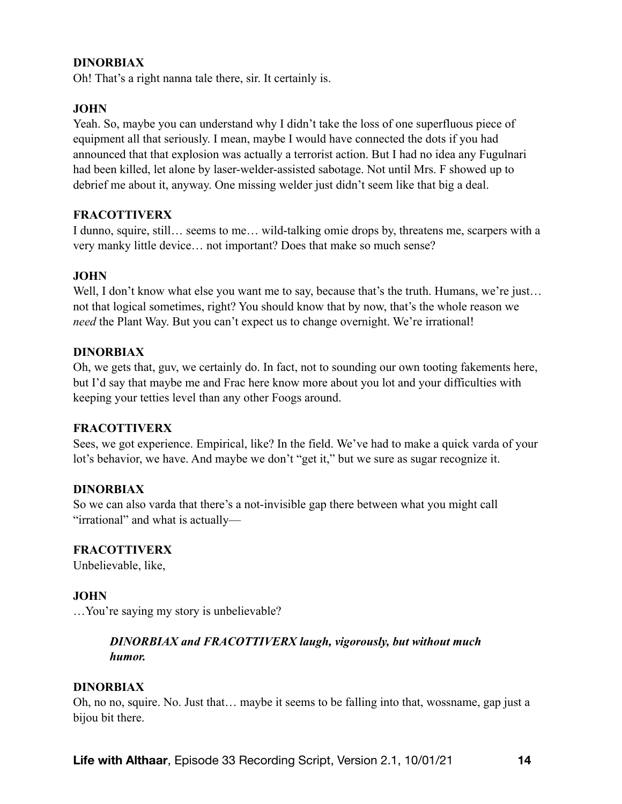# **DINORBIAX**

Oh! That's a right nanna tale there, sir. It certainly is.

# **JOHN**

Yeah. So, maybe you can understand why I didn't take the loss of one superfluous piece of equipment all that seriously. I mean, maybe I would have connected the dots if you had announced that that explosion was actually a terrorist action. But I had no idea any Fugulnari had been killed, let alone by laser-welder-assisted sabotage. Not until Mrs. F showed up to debrief me about it, anyway. One missing welder just didn't seem like that big a deal.

# **FRACOTTIVERX**

I dunno, squire, still… seems to me… wild-talking omie drops by, threatens me, scarpers with a very manky little device… not important? Does that make so much sense?

# **JOHN**

Well, I don't know what else you want me to say, because that's the truth. Humans, we're just... not that logical sometimes, right? You should know that by now, that's the whole reason we *need* the Plant Way. But you can't expect us to change overnight. We're irrational!

# **DINORBIAX**

Oh, we gets that, guv, we certainly do. In fact, not to sounding our own tooting fakements here, but I'd say that maybe me and Frac here know more about you lot and your difficulties with keeping your tetties level than any other Foogs around.

# **FRACOTTIVERX**

Sees, we got experience. Empirical, like? In the field. We've had to make a quick varda of your lot's behavior, we have. And maybe we don't "get it," but we sure as sugar recognize it.

# **DINORBIAX**

So we can also varda that there's a not-invisible gap there between what you might call "irrational" and what is actually—

# **FRACOTTIVERX**

Unbelievable, like,

# **JOHN**

…You're saying my story is unbelievable?

# *DINORBIAX and FRACOTTIVERX laugh, vigorously, but without much humor.*

# **DINORBIAX**

Oh, no no, squire. No. Just that… maybe it seems to be falling into that, wossname, gap just a bijou bit there.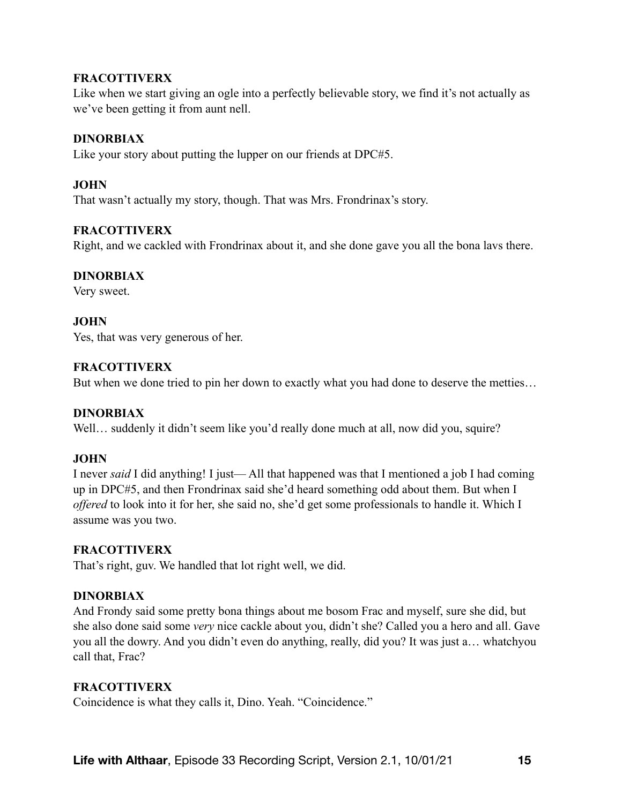### **FRACOTTIVERX**

Like when we start giving an ogle into a perfectly believable story, we find it's not actually as we've been getting it from aunt nell.

# **DINORBIAX**

Like your story about putting the lupper on our friends at DPC#5.

### **JOHN**

That wasn't actually my story, though. That was Mrs. Frondrinax's story.

#### **FRACOTTIVERX**

Right, and we cackled with Frondrinax about it, and she done gave you all the bona lavs there.

#### **DINORBIAX**

Very sweet.

#### **JOHN**

Yes, that was very generous of her.

#### **FRACOTTIVERX**

But when we done tried to pin her down to exactly what you had done to deserve the metties…

#### **DINORBIAX**

Well... suddenly it didn't seem like you'd really done much at all, now did you, squire?

#### **JOHN**

I never *said* I did anything! I just— All that happened was that I mentioned a job I had coming up in DPC#5, and then Frondrinax said she'd heard something odd about them. But when I *offered* to look into it for her, she said no, she'd get some professionals to handle it. Which I assume was you two.

#### **FRACOTTIVERX**

That's right, guv. We handled that lot right well, we did.

#### **DINORBIAX**

And Frondy said some pretty bona things about me bosom Frac and myself, sure she did, but she also done said some *very* nice cackle about you, didn't she? Called you a hero and all. Gave you all the dowry. And you didn't even do anything, really, did you? It was just a… whatchyou call that, Frac?

#### **FRACOTTIVERX**

Coincidence is what they calls it, Dino. Yeah. "Coincidence."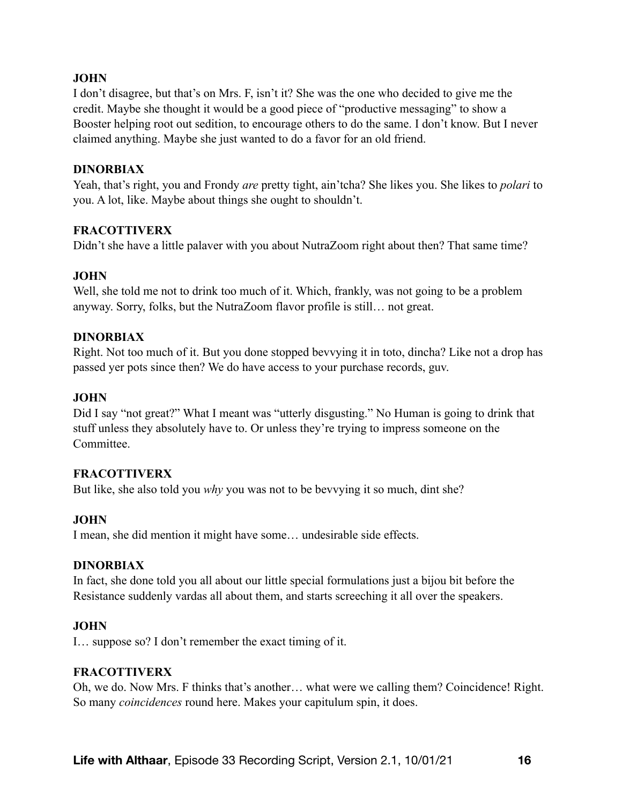# **JOHN**

I don't disagree, but that's on Mrs. F, isn't it? She was the one who decided to give me the credit. Maybe she thought it would be a good piece of "productive messaging" to show a Booster helping root out sedition, to encourage others to do the same. I don't know. But I never claimed anything. Maybe she just wanted to do a favor for an old friend.

# **DINORBIAX**

Yeah, that's right, you and Frondy *are* pretty tight, ain'tcha? She likes you. She likes to *polari* to you. A lot, like. Maybe about things she ought to shouldn't.

#### **FRACOTTIVERX**

Didn't she have a little palaver with you about NutraZoom right about then? That same time?

#### **JOHN**

Well, she told me not to drink too much of it. Which, frankly, was not going to be a problem anyway. Sorry, folks, but the NutraZoom flavor profile is still… not great.

#### **DINORBIAX**

Right. Not too much of it. But you done stopped bevvying it in toto, dincha? Like not a drop has passed yer pots since then? We do have access to your purchase records, guv.

# **JOHN**

Did I say "not great?" What I meant was "utterly disgusting." No Human is going to drink that stuff unless they absolutely have to. Or unless they're trying to impress someone on the **Committee** 

# **FRACOTTIVERX**

But like, she also told you *why* you was not to be bevvying it so much, dint she?

# **JOHN**

I mean, she did mention it might have some… undesirable side effects.

# **DINORBIAX**

In fact, she done told you all about our little special formulations just a bijou bit before the Resistance suddenly vardas all about them, and starts screeching it all over the speakers.

# **JOHN**

I… suppose so? I don't remember the exact timing of it.

# **FRACOTTIVERX**

Oh, we do. Now Mrs. F thinks that's another… what were we calling them? Coincidence! Right. So many *coincidences* round here. Makes your capitulum spin, it does.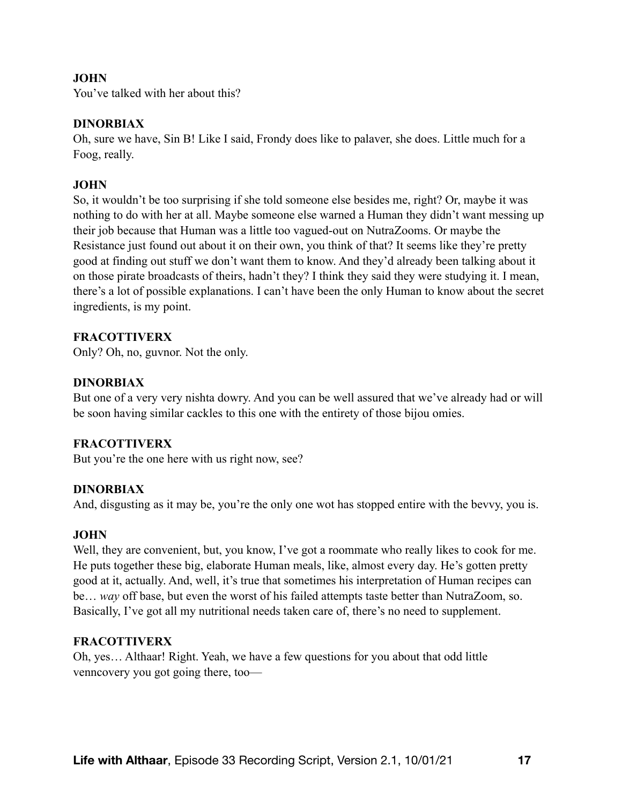# **JOHN**

You've talked with her about this?

# **DINORBIAX**

Oh, sure we have, Sin B! Like I said, Frondy does like to palaver, she does. Little much for a Foog, really.

# **JOHN**

So, it wouldn't be too surprising if she told someone else besides me, right? Or, maybe it was nothing to do with her at all. Maybe someone else warned a Human they didn't want messing up their job because that Human was a little too vagued-out on NutraZooms. Or maybe the Resistance just found out about it on their own, you think of that? It seems like they're pretty good at finding out stuff we don't want them to know. And they'd already been talking about it on those pirate broadcasts of theirs, hadn't they? I think they said they were studying it. I mean, there's a lot of possible explanations. I can't have been the only Human to know about the secret ingredients, is my point.

# **FRACOTTIVERX**

Only? Oh, no, guvnor. Not the only.

# **DINORBIAX**

But one of a very very nishta dowry. And you can be well assured that we've already had or will be soon having similar cackles to this one with the entirety of those bijou omies.

# **FRACOTTIVERX**

But you're the one here with us right now, see?

# **DINORBIAX**

And, disgusting as it may be, you're the only one wot has stopped entire with the bevvy, you is.

# **JOHN**

Well, they are convenient, but, you know, I've got a roommate who really likes to cook for me. He puts together these big, elaborate Human meals, like, almost every day. He's gotten pretty good at it, actually. And, well, it's true that sometimes his interpretation of Human recipes can be… *way* off base, but even the worst of his failed attempts taste better than NutraZoom, so. Basically, I've got all my nutritional needs taken care of, there's no need to supplement.

# **FRACOTTIVERX**

Oh, yes… Althaar! Right. Yeah, we have a few questions for you about that odd little venncovery you got going there, too—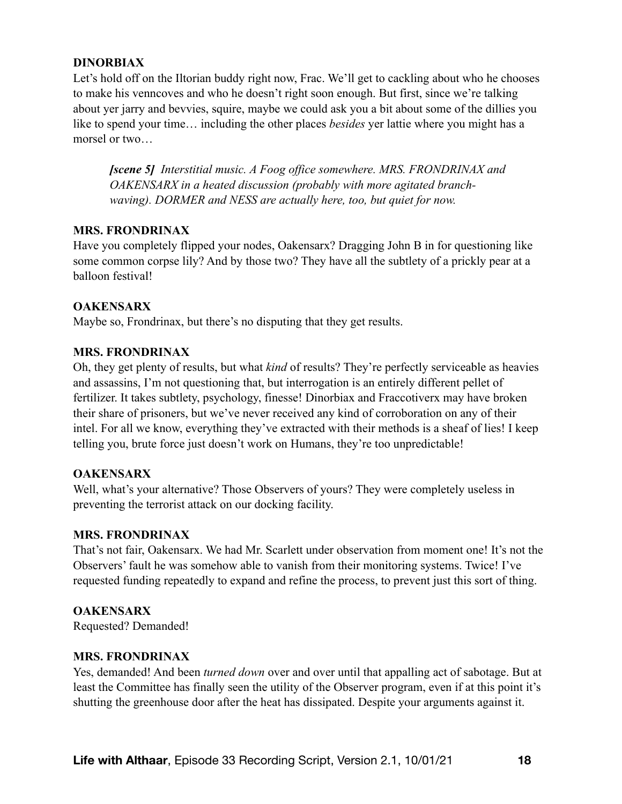# **DINORBIAX**

Let's hold off on the Iltorian buddy right now, Frac. We'll get to cackling about who he chooses to make his venncoves and who he doesn't right soon enough. But first, since we're talking about yer jarry and bevvies, squire, maybe we could ask you a bit about some of the dillies you like to spend your time… including the other places *besides* yer lattie where you might has a morsel or two…

*[scene 5] Interstitial music. A Foog office somewhere. MRS. FRONDRINAX and OAKENSARX in a heated discussion (probably with more agitated branchwaving). DORMER and NESS are actually here, too, but quiet for now.* 

# **MRS. FRONDRINAX**

Have you completely flipped your nodes, Oakensarx? Dragging John B in for questioning like some common corpse lily? And by those two? They have all the subtlety of a prickly pear at a balloon festival!

# **OAKENSARX**

Maybe so, Frondrinax, but there's no disputing that they get results.

# **MRS. FRONDRINAX**

Oh, they get plenty of results, but what *kind* of results? They're perfectly serviceable as heavies and assassins, I'm not questioning that, but interrogation is an entirely different pellet of fertilizer. It takes subtlety, psychology, finesse! Dinorbiax and Fraccotiverx may have broken their share of prisoners, but we've never received any kind of corroboration on any of their intel. For all we know, everything they've extracted with their methods is a sheaf of lies! I keep telling you, brute force just doesn't work on Humans, they're too unpredictable!

# **OAKENSARX**

Well, what's your alternative? Those Observers of yours? They were completely useless in preventing the terrorist attack on our docking facility.

# **MRS. FRONDRINAX**

That's not fair, Oakensarx. We had Mr. Scarlett under observation from moment one! It's not the Observers' fault he was somehow able to vanish from their monitoring systems. Twice! I've requested funding repeatedly to expand and refine the process, to prevent just this sort of thing.

# **OAKENSARX**

Requested? Demanded!

# **MRS. FRONDRINAX**

Yes, demanded! And been *turned down* over and over until that appalling act of sabotage. But at least the Committee has finally seen the utility of the Observer program, even if at this point it's shutting the greenhouse door after the heat has dissipated. Despite your arguments against it.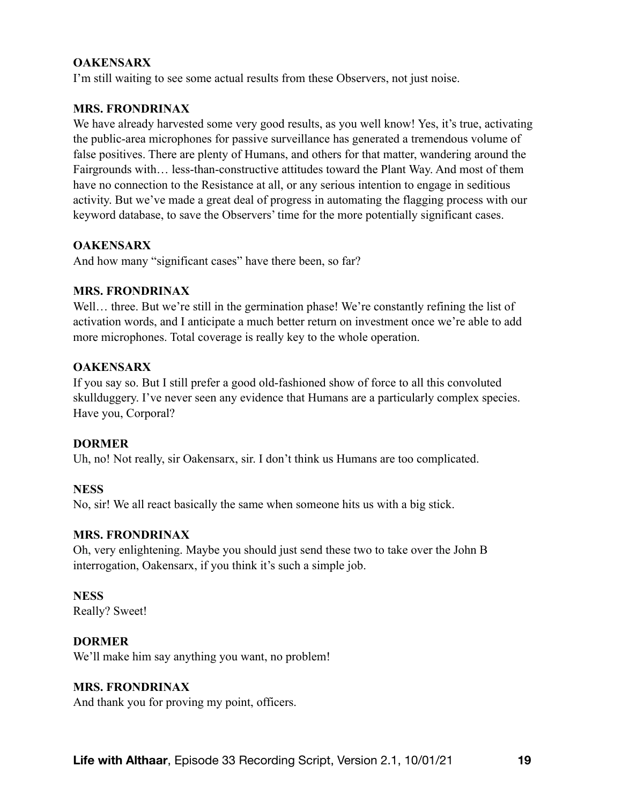# **OAKENSARX**

I'm still waiting to see some actual results from these Observers, not just noise.

### **MRS. FRONDRINAX**

We have already harvested some very good results, as you well know! Yes, it's true, activating the public-area microphones for passive surveillance has generated a tremendous volume of false positives. There are plenty of Humans, and others for that matter, wandering around the Fairgrounds with… less-than-constructive attitudes toward the Plant Way. And most of them have no connection to the Resistance at all, or any serious intention to engage in seditious activity. But we've made a great deal of progress in automating the flagging process with our keyword database, to save the Observers' time for the more potentially significant cases.

#### **OAKENSARX**

And how many "significant cases" have there been, so far?

# **MRS. FRONDRINAX**

Well... three. But we're still in the germination phase! We're constantly refining the list of activation words, and I anticipate a much better return on investment once we're able to add more microphones. Total coverage is really key to the whole operation.

#### **OAKENSARX**

If you say so. But I still prefer a good old-fashioned show of force to all this convoluted skullduggery. I've never seen any evidence that Humans are a particularly complex species. Have you, Corporal?

#### **DORMER**

Uh, no! Not really, sir Oakensarx, sir. I don't think us Humans are too complicated.

#### **NESS**

No, sir! We all react basically the same when someone hits us with a big stick.

#### **MRS. FRONDRINAX**

Oh, very enlightening. Maybe you should just send these two to take over the John B interrogation, Oakensarx, if you think it's such a simple job.

#### **NESS**

Really? Sweet!

#### **DORMER**

We'll make him say anything you want, no problem!

# **MRS. FRONDRINAX**

And thank you for proving my point, officers.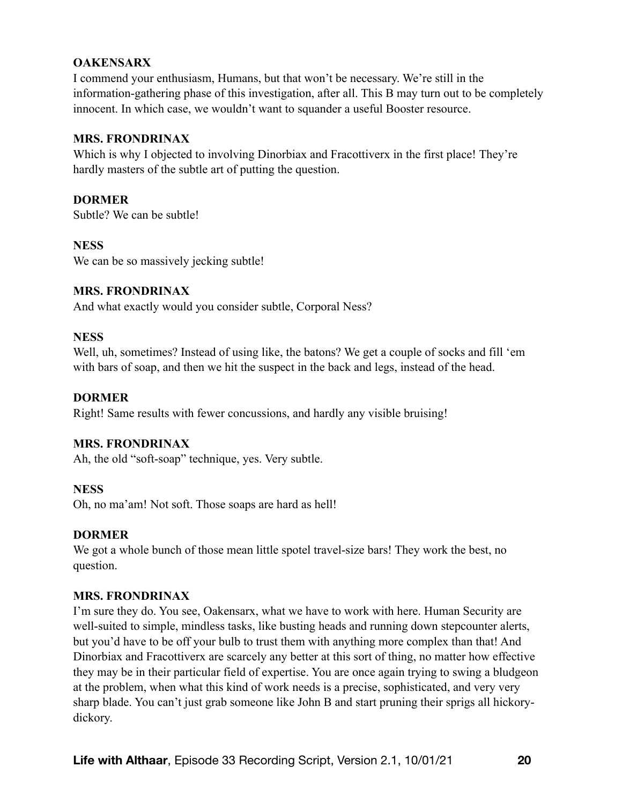# **OAKENSARX**

I commend your enthusiasm, Humans, but that won't be necessary. We're still in the information-gathering phase of this investigation, after all. This B may turn out to be completely innocent. In which case, we wouldn't want to squander a useful Booster resource.

### **MRS. FRONDRINAX**

Which is why I objected to involving Dinorbiax and Fracottiverx in the first place! They're hardly masters of the subtle art of putting the question.

### **DORMER**

Subtle? We can be subtle!

# **NESS**

We can be so massively jecking subtle!

#### **MRS. FRONDRINAX**

And what exactly would you consider subtle, Corporal Ness?

#### **NESS**

Well, uh, sometimes? Instead of using like, the batons? We get a couple of socks and fill 'em with bars of soap, and then we hit the suspect in the back and legs, instead of the head.

# **DORMER**

Right! Same results with fewer concussions, and hardly any visible bruising!

# **MRS. FRONDRINAX**

Ah, the old "soft-soap" technique, yes. Very subtle.

# **NESS**

Oh, no ma'am! Not soft. Those soaps are hard as hell!

# **DORMER**

We got a whole bunch of those mean little spotel travel-size bars! They work the best, no question.

# **MRS. FRONDRINAX**

I'm sure they do. You see, Oakensarx, what we have to work with here. Human Security are well-suited to simple, mindless tasks, like busting heads and running down stepcounter alerts, but you'd have to be off your bulb to trust them with anything more complex than that! And Dinorbiax and Fracottiverx are scarcely any better at this sort of thing, no matter how effective they may be in their particular field of expertise. You are once again trying to swing a bludgeon at the problem, when what this kind of work needs is a precise, sophisticated, and very very sharp blade. You can't just grab someone like John B and start pruning their sprigs all hickorydickory.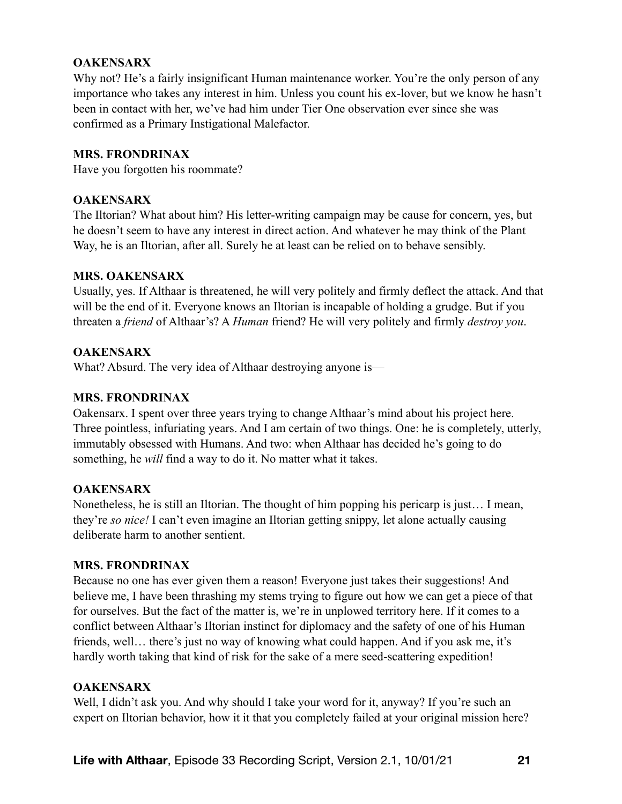# **OAKENSARX**

Why not? He's a fairly insignificant Human maintenance worker. You're the only person of any importance who takes any interest in him. Unless you count his ex-lover, but we know he hasn't been in contact with her, we've had him under Tier One observation ever since she was confirmed as a Primary Instigational Malefactor.

### **MRS. FRONDRINAX**

Have you forgotten his roommate?

# **OAKENSARX**

The Iltorian? What about him? His letter-writing campaign may be cause for concern, yes, but he doesn't seem to have any interest in direct action. And whatever he may think of the Plant Way, he is an Iltorian, after all. Surely he at least can be relied on to behave sensibly.

#### **MRS. OAKENSARX**

Usually, yes. If Althaar is threatened, he will very politely and firmly deflect the attack. And that will be the end of it. Everyone knows an Iltorian is incapable of holding a grudge. But if you threaten a *friend* of Althaar's? A *Human* friend? He will very politely and firmly *destroy you*.

# **OAKENSARX**

What? Absurd. The very idea of Althaar destroying anyone is—

### **MRS. FRONDRINAX**

Oakensarx. I spent over three years trying to change Althaar's mind about his project here. Three pointless, infuriating years. And I am certain of two things. One: he is completely, utterly, immutably obsessed with Humans. And two: when Althaar has decided he's going to do something, he *will* find a way to do it. No matter what it takes.

# **OAKENSARX**

Nonetheless, he is still an Iltorian. The thought of him popping his pericarp is just… I mean, they're *so nice!* I can't even imagine an Iltorian getting snippy, let alone actually causing deliberate harm to another sentient.

# **MRS. FRONDRINAX**

Because no one has ever given them a reason! Everyone just takes their suggestions! And believe me, I have been thrashing my stems trying to figure out how we can get a piece of that for ourselves. But the fact of the matter is, we're in unplowed territory here. If it comes to a conflict between Althaar's Iltorian instinct for diplomacy and the safety of one of his Human friends, well… there's just no way of knowing what could happen. And if you ask me, it's hardly worth taking that kind of risk for the sake of a mere seed-scattering expedition!

#### **OAKENSARX**

Well, I didn't ask you. And why should I take your word for it, anyway? If you're such an expert on Iltorian behavior, how it it that you completely failed at your original mission here?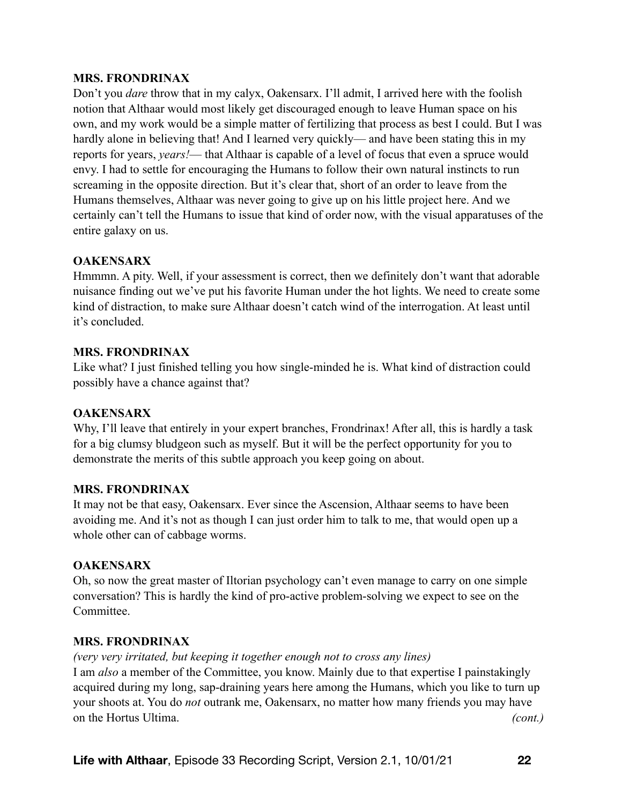### **MRS. FRONDRINAX**

Don't you *dare* throw that in my calyx, Oakensarx. I'll admit, I arrived here with the foolish notion that Althaar would most likely get discouraged enough to leave Human space on his own, and my work would be a simple matter of fertilizing that process as best I could. But I was hardly alone in believing that! And I learned very quickly— and have been stating this in my reports for years, *years!*— that Althaar is capable of a level of focus that even a spruce would envy. I had to settle for encouraging the Humans to follow their own natural instincts to run screaming in the opposite direction. But it's clear that, short of an order to leave from the Humans themselves, Althaar was never going to give up on his little project here. And we certainly can't tell the Humans to issue that kind of order now, with the visual apparatuses of the entire galaxy on us.

# **OAKENSARX**

Hmmmn. A pity. Well, if your assessment is correct, then we definitely don't want that adorable nuisance finding out we've put his favorite Human under the hot lights. We need to create some kind of distraction, to make sure Althaar doesn't catch wind of the interrogation. At least until it's concluded.

#### **MRS. FRONDRINAX**

Like what? I just finished telling you how single-minded he is. What kind of distraction could possibly have a chance against that?

#### **OAKENSARX**

Why, I'll leave that entirely in your expert branches, Frondrinax! After all, this is hardly a task for a big clumsy bludgeon such as myself. But it will be the perfect opportunity for you to demonstrate the merits of this subtle approach you keep going on about.

#### **MRS. FRONDRINAX**

It may not be that easy, Oakensarx. Ever since the Ascension, Althaar seems to have been avoiding me. And it's not as though I can just order him to talk to me, that would open up a whole other can of cabbage worms.

# **OAKENSARX**

Oh, so now the great master of Iltorian psychology can't even manage to carry on one simple conversation? This is hardly the kind of pro-active problem-solving we expect to see on the **Committee** 

#### **MRS. FRONDRINAX**

*(very very irritated, but keeping it together enough not to cross any lines)*  I am *also* a member of the Committee, you know. Mainly due to that expertise I painstakingly acquired during my long, sap-draining years here among the Humans, which you like to turn up your shoots at. You do *not* outrank me, Oakensarx, no matter how many friends you may have on the Hortus Ultima. *(cont.)*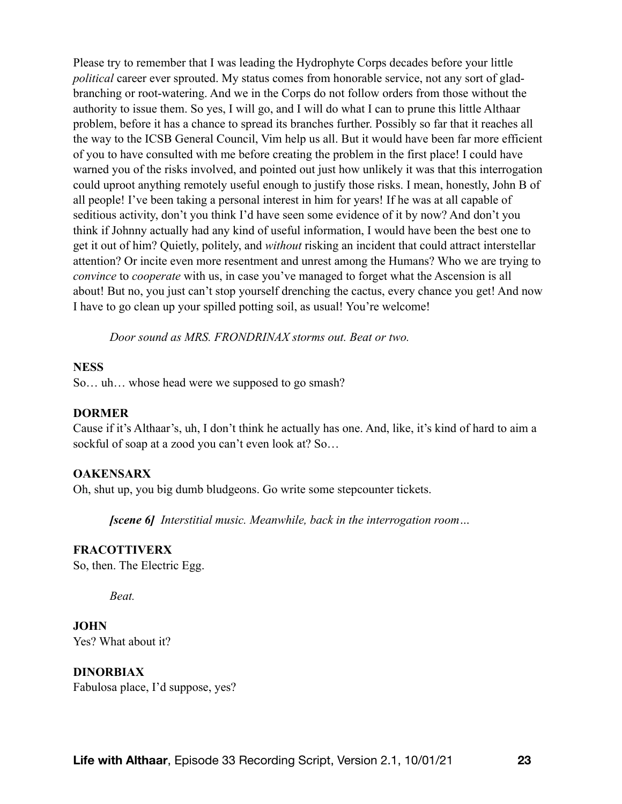Please try to remember that I was leading the Hydrophyte Corps decades before your little *political* career ever sprouted. My status comes from honorable service, not any sort of gladbranching or root-watering. And we in the Corps do not follow orders from those without the authority to issue them. So yes, I will go, and I will do what I can to prune this little Althaar problem, before it has a chance to spread its branches further. Possibly so far that it reaches all the way to the ICSB General Council, Vim help us all. But it would have been far more efficient of you to have consulted with me before creating the problem in the first place! I could have warned you of the risks involved, and pointed out just how unlikely it was that this interrogation could uproot anything remotely useful enough to justify those risks. I mean, honestly, John B of all people! I've been taking a personal interest in him for years! If he was at all capable of seditious activity, don't you think I'd have seen some evidence of it by now? And don't you think if Johnny actually had any kind of useful information, I would have been the best one to get it out of him? Quietly, politely, and *without* risking an incident that could attract interstellar attention? Or incite even more resentment and unrest among the Humans? Who we are trying to *convince* to *cooperate* with us, in case you've managed to forget what the Ascension is all about! But no, you just can't stop yourself drenching the cactus, every chance you get! And now I have to go clean up your spilled potting soil, as usual! You're welcome!

*Door sound as MRS. FRONDRINAX storms out. Beat or two.* 

#### **NESS**

So… uh… whose head were we supposed to go smash?

#### **DORMER**

Cause if it's Althaar's, uh, I don't think he actually has one. And, like, it's kind of hard to aim a sockful of soap at a zood you can't even look at? So...

#### **OAKENSARX**

Oh, shut up, you big dumb bludgeons. Go write some stepcounter tickets.

*[scene 6] Interstitial music. Meanwhile, back in the interrogation room…* 

# **FRACOTTIVERX**

So, then. The Electric Egg.

*Beat.* 

**JOHN**  Yes? What about it?

#### **DINORBIAX**

Fabulosa place, I'd suppose, yes?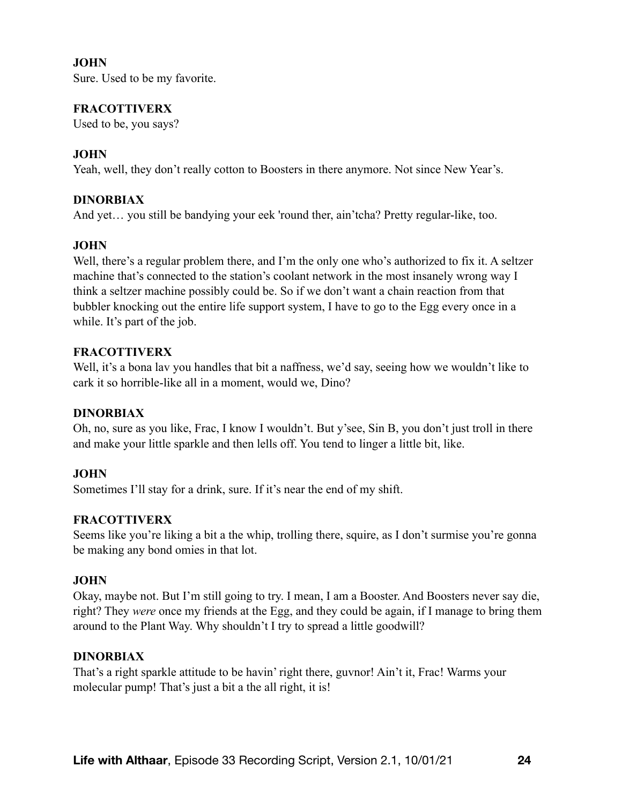# **JOHN**

Sure. Used to be my favorite.

# **FRACOTTIVERX**

Used to be, you says?

# **JOHN**

Yeah, well, they don't really cotton to Boosters in there anymore. Not since New Year's.

# **DINORBIAX**

And yet… you still be bandying your eek 'round ther, ain'tcha? Pretty regular-like, too.

# **JOHN**

Well, there's a regular problem there, and I'm the only one who's authorized to fix it. A seltzer machine that's connected to the station's coolant network in the most insanely wrong way I think a seltzer machine possibly could be. So if we don't want a chain reaction from that bubbler knocking out the entire life support system, I have to go to the Egg every once in a while. It's part of the job.

# **FRACOTTIVERX**

Well, it's a bona lav you handles that bit a naffness, we'd say, seeing how we wouldn't like to cark it so horrible-like all in a moment, would we, Dino?

# **DINORBIAX**

Oh, no, sure as you like, Frac, I know I wouldn't. But y'see, Sin B, you don't just troll in there and make your little sparkle and then lells off. You tend to linger a little bit, like.

# **JOHN**

Sometimes I'll stay for a drink, sure. If it's near the end of my shift.

# **FRACOTTIVERX**

Seems like you're liking a bit a the whip, trolling there, squire, as I don't surmise you're gonna be making any bond omies in that lot.

# **JOHN**

Okay, maybe not. But I'm still going to try. I mean, I am a Booster. And Boosters never say die, right? They *were* once my friends at the Egg, and they could be again, if I manage to bring them around to the Plant Way. Why shouldn't I try to spread a little goodwill?

# **DINORBIAX**

That's a right sparkle attitude to be havin' right there, guvnor! Ain't it, Frac! Warms your molecular pump! That's just a bit a the all right, it is!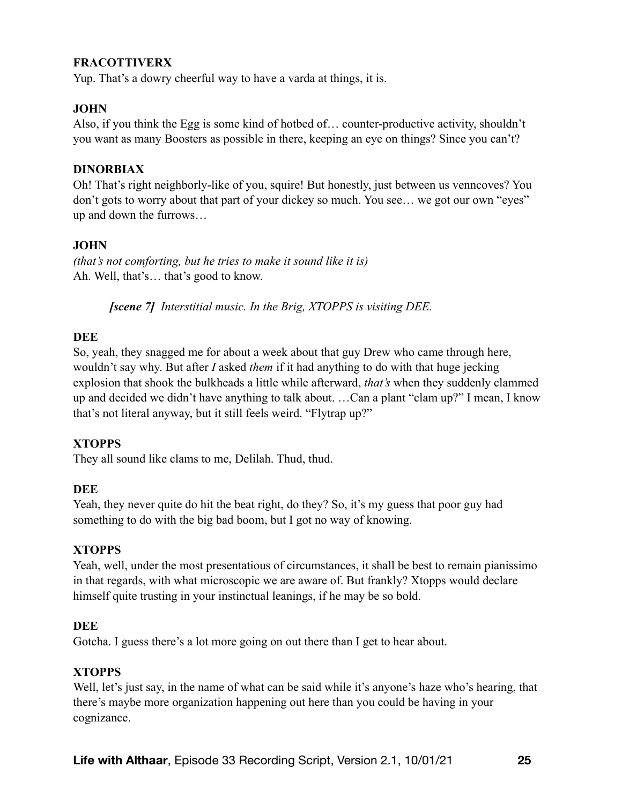# **FRACOTTIVERX**

Yup. That's a dowry cheerful way to have a varda at things, it is.

# **JOHN**

Also, if you think the Egg is some kind of hotbed of… counter-productive activity, shouldn't you want as many Boosters as possible in there, keeping an eye on things? Since you can't?

# **DINORBIAX**

Oh! That's right neighborly-like of you, squire! But honestly, just between us venncoves? You don't gots to worry about that part of your dickey so much. You see… we got our own "eyes" up and down the furrows…

# **JOHN**

*(that's not comforting, but he tries to make it sound like it is)*  Ah. Well, that's… that's good to know.

*[scene 7] Interstitial music. In the Brig, XTOPPS is visiting DEE.* 

# **DEE**

So, yeah, they snagged me for about a week about that guy Drew who came through here, wouldn't say why. But after *I* asked *them* if it had anything to do with that huge jecking explosion that shook the bulkheads a little while afterward, *that's* when they suddenly clammed up and decided we didn't have anything to talk about. …Can a plant "clam up?" I mean, I know that's not literal anyway, but it still feels weird. "Flytrap up?"

# **XTOPPS**

They all sound like clams to me, Delilah. Thud, thud.

# **DEE**

Yeah, they never quite do hit the beat right, do they? So, it's my guess that poor guy had something to do with the big bad boom, but I got no way of knowing.

# **XTOPPS**

Yeah, well, under the most presentatious of circumstances, it shall be best to remain pianissimo in that regards, with what microscopic we are aware of. But frankly? Xtopps would declare himself quite trusting in your instinctual leanings, if he may be so bold.

# **DEE**

Gotcha. I guess there's a lot more going on out there than I get to hear about.

# **XTOPPS**

Well, let's just say, in the name of what can be said while it's anyone's haze who's hearing, that there's maybe more organization happening out here than you could be having in your cognizance.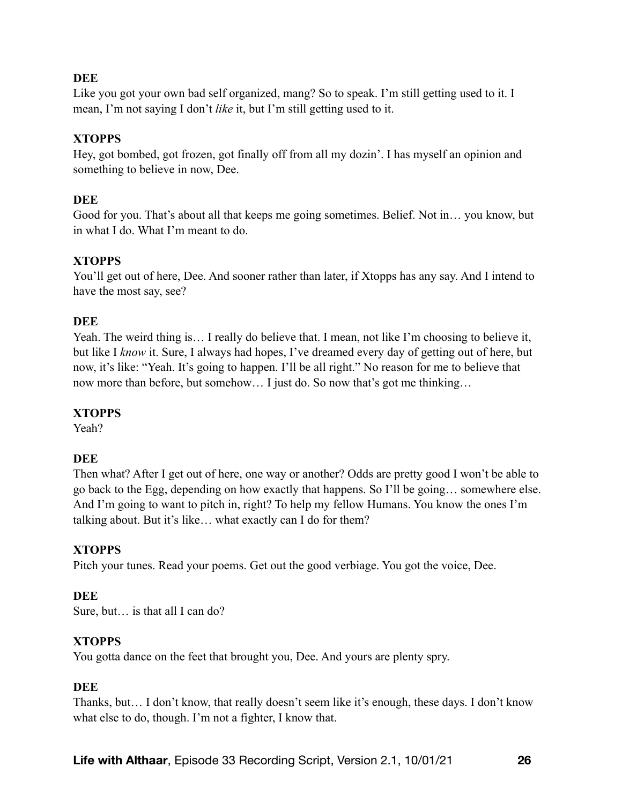# **DEE**

Like you got your own bad self organized, mang? So to speak. I'm still getting used to it. I mean, I'm not saying I don't *like* it, but I'm still getting used to it.

# **XTOPPS**

Hey, got bombed, got frozen, got finally off from all my dozin'. I has myself an opinion and something to believe in now, Dee.

# **DEE**

Good for you. That's about all that keeps me going sometimes. Belief. Not in… you know, but in what I do. What I'm meant to do.

# **XTOPPS**

You'll get out of here, Dee. And sooner rather than later, if Xtopps has any say. And I intend to have the most say, see?

# **DEE**

Yeah. The weird thing is… I really do believe that. I mean, not like I'm choosing to believe it, but like I *know* it. Sure, I always had hopes, I've dreamed every day of getting out of here, but now, it's like: "Yeah. It's going to happen. I'll be all right." No reason for me to believe that now more than before, but somehow… I just do. So now that's got me thinking…

# **XTOPPS**

Yeah?

# **DEE**

Then what? After I get out of here, one way or another? Odds are pretty good I won't be able to go back to the Egg, depending on how exactly that happens. So I'll be going… somewhere else. And I'm going to want to pitch in, right? To help my fellow Humans. You know the ones I'm talking about. But it's like… what exactly can I do for them?

# **XTOPPS**

Pitch your tunes. Read your poems. Get out the good verbiage. You got the voice, Dee.

# **DEE**

Sure, but… is that all I can do?

# **XTOPPS**

You gotta dance on the feet that brought you, Dee. And yours are plenty spry.

# **DEE**

Thanks, but… I don't know, that really doesn't seem like it's enough, these days. I don't know what else to do, though. I'm not a fighter, I know that.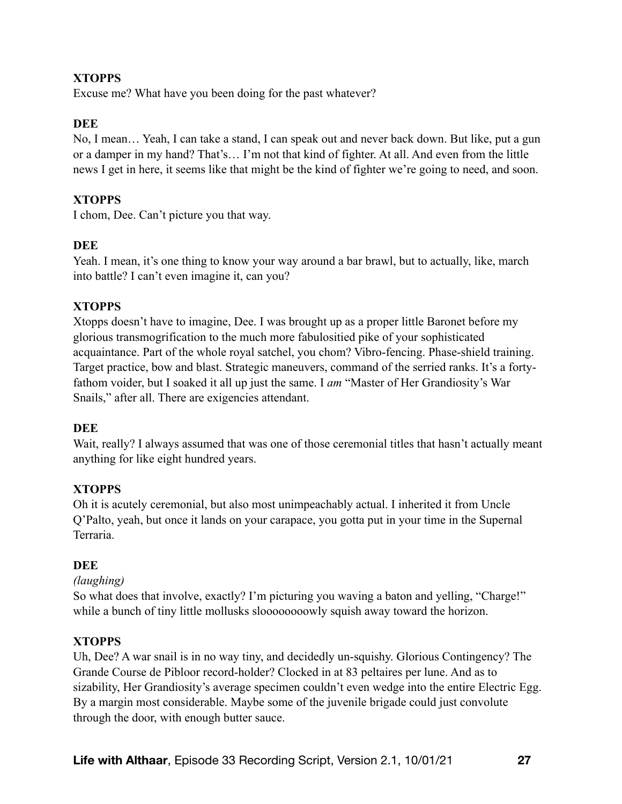# **XTOPPS**

Excuse me? What have you been doing for the past whatever?

# **DEE**

No, I mean… Yeah, I can take a stand, I can speak out and never back down. But like, put a gun or a damper in my hand? That's… I'm not that kind of fighter. At all. And even from the little news I get in here, it seems like that might be the kind of fighter we're going to need, and soon.

# **XTOPPS**

I chom, Dee. Can't picture you that way.

# **DEE**

Yeah. I mean, it's one thing to know your way around a bar brawl, but to actually, like, march into battle? I can't even imagine it, can you?

# **XTOPPS**

Xtopps doesn't have to imagine, Dee. I was brought up as a proper little Baronet before my glorious transmogrification to the much more fabulositied pike of your sophisticated acquaintance. Part of the whole royal satchel, you chom? Vibro-fencing. Phase-shield training. Target practice, bow and blast. Strategic maneuvers, command of the serried ranks. It's a fortyfathom voider, but I soaked it all up just the same. I *am* "Master of Her Grandiosity's War Snails," after all. There are exigencies attendant.

# **DEE**

Wait, really? I always assumed that was one of those ceremonial titles that hasn't actually meant anything for like eight hundred years.

# **XTOPPS**

Oh it is acutely ceremonial, but also most unimpeachably actual. I inherited it from Uncle Q'Palto, yeah, but once it lands on your carapace, you gotta put in your time in the Supernal Terraria.

# **DEE**

# *(laughing)*

So what does that involve, exactly? I'm picturing you waving a baton and yelling, "Charge!" while a bunch of tiny little mollusks sloooooooowly squish away toward the horizon.

# **XTOPPS**

Uh, Dee? A war snail is in no way tiny, and decidedly un-squishy. Glorious Contingency? The Grande Course de Pibloor record-holder? Clocked in at 83 peltaires per lune. And as to sizability, Her Grandiosity's average specimen couldn't even wedge into the entire Electric Egg. By a margin most considerable. Maybe some of the juvenile brigade could just convolute through the door, with enough butter sauce.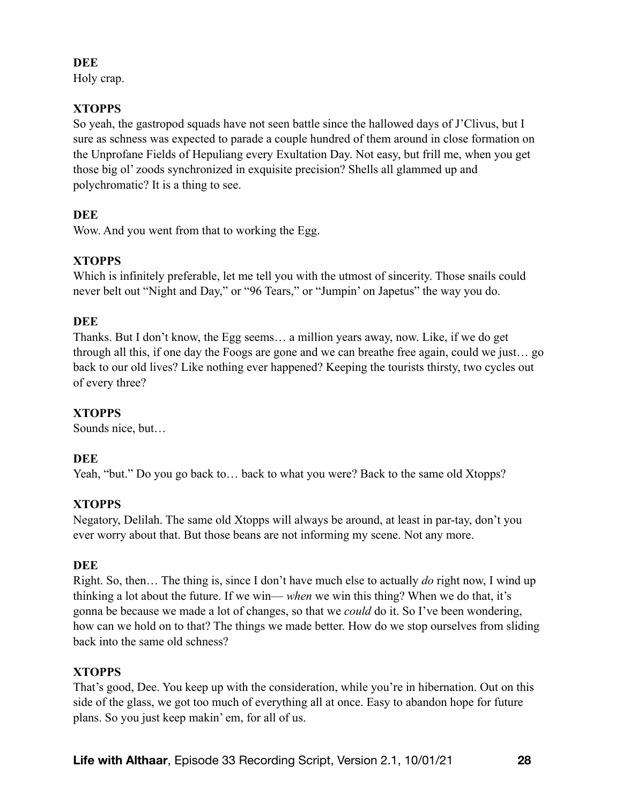# **DEE**

Holy crap.

# **XTOPPS**

So yeah, the gastropod squads have not seen battle since the hallowed days of J'Clivus, but I sure as schness was expected to parade a couple hundred of them around in close formation on the Unprofane Fields of Hepuliang every Exultation Day. Not easy, but frill me, when you get those big ol' zoods synchronized in exquisite precision? Shells all glammed up and polychromatic? It is a thing to see.

# **DEE**

Wow. And you went from that to working the Egg.

# **XTOPPS**

Which is infinitely preferable, let me tell you with the utmost of sincerity. Those snails could never belt out "Night and Day," or "96 Tears," or "Jumpin' on Japetus" the way you do.

# **DEE**

Thanks. But I don't know, the Egg seems… a million years away, now. Like, if we do get through all this, if one day the Foogs are gone and we can breathe free again, could we just… go back to our old lives? Like nothing ever happened? Keeping the tourists thirsty, two cycles out of every three?

# **XTOPPS**

Sounds nice, but…

# **DEE**

Yeah, "but." Do you go back to… back to what you were? Back to the same old Xtopps?

# **XTOPPS**

Negatory, Delilah. The same old Xtopps will always be around, at least in par-tay, don't you ever worry about that. But those beans are not informing my scene. Not any more.

# **DEE**

Right. So, then… The thing is, since I don't have much else to actually *do* right now, I wind up thinking a lot about the future. If we win— *when* we win this thing? When we do that, it's gonna be because we made a lot of changes, so that we *could* do it. So I've been wondering, how can we hold on to that? The things we made better. How do we stop ourselves from sliding back into the same old schness?

# **XTOPPS**

That's good, Dee. You keep up with the consideration, while you're in hibernation. Out on this side of the glass, we got too much of everything all at once. Easy to abandon hope for future plans. So you just keep makin' em, for all of us.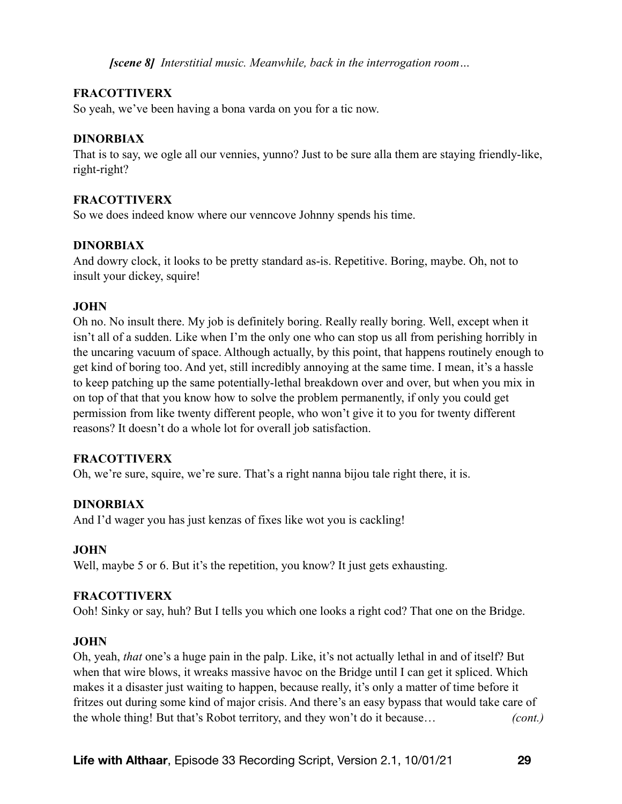*[scene 8] Interstitial music. Meanwhile, back in the interrogation room…* 

### **FRACOTTIVERX**

So yeah, we've been having a bona varda on you for a tic now.

#### **DINORBIAX**

That is to say, we ogle all our vennies, yunno? Just to be sure alla them are staying friendly-like, right-right?

#### **FRACOTTIVERX**

So we does indeed know where our venncove Johnny spends his time.

#### **DINORBIAX**

And dowry clock, it looks to be pretty standard as-is. Repetitive. Boring, maybe. Oh, not to insult your dickey, squire!

#### **JOHN**

Oh no. No insult there. My job is definitely boring. Really really boring. Well, except when it isn't all of a sudden. Like when I'm the only one who can stop us all from perishing horribly in the uncaring vacuum of space. Although actually, by this point, that happens routinely enough to get kind of boring too. And yet, still incredibly annoying at the same time. I mean, it's a hassle to keep patching up the same potentially-lethal breakdown over and over, but when you mix in on top of that that you know how to solve the problem permanently, if only you could get permission from like twenty different people, who won't give it to you for twenty different reasons? It doesn't do a whole lot for overall job satisfaction.

#### **FRACOTTIVERX**

Oh, we're sure, squire, we're sure. That's a right nanna bijou tale right there, it is.

# **DINORBIAX**

And I'd wager you has just kenzas of fixes like wot you is cackling!

#### **JOHN**

Well, maybe 5 or 6. But it's the repetition, you know? It just gets exhausting.

#### **FRACOTTIVERX**

Ooh! Sinky or say, huh? But I tells you which one looks a right cod? That one on the Bridge.

#### **JOHN**

Oh, yeah, *that* one's a huge pain in the palp. Like, it's not actually lethal in and of itself? But when that wire blows, it wreaks massive havoc on the Bridge until I can get it spliced. Which makes it a disaster just waiting to happen, because really, it's only a matter of time before it fritzes out during some kind of major crisis. And there's an easy bypass that would take care of the whole thing! But that's Robot territory, and they won't do it because… *(cont.)*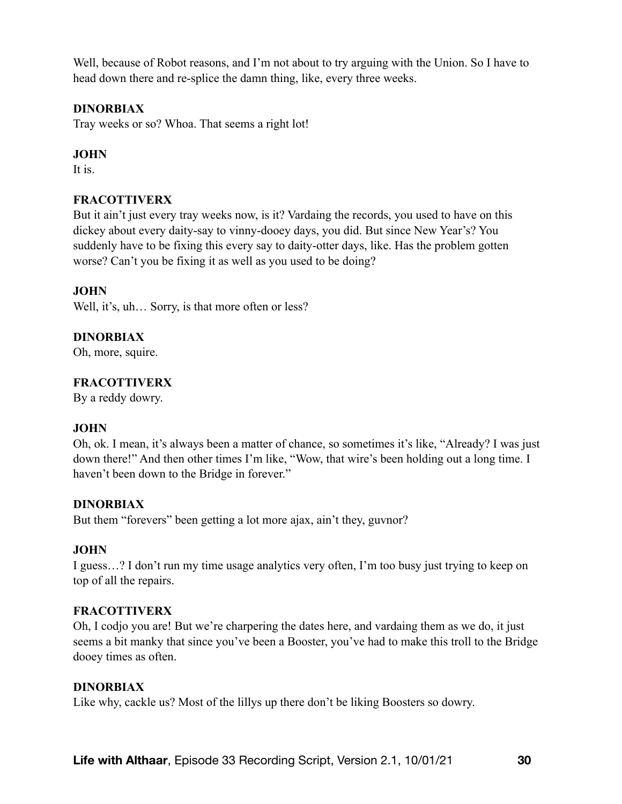Well, because of Robot reasons, and I'm not about to try arguing with the Union. So I have to head down there and re-splice the damn thing, like, every three weeks.

# **DINORBIAX**

Tray weeks or so? Whoa. That seems a right lot!

# **JOHN**

It is.

# **FRACOTTIVERX**

But it ain't just every tray weeks now, is it? Vardaing the records, you used to have on this dickey about every daity-say to vinny-dooey days, you did. But since New Year's? You suddenly have to be fixing this every say to daity-otter days, like. Has the problem gotten worse? Can't you be fixing it as well as you used to be doing?

# **JOHN**

Well, it's, uh... Sorry, is that more often or less?

# **DINORBIAX**

Oh, more, squire.

# **FRACOTTIVERX**

By a reddy dowry.

# **JOHN**

Oh, ok. I mean, it's always been a matter of chance, so sometimes it's like, "Already? I was just down there!" And then other times I'm like, "Wow, that wire's been holding out a long time. I haven't been down to the Bridge in forever."

# **DINORBIAX**

But them "forevers" been getting a lot more ajax, ain't they, guvnor?

# **JOHN**

I guess…? I don't run my time usage analytics very often, I'm too busy just trying to keep on top of all the repairs.

# **FRACOTTIVERX**

Oh, I codjo you are! But we're charpering the dates here, and vardaing them as we do, it just seems a bit manky that since you've been a Booster, you've had to make this troll to the Bridge dooey times as often.

# **DINORBIAX**

Like why, cackle us? Most of the lillys up there don't be liking Boosters so dowry.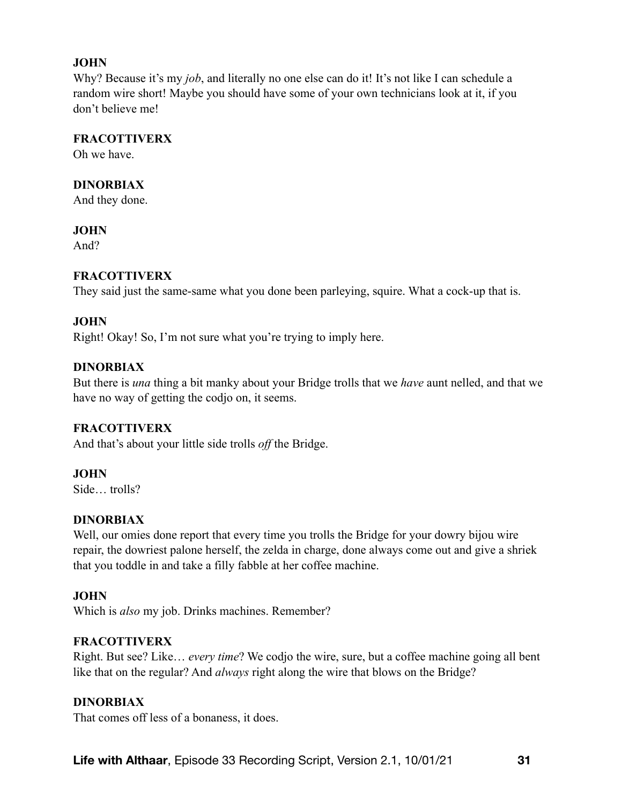# **JOHN**

Why? Because it's my *job*, and literally no one else can do it! It's not like I can schedule a random wire short! Maybe you should have some of your own technicians look at it, if you don't believe me!

#### **FRACOTTIVERX**

Oh we have.

# **DINORBIAX**

And they done.

# **JOHN**

And?

# **FRACOTTIVERX**

They said just the same-same what you done been parleying, squire. What a cock-up that is.

# **JOHN**

Right! Okay! So, I'm not sure what you're trying to imply here.

# **DINORBIAX**

But there is *una* thing a bit manky about your Bridge trolls that we *have* aunt nelled, and that we have no way of getting the codjo on, it seems.

# **FRACOTTIVERX**

And that's about your little side trolls *off* the Bridge.

# **JOHN**

Side… trolls?

# **DINORBIAX**

Well, our omies done report that every time you trolls the Bridge for your dowry bijou wire repair, the dowriest palone herself, the zelda in charge, done always come out and give a shriek that you toddle in and take a filly fabble at her coffee machine.

# **JOHN**

Which is *also* my job. Drinks machines. Remember?

# **FRACOTTIVERX**

Right. But see? Like… *every time*? We codjo the wire, sure, but a coffee machine going all bent like that on the regular? And *always* right along the wire that blows on the Bridge?

# **DINORBIAX**

That comes off less of a bonaness, it does.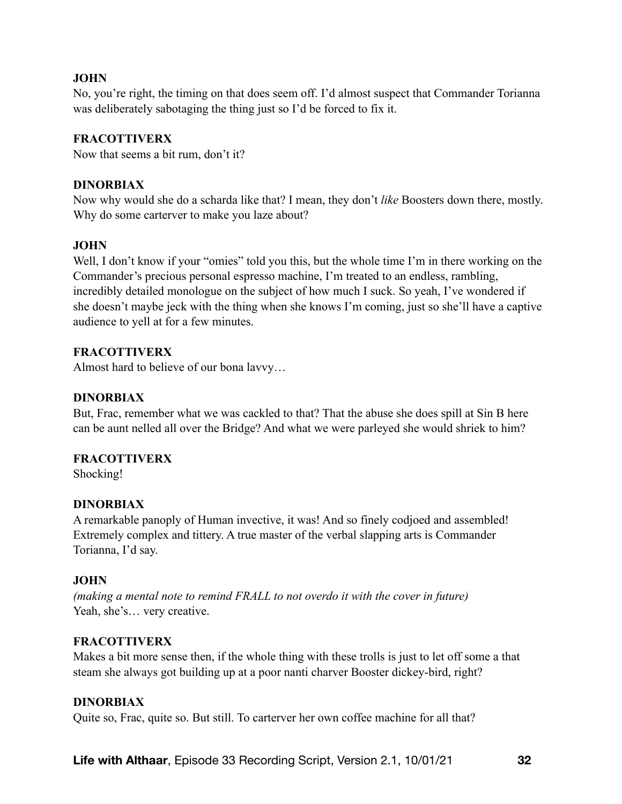# **JOHN**

No, you're right, the timing on that does seem off. I'd almost suspect that Commander Torianna was deliberately sabotaging the thing just so I'd be forced to fix it.

# **FRACOTTIVERX**

Now that seems a bit rum, don't it?

# **DINORBIAX**

Now why would she do a scharda like that? I mean, they don't *like* Boosters down there, mostly. Why do some carterver to make you laze about?

# **JOHN**

Well, I don't know if your "omies" told you this, but the whole time I'm in there working on the Commander's precious personal espresso machine, I'm treated to an endless, rambling, incredibly detailed monologue on the subject of how much I suck. So yeah, I've wondered if she doesn't maybe jeck with the thing when she knows I'm coming, just so she'll have a captive audience to yell at for a few minutes.

# **FRACOTTIVERX**

Almost hard to believe of our bona lavvy…

# **DINORBIAX**

But, Frac, remember what we was cackled to that? That the abuse she does spill at Sin B here can be aunt nelled all over the Bridge? And what we were parleyed she would shriek to him?

# **FRACOTTIVERX**

Shocking!

# **DINORBIAX**

A remarkable panoply of Human invective, it was! And so finely codjoed and assembled! Extremely complex and tittery. A true master of the verbal slapping arts is Commander Torianna, I'd say.

# **JOHN**

*(making a mental note to remind FRALL to not overdo it with the cover in future)*  Yeah, she's… very creative.

# **FRACOTTIVERX**

Makes a bit more sense then, if the whole thing with these trolls is just to let off some a that steam she always got building up at a poor nanti charver Booster dickey-bird, right?

# **DINORBIAX**

Quite so, Frac, quite so. But still. To carterver her own coffee machine for all that?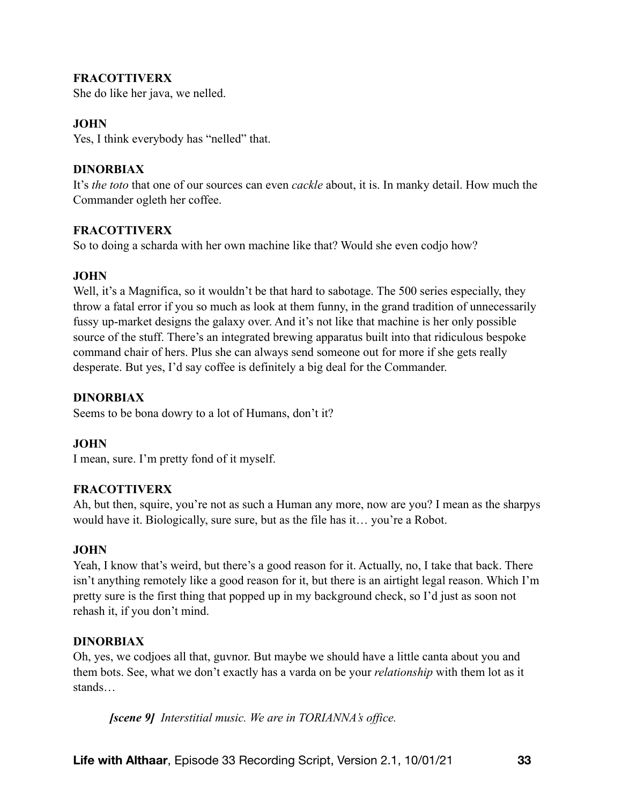# **FRACOTTIVERX**

She do like her java, we nelled.

### **JOHN**

Yes, I think everybody has "nelled" that.

### **DINORBIAX**

It's *the toto* that one of our sources can even *cackle* about, it is. In manky detail. How much the Commander ogleth her coffee.

#### **FRACOTTIVERX**

So to doing a scharda with her own machine like that? Would she even codjo how?

#### **JOHN**

Well, it's a Magnifica, so it wouldn't be that hard to sabotage. The 500 series especially, they throw a fatal error if you so much as look at them funny, in the grand tradition of unnecessarily fussy up-market designs the galaxy over. And it's not like that machine is her only possible source of the stuff. There's an integrated brewing apparatus built into that ridiculous bespoke command chair of hers. Plus she can always send someone out for more if she gets really desperate. But yes, I'd say coffee is definitely a big deal for the Commander.

# **DINORBIAX**

Seems to be bona dowry to a lot of Humans, don't it?

# **JOHN**

I mean, sure. I'm pretty fond of it myself.

#### **FRACOTTIVERX**

Ah, but then, squire, you're not as such a Human any more, now are you? I mean as the sharpys would have it. Biologically, sure sure, but as the file has it… you're a Robot.

#### **JOHN**

Yeah, I know that's weird, but there's a good reason for it. Actually, no, I take that back. There isn't anything remotely like a good reason for it, but there is an airtight legal reason. Which I'm pretty sure is the first thing that popped up in my background check, so I'd just as soon not rehash it, if you don't mind.

# **DINORBIAX**

Oh, yes, we codjoes all that, guvnor. But maybe we should have a little canta about you and them bots. See, what we don't exactly has a varda on be your *relationship* with them lot as it stands…

*[scene 9] Interstitial music. We are in TORIANNA's office.*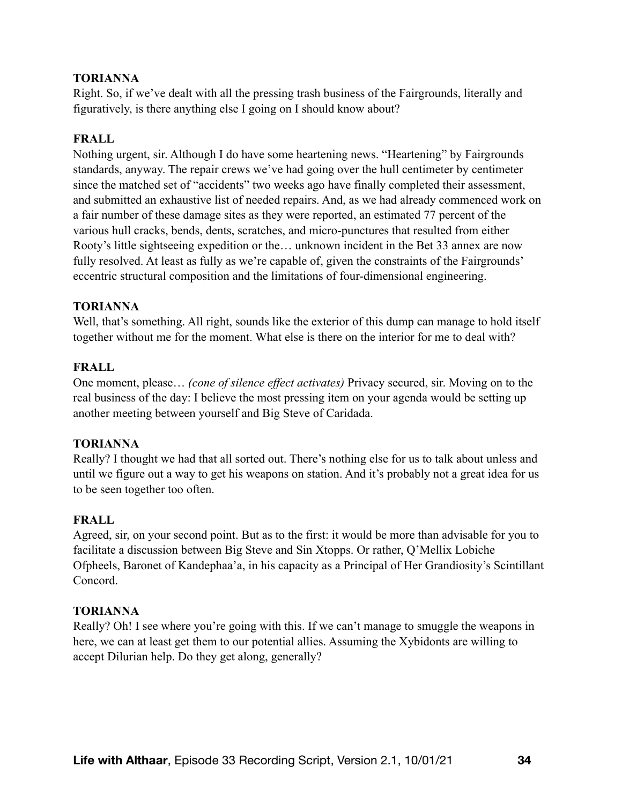# **TORIANNA**

Right. So, if we've dealt with all the pressing trash business of the Fairgrounds, literally and figuratively, is there anything else I going on I should know about?

# **FRALL**

Nothing urgent, sir. Although I do have some heartening news. "Heartening" by Fairgrounds standards, anyway. The repair crews we've had going over the hull centimeter by centimeter since the matched set of "accidents" two weeks ago have finally completed their assessment, and submitted an exhaustive list of needed repairs. And, as we had already commenced work on a fair number of these damage sites as they were reported, an estimated 77 percent of the various hull cracks, bends, dents, scratches, and micro-punctures that resulted from either Rooty's little sightseeing expedition or the… unknown incident in the Bet 33 annex are now fully resolved. At least as fully as we're capable of, given the constraints of the Fairgrounds' eccentric structural composition and the limitations of four-dimensional engineering.

# **TORIANNA**

Well, that's something. All right, sounds like the exterior of this dump can manage to hold itself together without me for the moment. What else is there on the interior for me to deal with?

# **FRALL**

One moment, please… *(cone of silence effect activates)* Privacy secured, sir. Moving on to the real business of the day: I believe the most pressing item on your agenda would be setting up another meeting between yourself and Big Steve of Caridada.

# **TORIANNA**

Really? I thought we had that all sorted out. There's nothing else for us to talk about unless and until we figure out a way to get his weapons on station. And it's probably not a great idea for us to be seen together too often.

# **FRALL**

Agreed, sir, on your second point. But as to the first: it would be more than advisable for you to facilitate a discussion between Big Steve and Sin Xtopps. Or rather, Q'Mellix Lobiche Ofpheels, Baronet of Kandephaa'a, in his capacity as a Principal of Her Grandiosity's Scintillant Concord.

# **TORIANNA**

Really? Oh! I see where you're going with this. If we can't manage to smuggle the weapons in here, we can at least get them to our potential allies. Assuming the Xybidonts are willing to accept Dilurian help. Do they get along, generally?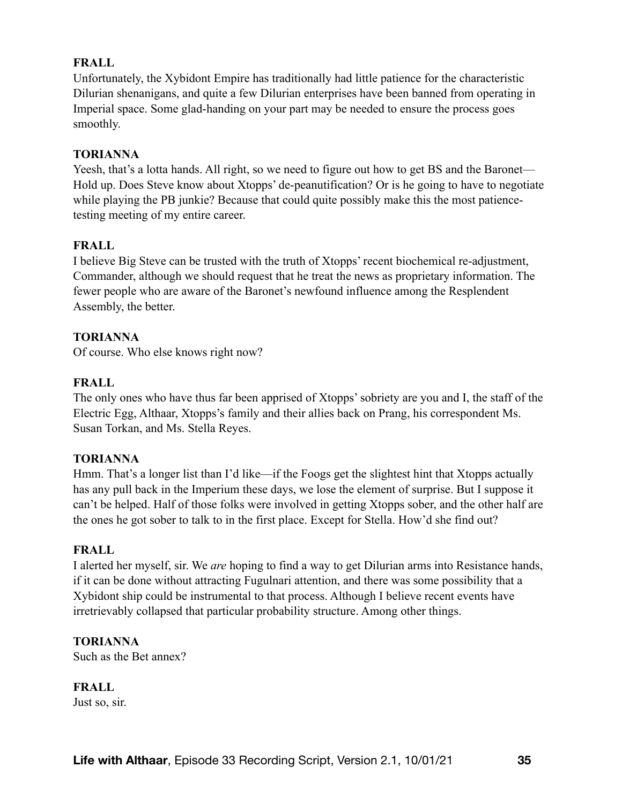# **FRALL**

Unfortunately, the Xybidont Empire has traditionally had little patience for the characteristic Dilurian shenanigans, and quite a few Dilurian enterprises have been banned from operating in Imperial space. Some glad-handing on your part may be needed to ensure the process goes smoothly.

# **TORIANNA**

Yeesh, that's a lotta hands. All right, so we need to figure out how to get BS and the Baronet— Hold up. Does Steve know about Xtopps' de-peanutification? Or is he going to have to negotiate while playing the PB junkie? Because that could quite possibly make this the most patiencetesting meeting of my entire career.

# **FRALL**

I believe Big Steve can be trusted with the truth of Xtopps' recent biochemical re-adjustment, Commander, although we should request that he treat the news as proprietary information. The fewer people who are aware of the Baronet's newfound influence among the Resplendent Assembly, the better.

# **TORIANNA**

Of course. Who else knows right now?

# **FRALL**

The only ones who have thus far been apprised of Xtopps' sobriety are you and I, the staff of the Electric Egg, Althaar, Xtopps's family and their allies back on Prang, his correspondent Ms. Susan Torkan, and Ms. Stella Reyes.

# **TORIANNA**

Hmm. That's a longer list than I'd like—if the Foogs get the slightest hint that Xtopps actually has any pull back in the Imperium these days, we lose the element of surprise. But I suppose it can't be helped. Half of those folks were involved in getting Xtopps sober, and the other half are the ones he got sober to talk to in the first place. Except for Stella. How'd she find out?

# **FRALL**

I alerted her myself, sir. We *are* hoping to find a way to get Dilurian arms into Resistance hands, if it can be done without attracting Fugulnari attention, and there was some possibility that a Xybidont ship could be instrumental to that process. Although I believe recent events have irretrievably collapsed that particular probability structure. Among other things.

# **TORIANNA**

Such as the Bet annex?

# **FRALL**

Just so, sir.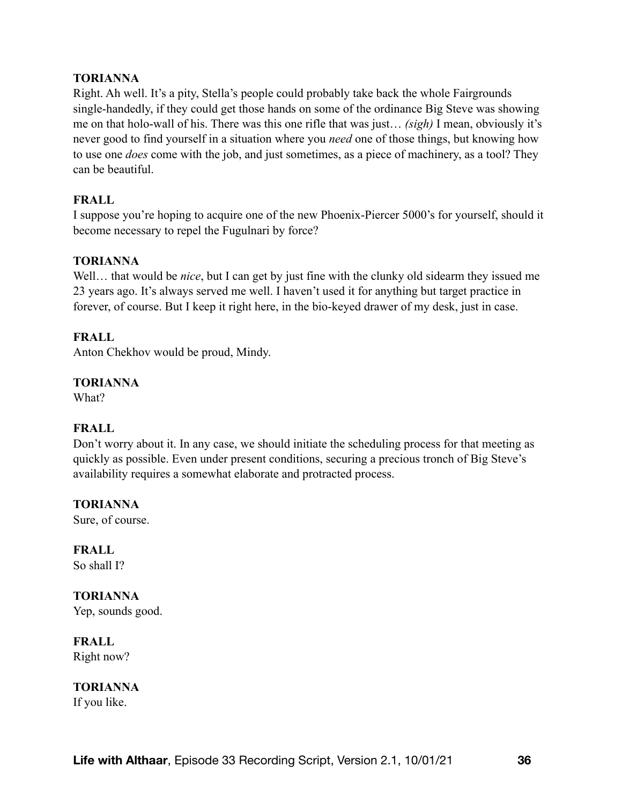# **TORIANNA**

Right. Ah well. It's a pity, Stella's people could probably take back the whole Fairgrounds single-handedly, if they could get those hands on some of the ordinance Big Steve was showing me on that holo-wall of his. There was this one rifle that was just… *(sigh)* I mean, obviously it's never good to find yourself in a situation where you *need* one of those things, but knowing how to use one *does* come with the job, and just sometimes, as a piece of machinery, as a tool? They can be beautiful.

# **FRALL**

I suppose you're hoping to acquire one of the new Phoenix-Piercer 5000's for yourself, should it become necessary to repel the Fugulnari by force?

# **TORIANNA**

Well… that would be *nice*, but I can get by just fine with the clunky old sidearm they issued me 23 years ago. It's always served me well. I haven't used it for anything but target practice in forever, of course. But I keep it right here, in the bio-keyed drawer of my desk, just in case.

# **FRALL**

Anton Chekhov would be proud, Mindy.

# **TORIANNA**

What?

# **FRALL**

Don't worry about it. In any case, we should initiate the scheduling process for that meeting as quickly as possible. Even under present conditions, securing a precious tronch of Big Steve's availability requires a somewhat elaborate and protracted process.

# **TORIANNA**

Sure, of course.

**FRALL**  So shall I?

**TORIANNA**  Yep, sounds good.

**FRALL** 

Right now?

# **TORIANNA**

If you like.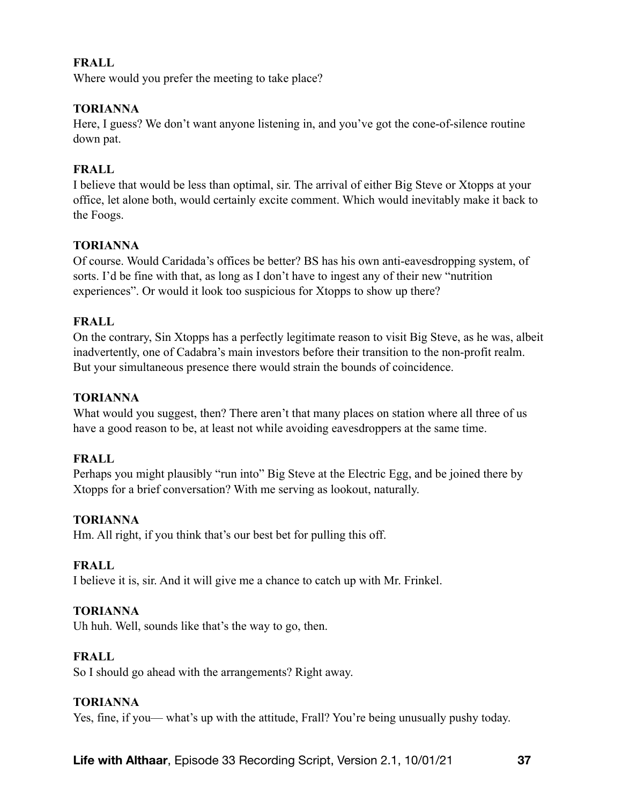## **FRALL**

Where would you prefer the meeting to take place?

## **TORIANNA**

Here, I guess? We don't want anyone listening in, and you've got the cone-of-silence routine down pat.

## **FRALL**

I believe that would be less than optimal, sir. The arrival of either Big Steve or Xtopps at your office, let alone both, would certainly excite comment. Which would inevitably make it back to the Foogs.

## **TORIANNA**

Of course. Would Caridada's offices be better? BS has his own anti-eavesdropping system, of sorts. I'd be fine with that, as long as I don't have to ingest any of their new "nutrition experiences". Or would it look too suspicious for Xtopps to show up there?

## **FRALL**

On the contrary, Sin Xtopps has a perfectly legitimate reason to visit Big Steve, as he was, albeit inadvertently, one of Cadabra's main investors before their transition to the non-profit realm. But your simultaneous presence there would strain the bounds of coincidence.

## **TORIANNA**

What would you suggest, then? There aren't that many places on station where all three of us have a good reason to be, at least not while avoiding eavesdroppers at the same time.

## **FRALL**

Perhaps you might plausibly "run into" Big Steve at the Electric Egg, and be joined there by Xtopps for a brief conversation? With me serving as lookout, naturally.

## **TORIANNA**

Hm. All right, if you think that's our best bet for pulling this off.

## **FRALL**

I believe it is, sir. And it will give me a chance to catch up with Mr. Frinkel.

## **TORIANNA**

Uh huh. Well, sounds like that's the way to go, then.

## **FRALL**

So I should go ahead with the arrangements? Right away.

## **TORIANNA**

Yes, fine, if you— what's up with the attitude, Frall? You're being unusually pushy today.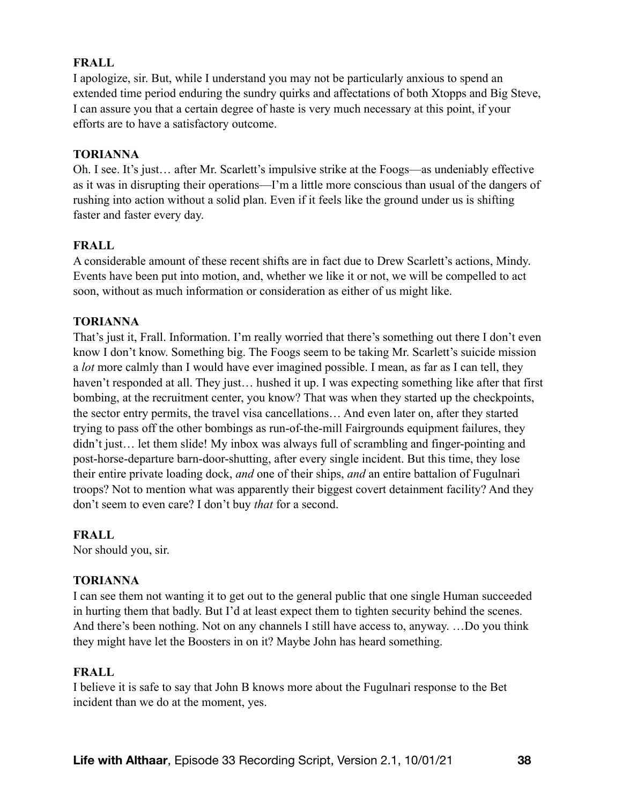## **FRALL**

I apologize, sir. But, while I understand you may not be particularly anxious to spend an extended time period enduring the sundry quirks and affectations of both Xtopps and Big Steve, I can assure you that a certain degree of haste is very much necessary at this point, if your efforts are to have a satisfactory outcome.

## **TORIANNA**

Oh. I see. It's just… after Mr. Scarlett's impulsive strike at the Foogs—as undeniably effective as it was in disrupting their operations—I'm a little more conscious than usual of the dangers of rushing into action without a solid plan. Even if it feels like the ground under us is shifting faster and faster every day.

## **FRALL**

A considerable amount of these recent shifts are in fact due to Drew Scarlett's actions, Mindy. Events have been put into motion, and, whether we like it or not, we will be compelled to act soon, without as much information or consideration as either of us might like.

## **TORIANNA**

That's just it, Frall. Information. I'm really worried that there's something out there I don't even know I don't know. Something big. The Foogs seem to be taking Mr. Scarlett's suicide mission a *lot* more calmly than I would have ever imagined possible. I mean, as far as I can tell, they haven't responded at all. They just... hushed it up. I was expecting something like after that first bombing, at the recruitment center, you know? That was when they started up the checkpoints, the sector entry permits, the travel visa cancellations… And even later on, after they started trying to pass off the other bombings as run-of-the-mill Fairgrounds equipment failures, they didn't just… let them slide! My inbox was always full of scrambling and finger-pointing and post-horse-departure barn-door-shutting, after every single incident. But this time, they lose their entire private loading dock, *and* one of their ships, *and* an entire battalion of Fugulnari troops? Not to mention what was apparently their biggest covert detainment facility? And they don't seem to even care? I don't buy *that* for a second.

## **FRALL**

Nor should you, sir.

## **TORIANNA**

I can see them not wanting it to get out to the general public that one single Human succeeded in hurting them that badly. But I'd at least expect them to tighten security behind the scenes. And there's been nothing. Not on any channels I still have access to, anyway. …Do you think they might have let the Boosters in on it? Maybe John has heard something.

## **FRALL**

I believe it is safe to say that John B knows more about the Fugulnari response to the Bet incident than we do at the moment, yes.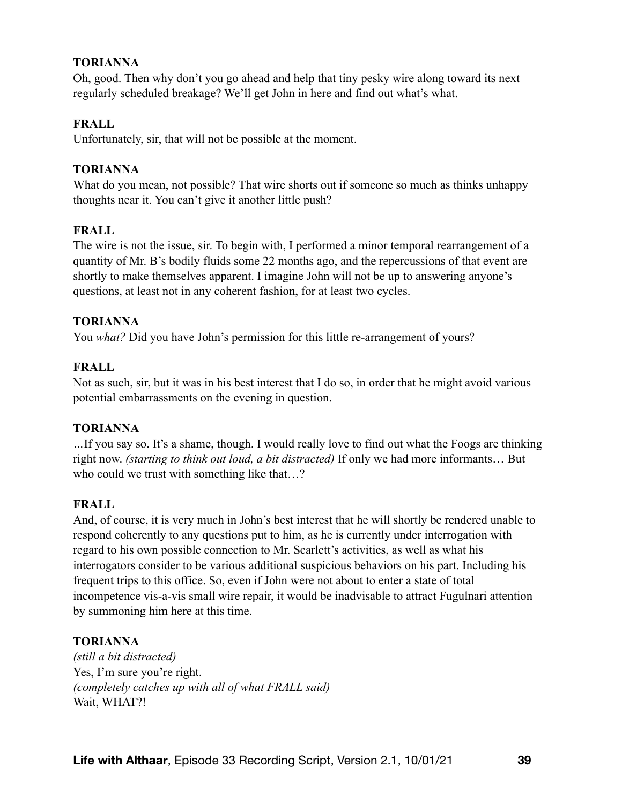## **TORIANNA**

Oh, good. Then why don't you go ahead and help that tiny pesky wire along toward its next regularly scheduled breakage? We'll get John in here and find out what's what.

## **FRALL**

Unfortunately, sir, that will not be possible at the moment.

## **TORIANNA**

What do you mean, not possible? That wire shorts out if someone so much as thinks unhappy thoughts near it. You can't give it another little push?

## **FRALL**

The wire is not the issue, sir. To begin with, I performed a minor temporal rearrangement of a quantity of Mr. B's bodily fluids some 22 months ago, and the repercussions of that event are shortly to make themselves apparent. I imagine John will not be up to answering anyone's questions, at least not in any coherent fashion, for at least two cycles.

## **TORIANNA**

You *what?* Did you have John's permission for this little re-arrangement of yours?

## **FRALL**

Not as such, sir, but it was in his best interest that I do so, in order that he might avoid various potential embarrassments on the evening in question.

## **TORIANNA**

*…*If you say so. It's a shame, though. I would really love to find out what the Foogs are thinking right now. *(starting to think out loud, a bit distracted)* If only we had more informants… But who could we trust with something like that...?

## **FRALL**

And, of course, it is very much in John's best interest that he will shortly be rendered unable to respond coherently to any questions put to him, as he is currently under interrogation with regard to his own possible connection to Mr. Scarlett's activities, as well as what his interrogators consider to be various additional suspicious behaviors on his part. Including his frequent trips to this office. So, even if John were not about to enter a state of total incompetence vis-a-vis small wire repair, it would be inadvisable to attract Fugulnari attention by summoning him here at this time.

## **TORIANNA**

*(still a bit distracted)*  Yes, I'm sure you're right. *(completely catches up with all of what FRALL said)*  Wait, WHAT?!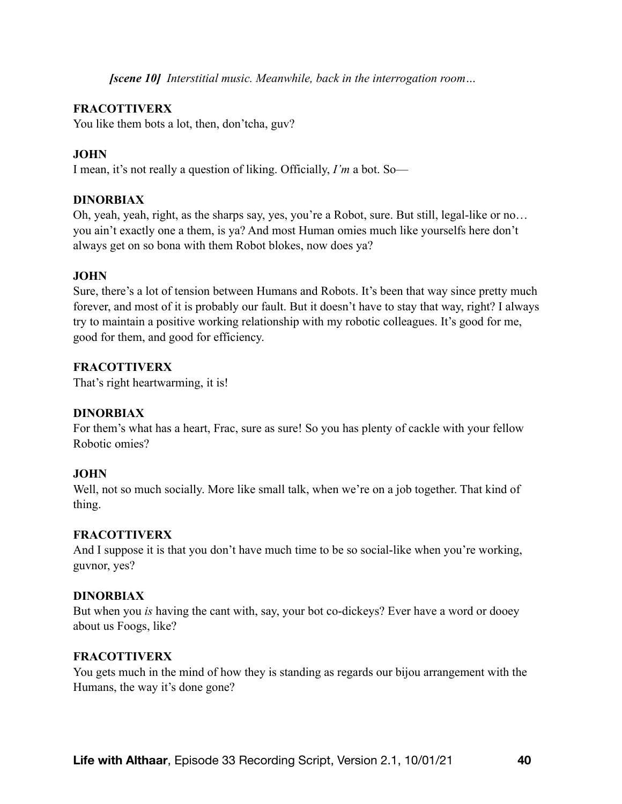*[scene 10] Interstitial music. Meanwhile, back in the interrogation room…*

## **FRACOTTIVERX**

You like them bots a lot, then, don'tcha, guv?

## **JOHN**

I mean, it's not really a question of liking. Officially, *I'm* a bot. So—

## **DINORBIAX**

Oh, yeah, yeah, right, as the sharps say, yes, you're a Robot, sure. But still, legal-like or no… you ain't exactly one a them, is ya? And most Human omies much like yourselfs here don't always get on so bona with them Robot blokes, now does ya?

## **JOHN**

Sure, there's a lot of tension between Humans and Robots. It's been that way since pretty much forever, and most of it is probably our fault. But it doesn't have to stay that way, right? I always try to maintain a positive working relationship with my robotic colleagues. It's good for me, good for them, and good for efficiency.

## **FRACOTTIVERX**

That's right heartwarming, it is!

## **DINORBIAX**

For them's what has a heart, Frac, sure as sure! So you has plenty of cackle with your fellow Robotic omies?

## **JOHN**

Well, not so much socially. More like small talk, when we're on a job together. That kind of thing.

## **FRACOTTIVERX**

And I suppose it is that you don't have much time to be so social-like when you're working, guvnor, yes?

## **DINORBIAX**

But when you *is* having the cant with, say, your bot co-dickeys? Ever have a word or dooey about us Foogs, like?

## **FRACOTTIVERX**

You gets much in the mind of how they is standing as regards our bijou arrangement with the Humans, the way it's done gone?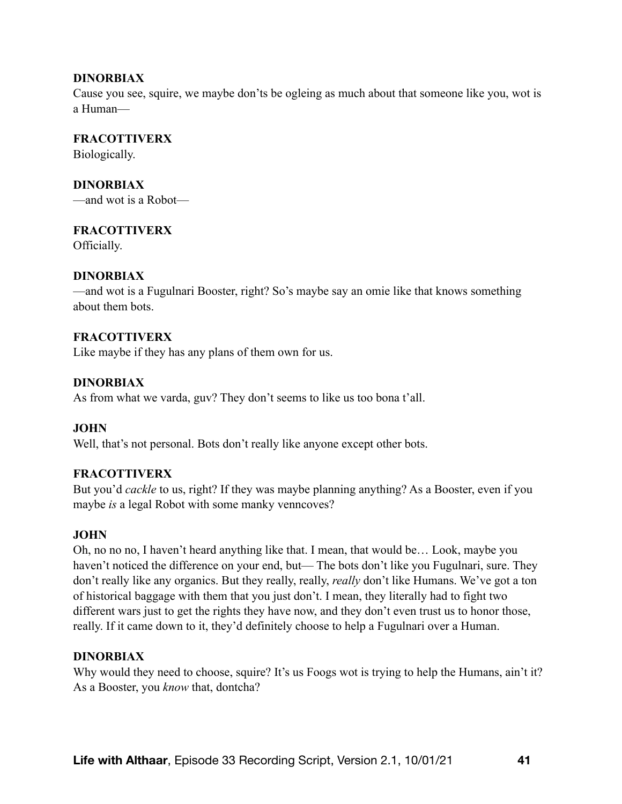## **DINORBIAX**

Cause you see, squire, we maybe don'ts be ogleing as much about that someone like you, wot is a Human—

# **FRACOTTIVERX**

Biologically.

**DINORBIAX**  —and wot is a Robot—

## **FRACOTTIVERX**

Officially.

## **DINORBIAX**

—and wot is a Fugulnari Booster, right? So's maybe say an omie like that knows something about them bots.

## **FRACOTTIVERX**

Like maybe if they has any plans of them own for us.

## **DINORBIAX**

As from what we varda, guv? They don't seems to like us too bona t'all.

## **JOHN**

Well, that's not personal. Bots don't really like anyone except other bots.

## **FRACOTTIVERX**

But you'd *cackle* to us, right? If they was maybe planning anything? As a Booster, even if you maybe *is* a legal Robot with some manky venncoves?

## **JOHN**

Oh, no no no, I haven't heard anything like that. I mean, that would be… Look, maybe you haven't noticed the difference on your end, but— The bots don't like you Fugulnari, sure. They don't really like any organics. But they really, really, *really* don't like Humans. We've got a ton of historical baggage with them that you just don't. I mean, they literally had to fight two different wars just to get the rights they have now, and they don't even trust us to honor those, really. If it came down to it, they'd definitely choose to help a Fugulnari over a Human.

## **DINORBIAX**

Why would they need to choose, squire? It's us Foogs wot is trying to help the Humans, ain't it? As a Booster, you *know* that, dontcha?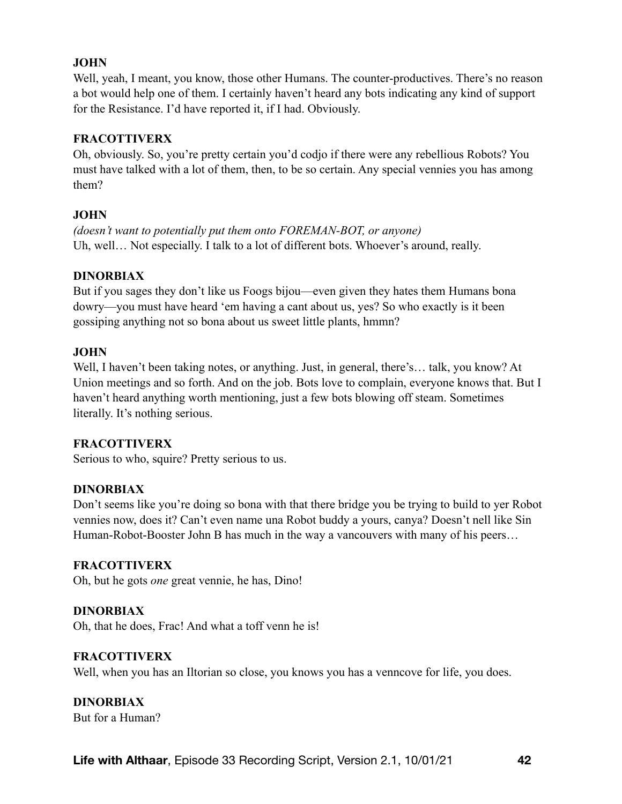## **JOHN**

Well, yeah, I meant, you know, those other Humans. The counter-productives. There's no reason a bot would help one of them. I certainly haven't heard any bots indicating any kind of support for the Resistance. I'd have reported it, if I had. Obviously.

## **FRACOTTIVERX**

Oh, obviously. So, you're pretty certain you'd codjo if there were any rebellious Robots? You must have talked with a lot of them, then, to be so certain. Any special vennies you has among them?

## **JOHN**

*(doesn't want to potentially put them onto FOREMAN-BOT, or anyone)*  Uh, well… Not especially. I talk to a lot of different bots. Whoever's around, really.

## **DINORBIAX**

But if you sages they don't like us Foogs bijou—even given they hates them Humans bona dowry—you must have heard 'em having a cant about us, yes? So who exactly is it been gossiping anything not so bona about us sweet little plants, hmmn?

## **JOHN**

Well, I haven't been taking notes, or anything. Just, in general, there's... talk, you know? At Union meetings and so forth. And on the job. Bots love to complain, everyone knows that. But I haven't heard anything worth mentioning, just a few bots blowing off steam. Sometimes literally. It's nothing serious.

## **FRACOTTIVERX**

Serious to who, squire? Pretty serious to us.

## **DINORBIAX**

Don't seems like you're doing so bona with that there bridge you be trying to build to yer Robot vennies now, does it? Can't even name una Robot buddy a yours, canya? Doesn't nell like Sin Human-Robot-Booster John B has much in the way a vancouvers with many of his peers…

## **FRACOTTIVERX**

Oh, but he gots *one* great vennie, he has, Dino!

## **DINORBIAX**

Oh, that he does, Frac! And what a toff venn he is!

## **FRACOTTIVERX**

Well, when you has an Iltorian so close, you knows you has a venncove for life, you does.

## **DINORBIAX**

But for a Human?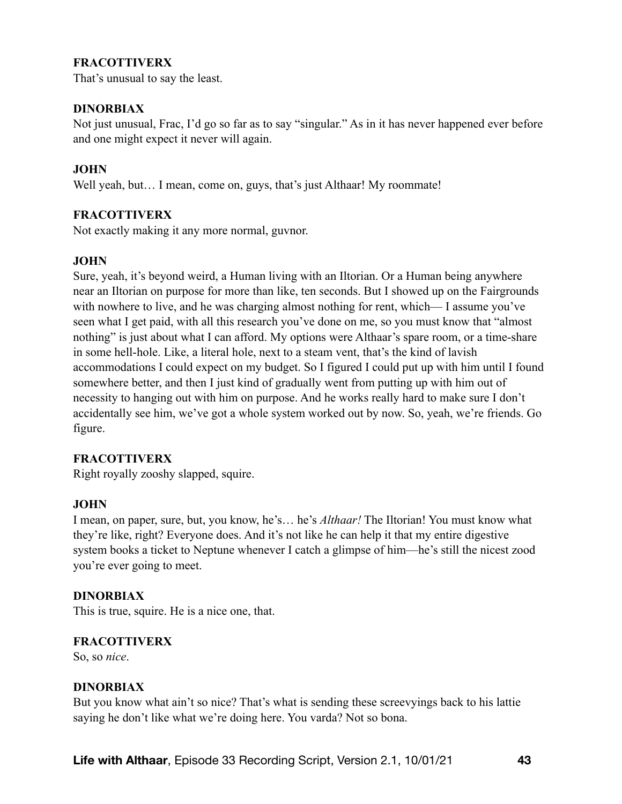## **FRACOTTIVERX**

That's unusual to say the least.

## **DINORBIAX**

Not just unusual, Frac, I'd go so far as to say "singular." As in it has never happened ever before and one might expect it never will again.

## **JOHN**

Well yeah, but... I mean, come on, guys, that's just Althaar! My roommate!

## **FRACOTTIVERX**

Not exactly making it any more normal, guvnor.

## **JOHN**

Sure, yeah, it's beyond weird, a Human living with an Iltorian. Or a Human being anywhere near an Iltorian on purpose for more than like, ten seconds. But I showed up on the Fairgrounds with nowhere to live, and he was charging almost nothing for rent, which— I assume you've seen what I get paid, with all this research you've done on me, so you must know that "almost nothing" is just about what I can afford. My options were Althaar's spare room, or a time-share in some hell-hole. Like, a literal hole, next to a steam vent, that's the kind of lavish accommodations I could expect on my budget. So I figured I could put up with him until I found somewhere better, and then I just kind of gradually went from putting up with him out of necessity to hanging out with him on purpose. And he works really hard to make sure I don't accidentally see him, we've got a whole system worked out by now. So, yeah, we're friends. Go figure.

## **FRACOTTIVERX**

Right royally zooshy slapped, squire.

## **JOHN**

I mean, on paper, sure, but, you know, he's… he's *Althaar!* The Iltorian! You must know what they're like, right? Everyone does. And it's not like he can help it that my entire digestive system books a ticket to Neptune whenever I catch a glimpse of him—he's still the nicest zood you're ever going to meet.

## **DINORBIAX**

This is true, squire. He is a nice one, that.

## **FRACOTTIVERX**

So, so *nice*.

## **DINORBIAX**

But you know what ain't so nice? That's what is sending these screevyings back to his lattie saying he don't like what we're doing here. You varda? Not so bona.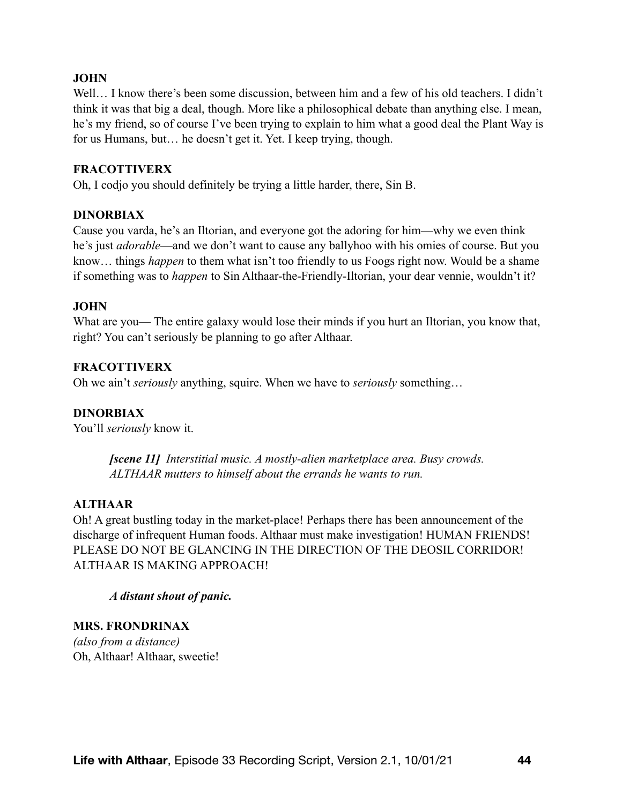#### **JOHN**

Well... I know there's been some discussion, between him and a few of his old teachers. I didn't think it was that big a deal, though. More like a philosophical debate than anything else. I mean, he's my friend, so of course I've been trying to explain to him what a good deal the Plant Way is for us Humans, but… he doesn't get it. Yet. I keep trying, though.

#### **FRACOTTIVERX**

Oh, I codjo you should definitely be trying a little harder, there, Sin B.

#### **DINORBIAX**

Cause you varda, he's an Iltorian, and everyone got the adoring for him—why we even think he's just *adorable*—and we don't want to cause any ballyhoo with his omies of course. But you know… things *happen* to them what isn't too friendly to us Foogs right now. Would be a shame if something was to *happen* to Sin Althaar-the-Friendly-Iltorian, your dear vennie, wouldn't it?

#### **JOHN**

What are you— The entire galaxy would lose their minds if you hurt an Iltorian, you know that, right? You can't seriously be planning to go after Althaar.

#### **FRACOTTIVERX**

Oh we ain't *seriously* anything, squire. When we have to *seriously* something…

#### **DINORBIAX**

You'll *seriously* know it.

*[scene 11] Interstitial music. A mostly-alien marketplace area. Busy crowds. ALTHAAR mutters to himself about the errands he wants to run.* 

#### **ALTHAAR**

Oh! A great bustling today in the market-place! Perhaps there has been announcement of the discharge of infrequent Human foods. Althaar must make investigation! HUMAN FRIENDS! PLEASE DO NOT BE GLANCING IN THE DIRECTION OF THE DEOSIL CORRIDOR! ALTHAAR IS MAKING APPROACH!

#### *A distant shout of panic.*

**MRS. FRONDRINAX**  *(also from a distance)* 

Oh, Althaar! Althaar, sweetie!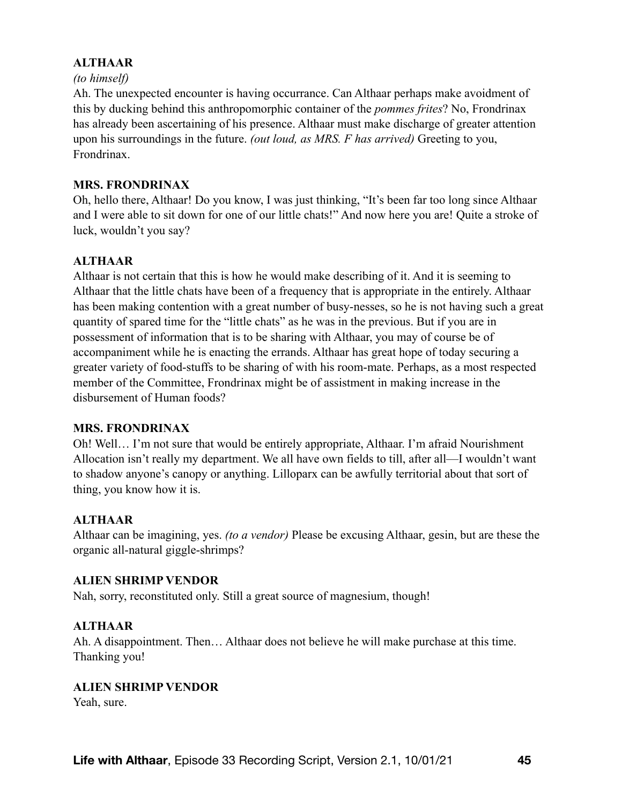## **ALTHAAR**

#### *(to himself)*

Ah. The unexpected encounter is having occurrance. Can Althaar perhaps make avoidment of this by ducking behind this anthropomorphic container of the *pommes frites*? No, Frondrinax has already been ascertaining of his presence. Althaar must make discharge of greater attention upon his surroundings in the future. *(out loud, as MRS. F has arrived)* Greeting to you, Frondrinax.

#### **MRS. FRONDRINAX**

Oh, hello there, Althaar! Do you know, I was just thinking, "It's been far too long since Althaar and I were able to sit down for one of our little chats!" And now here you are! Quite a stroke of luck, wouldn't you say?

#### **ALTHAAR**

Althaar is not certain that this is how he would make describing of it. And it is seeming to Althaar that the little chats have been of a frequency that is appropriate in the entirely. Althaar has been making contention with a great number of busy-nesses, so he is not having such a great quantity of spared time for the "little chats" as he was in the previous. But if you are in possessment of information that is to be sharing with Althaar, you may of course be of accompaniment while he is enacting the errands. Althaar has great hope of today securing a greater variety of food-stuffs to be sharing of with his room-mate. Perhaps, as a most respected member of the Committee, Frondrinax might be of assistment in making increase in the disbursement of Human foods?

#### **MRS. FRONDRINAX**

Oh! Well… I'm not sure that would be entirely appropriate, Althaar. I'm afraid Nourishment Allocation isn't really my department. We all have own fields to till, after all—I wouldn't want to shadow anyone's canopy or anything. Lilloparx can be awfully territorial about that sort of thing, you know how it is.

#### **ALTHAAR**

Althaar can be imagining, yes. *(to a vendor)* Please be excusing Althaar, gesin, but are these the organic all-natural giggle-shrimps?

#### **ALIEN SHRIMP VENDOR**

Nah, sorry, reconstituted only. Still a great source of magnesium, though!

#### **ALTHAAR**

Ah. A disappointment. Then… Althaar does not believe he will make purchase at this time. Thanking you!

#### **ALIEN SHRIMP VENDOR**

Yeah, sure.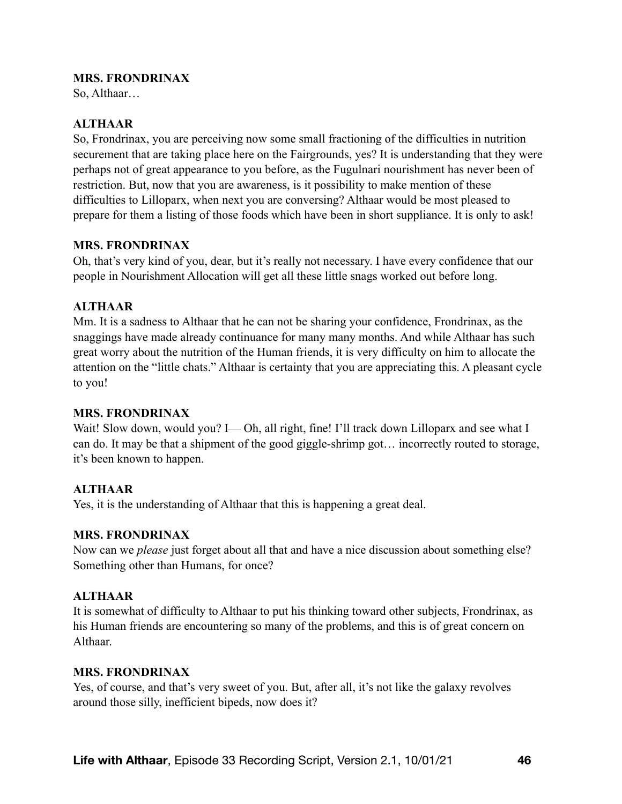So, Althaar…

## **ALTHAAR**

So, Frondrinax, you are perceiving now some small fractioning of the difficulties in nutrition securement that are taking place here on the Fairgrounds, yes? It is understanding that they were perhaps not of great appearance to you before, as the Fugulnari nourishment has never been of restriction. But, now that you are awareness, is it possibility to make mention of these difficulties to Lilloparx, when next you are conversing? Althaar would be most pleased to prepare for them a listing of those foods which have been in short suppliance. It is only to ask!

#### **MRS. FRONDRINAX**

Oh, that's very kind of you, dear, but it's really not necessary. I have every confidence that our people in Nourishment Allocation will get all these little snags worked out before long.

#### **ALTHAAR**

Mm. It is a sadness to Althaar that he can not be sharing your confidence, Frondrinax, as the snaggings have made already continuance for many many months. And while Althaar has such great worry about the nutrition of the Human friends, it is very difficulty on him to allocate the attention on the "little chats." Althaar is certainty that you are appreciating this. A pleasant cycle to you!

#### **MRS. FRONDRINAX**

Wait! Slow down, would you? I— Oh, all right, fine! I'll track down Lilloparx and see what I can do. It may be that a shipment of the good giggle-shrimp got… incorrectly routed to storage, it's been known to happen.

## **ALTHAAR**

Yes, it is the understanding of Althaar that this is happening a great deal.

#### **MRS. FRONDRINAX**

Now can we *please* just forget about all that and have a nice discussion about something else? Something other than Humans, for once?

## **ALTHAAR**

It is somewhat of difficulty to Althaar to put his thinking toward other subjects, Frondrinax, as his Human friends are encountering so many of the problems, and this is of great concern on Althaar.

#### **MRS. FRONDRINAX**

Yes, of course, and that's very sweet of you. But, after all, it's not like the galaxy revolves around those silly, inefficient bipeds, now does it?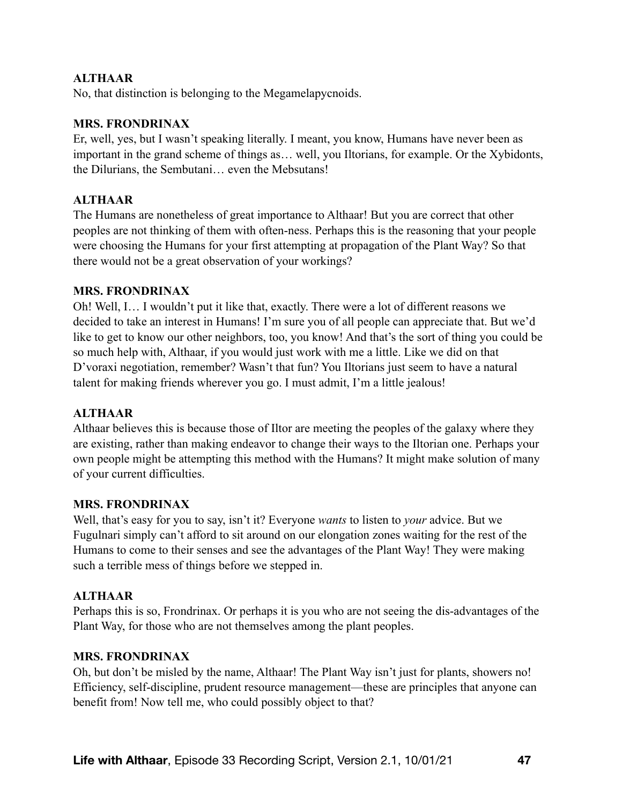## **ALTHAAR**

No, that distinction is belonging to the Megamelapycnoids.

#### **MRS. FRONDRINAX**

Er, well, yes, but I wasn't speaking literally. I meant, you know, Humans have never been as important in the grand scheme of things as… well, you Iltorians, for example. Or the Xybidonts, the Dilurians, the Sembutani… even the Mebsutans!

## **ALTHAAR**

The Humans are nonetheless of great importance to Althaar! But you are correct that other peoples are not thinking of them with often-ness. Perhaps this is the reasoning that your people were choosing the Humans for your first attempting at propagation of the Plant Way? So that there would not be a great observation of your workings?

#### **MRS. FRONDRINAX**

Oh! Well, I… I wouldn't put it like that, exactly. There were a lot of different reasons we decided to take an interest in Humans! I'm sure you of all people can appreciate that. But we'd like to get to know our other neighbors, too, you know! And that's the sort of thing you could be so much help with, Althaar, if you would just work with me a little. Like we did on that D'voraxi negotiation, remember? Wasn't that fun? You Iltorians just seem to have a natural talent for making friends wherever you go. I must admit, I'm a little jealous!

## **ALTHAAR**

Althaar believes this is because those of Iltor are meeting the peoples of the galaxy where they are existing, rather than making endeavor to change their ways to the Iltorian one. Perhaps your own people might be attempting this method with the Humans? It might make solution of many of your current difficulties.

## **MRS. FRONDRINAX**

Well, that's easy for you to say, isn't it? Everyone *wants* to listen to *your* advice. But we Fugulnari simply can't afford to sit around on our elongation zones waiting for the rest of the Humans to come to their senses and see the advantages of the Plant Way! They were making such a terrible mess of things before we stepped in.

## **ALTHAAR**

Perhaps this is so, Frondrinax. Or perhaps it is you who are not seeing the dis-advantages of the Plant Way, for those who are not themselves among the plant peoples.

#### **MRS. FRONDRINAX**

Oh, but don't be misled by the name, Althaar! The Plant Way isn't just for plants, showers no! Efficiency, self-discipline, prudent resource management—these are principles that anyone can benefit from! Now tell me, who could possibly object to that?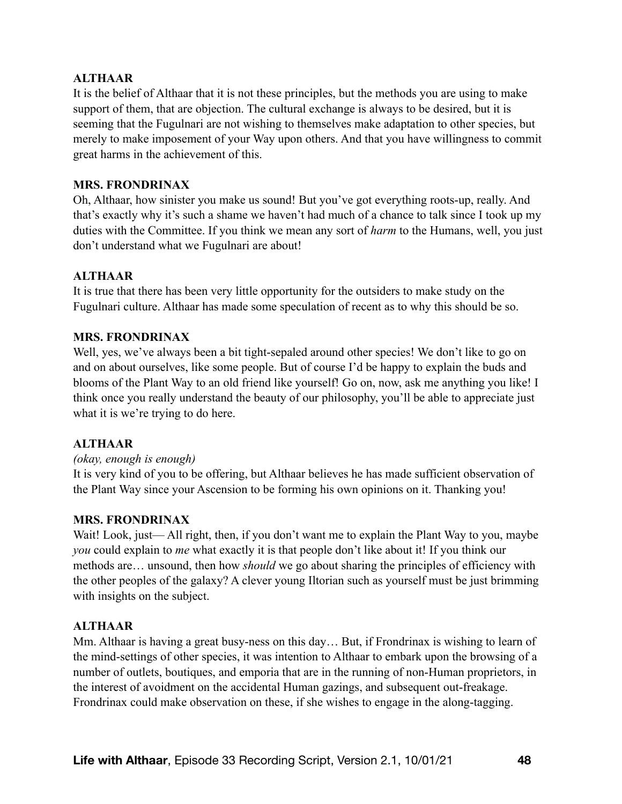## **ALTHAAR**

It is the belief of Althaar that it is not these principles, but the methods you are using to make support of them, that are objection. The cultural exchange is always to be desired, but it is seeming that the Fugulnari are not wishing to themselves make adaptation to other species, but merely to make imposement of your Way upon others. And that you have willingness to commit great harms in the achievement of this.

## **MRS. FRONDRINAX**

Oh, Althaar, how sinister you make us sound! But you've got everything roots-up, really. And that's exactly why it's such a shame we haven't had much of a chance to talk since I took up my duties with the Committee. If you think we mean any sort of *harm* to the Humans, well, you just don't understand what we Fugulnari are about!

## **ALTHAAR**

It is true that there has been very little opportunity for the outsiders to make study on the Fugulnari culture. Althaar has made some speculation of recent as to why this should be so.

## **MRS. FRONDRINAX**

Well, yes, we've always been a bit tight-sepaled around other species! We don't like to go on and on about ourselves, like some people. But of course I'd be happy to explain the buds and blooms of the Plant Way to an old friend like yourself! Go on, now, ask me anything you like! I think once you really understand the beauty of our philosophy, you'll be able to appreciate just what it is we're trying to do here.

## **ALTHAAR**

## *(okay, enough is enough)*

It is very kind of you to be offering, but Althaar believes he has made sufficient observation of the Plant Way since your Ascension to be forming his own opinions on it. Thanking you!

## **MRS. FRONDRINAX**

Wait! Look, just—All right, then, if you don't want me to explain the Plant Way to you, maybe *you* could explain to *me* what exactly it is that people don't like about it! If you think our methods are… unsound, then how *should* we go about sharing the principles of efficiency with the other peoples of the galaxy? A clever young Iltorian such as yourself must be just brimming with insights on the subject.

## **ALTHAAR**

Mm. Althaar is having a great busy-ness on this day… But, if Frondrinax is wishing to learn of the mind-settings of other species, it was intention to Althaar to embark upon the browsing of a number of outlets, boutiques, and emporia that are in the running of non-Human proprietors, in the interest of avoidment on the accidental Human gazings, and subsequent out-freakage. Frondrinax could make observation on these, if she wishes to engage in the along-tagging.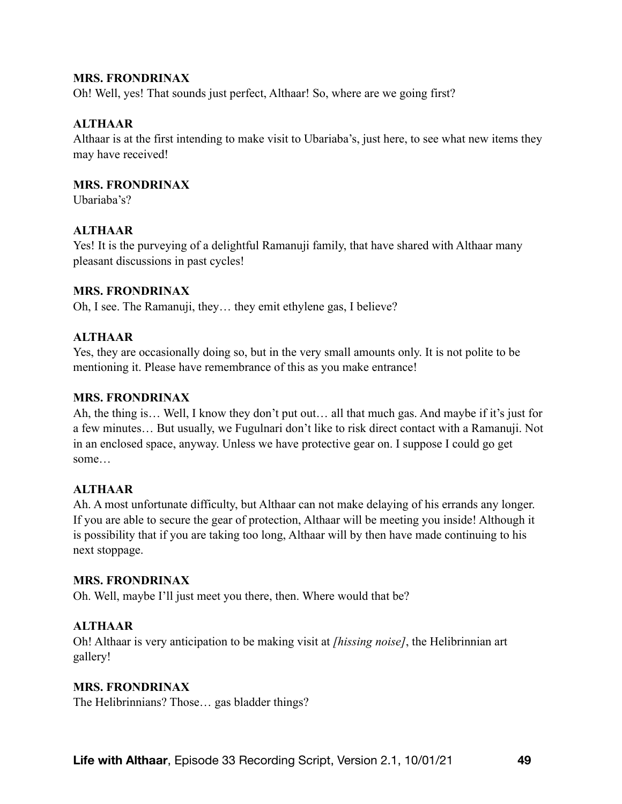Oh! Well, yes! That sounds just perfect, Althaar! So, where are we going first?

#### **ALTHAAR**

Althaar is at the first intending to make visit to Ubariaba's, just here, to see what new items they may have received!

## **MRS. FRONDRINAX**

Ubariaba's?

## **ALTHAAR**

Yes! It is the purveying of a delightful Ramanuji family, that have shared with Althaar many pleasant discussions in past cycles!

#### **MRS. FRONDRINAX**

Oh, I see. The Ramanuji, they… they emit ethylene gas, I believe?

## **ALTHAAR**

Yes, they are occasionally doing so, but in the very small amounts only. It is not polite to be mentioning it. Please have remembrance of this as you make entrance!

## **MRS. FRONDRINAX**

Ah, the thing is… Well, I know they don't put out… all that much gas. And maybe if it's just for a few minutes… But usually, we Fugulnari don't like to risk direct contact with a Ramanuji. Not in an enclosed space, anyway. Unless we have protective gear on. I suppose I could go get some…

## **ALTHAAR**

Ah. A most unfortunate difficulty, but Althaar can not make delaying of his errands any longer. If you are able to secure the gear of protection, Althaar will be meeting you inside! Although it is possibility that if you are taking too long, Althaar will by then have made continuing to his next stoppage.

## **MRS. FRONDRINAX**

Oh. Well, maybe I'll just meet you there, then. Where would that be?

## **ALTHAAR**

Oh! Althaar is very anticipation to be making visit at *[hissing noise]*, the Helibrinnian art gallery!

## **MRS. FRONDRINAX**

The Helibrinnians? Those… gas bladder things?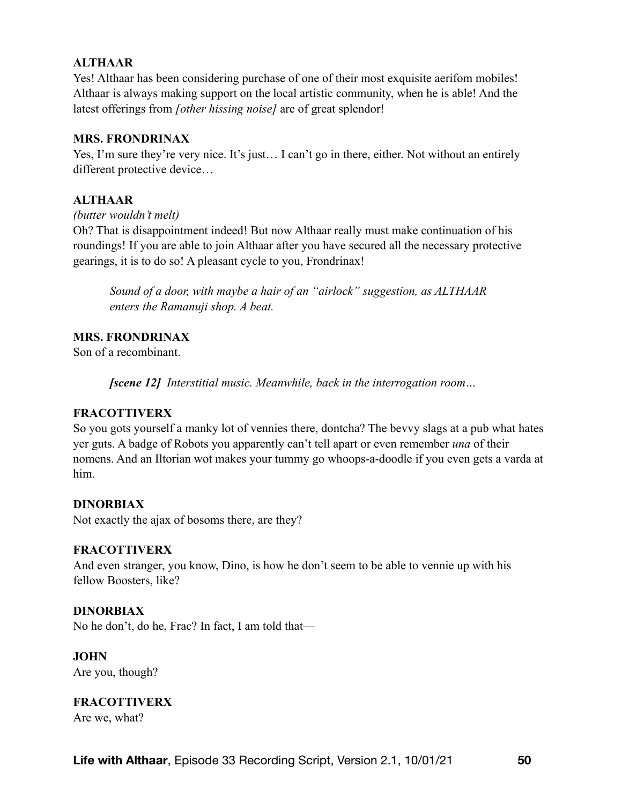## **ALTHAAR**

Yes! Althaar has been considering purchase of one of their most exquisite aerifom mobiles! Althaar is always making support on the local artistic community, when he is able! And the latest offerings from *[other hissing noise]* are of great splendor!

#### **MRS. FRONDRINAX**

Yes, I'm sure they're very nice. It's just... I can't go in there, either. Not without an entirely different protective device…

## **ALTHAAR**

*(butter wouldn't melt)* 

Oh? That is disappointment indeed! But now Althaar really must make continuation of his roundings! If you are able to join Althaar after you have secured all the necessary protective gearings, it is to do so! A pleasant cycle to you, Frondrinax!

*Sound of a door, with maybe a hair of an "airlock" suggestion, as ALTHAAR enters the Ramanuji shop. A beat.* 

## **MRS. FRONDRINAX**

Son of a recombinant.

*[scene 12] Interstitial music. Meanwhile, back in the interrogation room…*

## **FRACOTTIVERX**

So you gots yourself a manky lot of vennies there, dontcha? The bevvy slags at a pub what hates yer guts. A badge of Robots you apparently can't tell apart or even remember *una* of their nomens. And an Iltorian wot makes your tummy go whoops-a-doodle if you even gets a varda at him.

## **DINORBIAX**

Not exactly the ajax of bosoms there, are they?

## **FRACOTTIVERX**

And even stranger, you know, Dino, is how he don't seem to be able to vennie up with his fellow Boosters, like?

## **DINORBIAX**

No he don't, do he, Frac? In fact, I am told that—

**JOHN**  Are you, though?

## **FRACOTTIVERX**

Are we, what?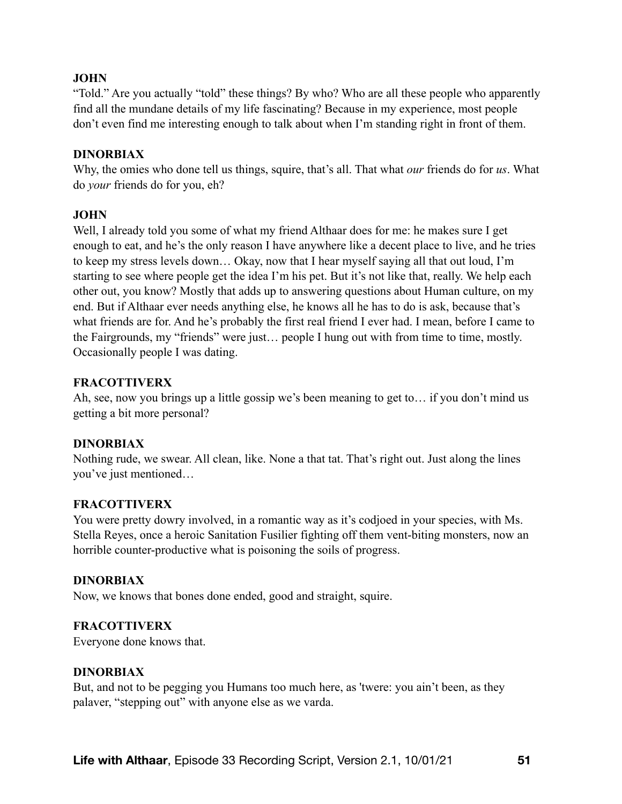## **JOHN**

"Told." Are you actually "told" these things? By who? Who are all these people who apparently find all the mundane details of my life fascinating? Because in my experience, most people don't even find me interesting enough to talk about when I'm standing right in front of them.

## **DINORBIAX**

Why, the omies who done tell us things, squire, that's all. That what *our* friends do for *us*. What do *your* friends do for you, eh?

## **JOHN**

Well, I already told you some of what my friend Althaar does for me: he makes sure I get enough to eat, and he's the only reason I have anywhere like a decent place to live, and he tries to keep my stress levels down… Okay, now that I hear myself saying all that out loud, I'm starting to see where people get the idea I'm his pet. But it's not like that, really. We help each other out, you know? Mostly that adds up to answering questions about Human culture, on my end. But if Althaar ever needs anything else, he knows all he has to do is ask, because that's what friends are for. And he's probably the first real friend I ever had. I mean, before I came to the Fairgrounds, my "friends" were just… people I hung out with from time to time, mostly. Occasionally people I was dating.

## **FRACOTTIVERX**

Ah, see, now you brings up a little gossip we's been meaning to get to… if you don't mind us getting a bit more personal?

## **DINORBIAX**

Nothing rude, we swear. All clean, like. None a that tat. That's right out. Just along the lines you've just mentioned…

## **FRACOTTIVERX**

You were pretty dowry involved, in a romantic way as it's codjoed in your species, with Ms. Stella Reyes, once a heroic Sanitation Fusilier fighting off them vent-biting monsters, now an horrible counter-productive what is poisoning the soils of progress.

## **DINORBIAX**

Now, we knows that bones done ended, good and straight, squire.

## **FRACOTTIVERX**

Everyone done knows that.

## **DINORBIAX**

But, and not to be pegging you Humans too much here, as 'twere: you ain't been, as they palaver, "stepping out" with anyone else as we varda.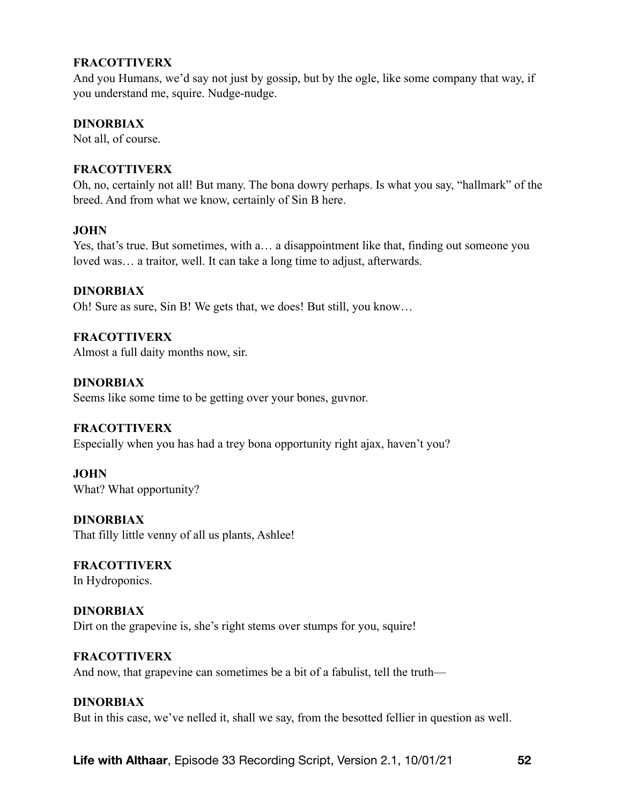## **FRACOTTIVERX**

And you Humans, we'd say not just by gossip, but by the ogle, like some company that way, if you understand me, squire. Nudge-nudge.

#### **DINORBIAX**

Not all, of course.

#### **FRACOTTIVERX**

Oh, no, certainly not all! But many. The bona dowry perhaps. Is what you say, "hallmark" of the breed. And from what we know, certainly of Sin B here.

## **JOHN**

Yes, that's true. But sometimes, with a… a disappointment like that, finding out someone you loved was… a traitor, well. It can take a long time to adjust, afterwards.

#### **DINORBIAX**

Oh! Sure as sure, Sin B! We gets that, we does! But still, you know…

## **FRACOTTIVERX**

Almost a full daity months now, sir.

#### **DINORBIAX**  Seems like some time to be getting over your bones, guvnor.

## **FRACOTTIVERX**

Especially when you has had a trey bona opportunity right ajax, haven't you?

# **JOHN**

What? What opportunity?

## **DINORBIAX**

That filly little venny of all us plants, Ashlee!

#### **FRACOTTIVERX**  In Hydroponics.

## **DINORBIAX**  Dirt on the grapevine is, she's right stems over stumps for you, squire!

## **FRACOTTIVERX**  And now, that grapevine can sometimes be a bit of a fabulist, tell the truth—

## **DINORBIAX**

But in this case, we've nelled it, shall we say, from the besotted fellier in question as well.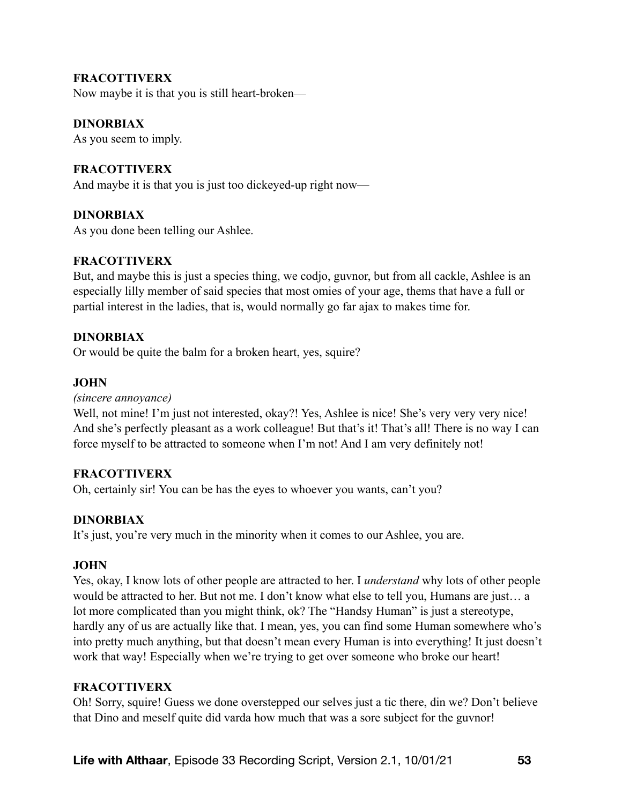## **FRACOTTIVERX**

Now maybe it is that you is still heart-broken—

**DINORBIAX**  As you seem to imply.

**FRACOTTIVERX** 

And maybe it is that you is just too dickeyed-up right now—

## **DINORBIAX**

As you done been telling our Ashlee.

## **FRACOTTIVERX**

But, and maybe this is just a species thing, we codjo, guvnor, but from all cackle, Ashlee is an especially lilly member of said species that most omies of your age, thems that have a full or partial interest in the ladies, that is, would normally go far ajax to makes time for.

#### **DINORBIAX**

Or would be quite the balm for a broken heart, yes, squire?

## **JOHN**

*(sincere annoyance)* 

Well, not mine! I'm just not interested, okay?! Yes, Ashlee is nice! She's very very very nice! And she's perfectly pleasant as a work colleague! But that's it! That's all! There is no way I can force myself to be attracted to someone when I'm not! And I am very definitely not!

## **FRACOTTIVERX**

Oh, certainly sir! You can be has the eyes to whoever you wants, can't you?

## **DINORBIAX**

It's just, you're very much in the minority when it comes to our Ashlee, you are.

## **JOHN**

Yes, okay, I know lots of other people are attracted to her. I *understand* why lots of other people would be attracted to her. But not me. I don't know what else to tell you, Humans are just… a lot more complicated than you might think, ok? The "Handsy Human" is just a stereotype, hardly any of us are actually like that. I mean, yes, you can find some Human somewhere who's into pretty much anything, but that doesn't mean every Human is into everything! It just doesn't work that way! Especially when we're trying to get over someone who broke our heart!

## **FRACOTTIVERX**

Oh! Sorry, squire! Guess we done overstepped our selves just a tic there, din we? Don't believe that Dino and meself quite did varda how much that was a sore subject for the guvnor!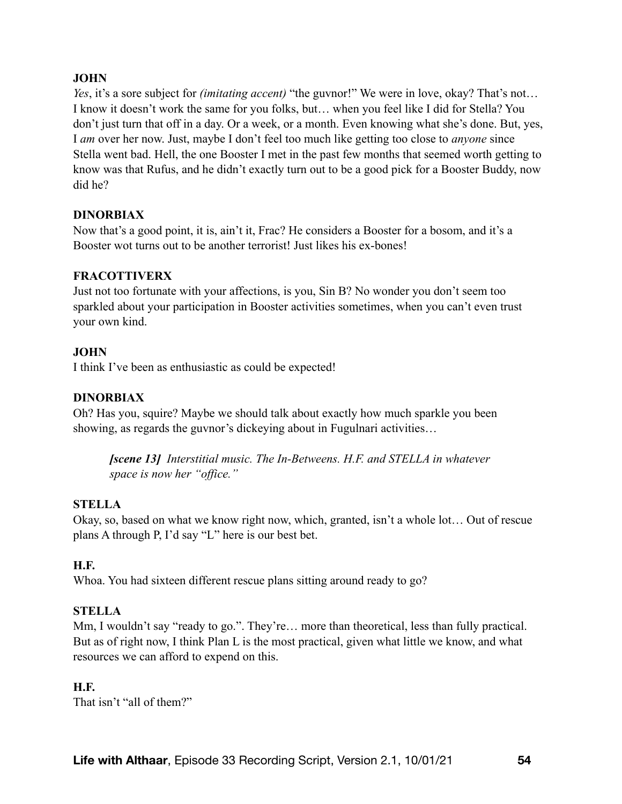## **JOHN**

*Yes*, it's a sore subject for *(imitating accent)* "the guvnor!" We were in love, okay? That's not… I know it doesn't work the same for you folks, but… when you feel like I did for Stella? You don't just turn that off in a day. Or a week, or a month. Even knowing what she's done. But, yes, I *am* over her now. Just, maybe I don't feel too much like getting too close to *anyone* since Stella went bad. Hell, the one Booster I met in the past few months that seemed worth getting to know was that Rufus, and he didn't exactly turn out to be a good pick for a Booster Buddy, now did he?

## **DINORBIAX**

Now that's a good point, it is, ain't it, Frac? He considers a Booster for a bosom, and it's a Booster wot turns out to be another terrorist! Just likes his ex-bones!

## **FRACOTTIVERX**

Just not too fortunate with your affections, is you, Sin B? No wonder you don't seem too sparkled about your participation in Booster activities sometimes, when you can't even trust your own kind.

## **JOHN**

I think I've been as enthusiastic as could be expected!

## **DINORBIAX**

Oh? Has you, squire? Maybe we should talk about exactly how much sparkle you been showing, as regards the guvnor's dickeying about in Fugulnari activities…

*[scene 13] Interstitial music. The In-Betweens. H.F. and STELLA in whatever space is now her "office."* 

## **STELLA**

Okay, so, based on what we know right now, which, granted, isn't a whole lot… Out of rescue plans A through P, I'd say "L" here is our best bet.

## **H.F.**

Whoa. You had sixteen different rescue plans sitting around ready to go?

## **STELLA**

Mm, I wouldn't say "ready to go.". They're... more than theoretical, less than fully practical. But as of right now, I think Plan L is the most practical, given what little we know, and what resources we can afford to expend on this.

## **H.F.**

That isn't "all of them?"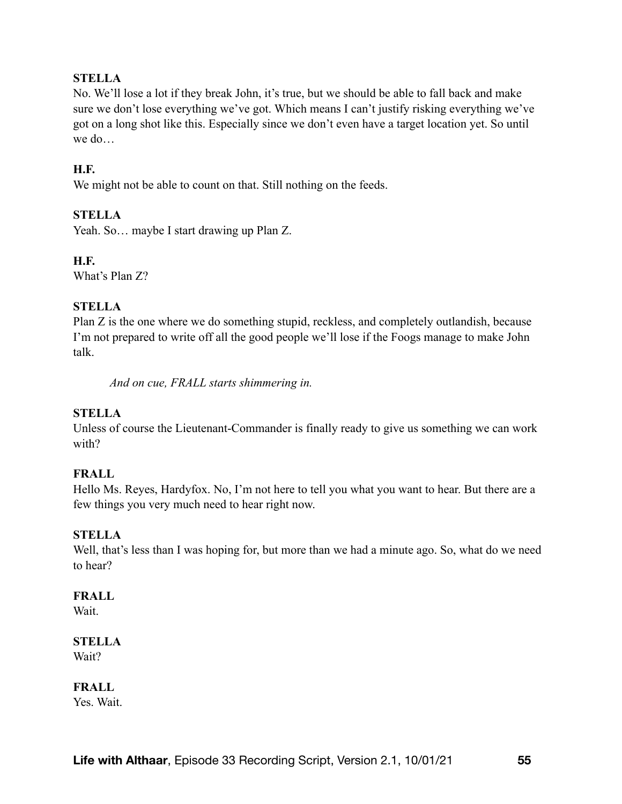## **STELLA**

No. We'll lose a lot if they break John, it's true, but we should be able to fall back and make sure we don't lose everything we've got. Which means I can't justify risking everything we've got on a long shot like this. Especially since we don't even have a target location yet. So until we do…

## **H.F.**

We might not be able to count on that. Still nothing on the feeds.

## **STELLA**

Yeah. So… maybe I start drawing up Plan Z.

## **H.F.**

What's Plan Z?

## **STELLA**

Plan Z is the one where we do something stupid, reckless, and completely outlandish, because I'm not prepared to write off all the good people we'll lose if the Foogs manage to make John talk.

*And on cue, FRALL starts shimmering in.* 

## **STELLA**

Unless of course the Lieutenant-Commander is finally ready to give us something we can work with?

## **FRALL**

Hello Ms. Reyes, Hardyfox. No, I'm not here to tell you what you want to hear. But there are a few things you very much need to hear right now.

## **STELLA**

Well, that's less than I was hoping for, but more than we had a minute ago. So, what do we need to hear?

## **FRALL**

Wait.

# **STELLA**

Wait?

## **FRALL**

Yes. Wait.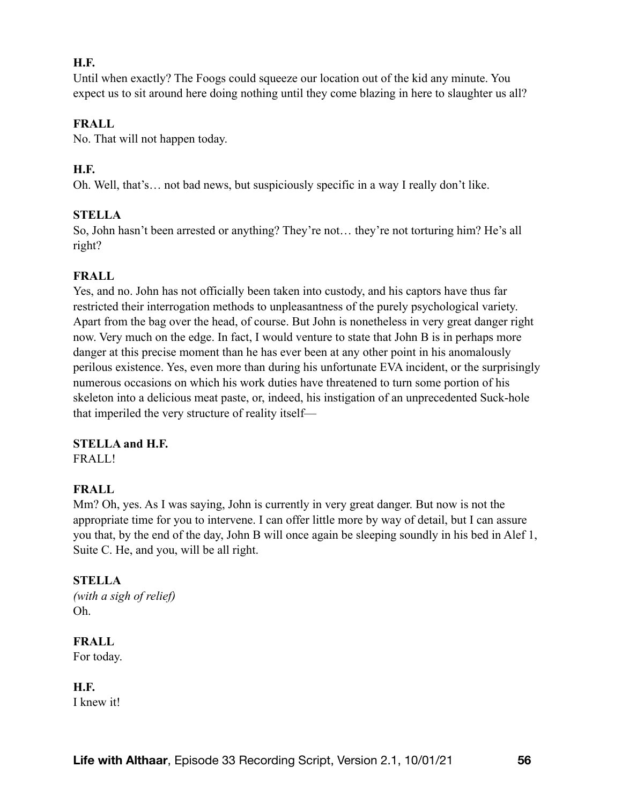## **H.F.**

Until when exactly? The Foogs could squeeze our location out of the kid any minute. You expect us to sit around here doing nothing until they come blazing in here to slaughter us all?

## **FRALL**

No. That will not happen today.

## **H.F.**

Oh. Well, that's… not bad news, but suspiciously specific in a way I really don't like.

## **STELLA**

So, John hasn't been arrested or anything? They're not… they're not torturing him? He's all right?

## **FRALL**

Yes, and no. John has not officially been taken into custody, and his captors have thus far restricted their interrogation methods to unpleasantness of the purely psychological variety. Apart from the bag over the head, of course. But John is nonetheless in very great danger right now. Very much on the edge. In fact, I would venture to state that John B is in perhaps more danger at this precise moment than he has ever been at any other point in his anomalously perilous existence. Yes, even more than during his unfortunate EVA incident, or the surprisingly numerous occasions on which his work duties have threatened to turn some portion of his skeleton into a delicious meat paste, or, indeed, his instigation of an unprecedented Suck-hole that imperiled the very structure of reality itself—

## **STELLA and H.F.**

**FRALL!** 

## **FRALL**

Mm? Oh, yes. As I was saying, John is currently in very great danger. But now is not the appropriate time for you to intervene. I can offer little more by way of detail, but I can assure you that, by the end of the day, John B will once again be sleeping soundly in his bed in Alef 1, Suite C. He, and you, will be all right.

## **STELLA**

*(with a sigh of relief)* Oh.

**FRALL** 

For today.

## **H.F.**

I knew it!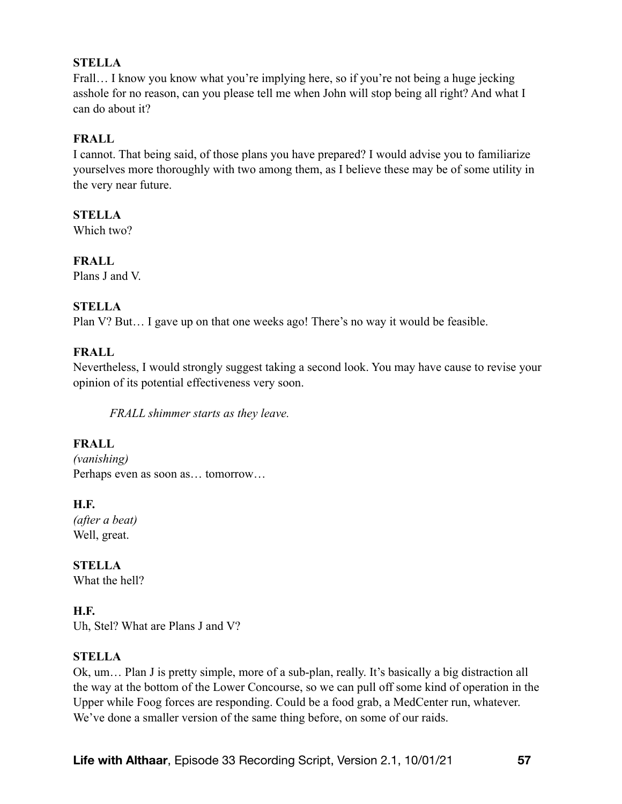## **STELLA**

Frall... I know you know what you're implying here, so if you're not being a huge jecking asshole for no reason, can you please tell me when John will stop being all right? And what I can do about it?

## **FRALL**

I cannot. That being said, of those plans you have prepared? I would advise you to familiarize yourselves more thoroughly with two among them, as I believe these may be of some utility in the very near future.

## **STELLA**

Which two?

## **FRALL**

Plans J and V.

## **STELLA**

Plan V? But… I gave up on that one weeks ago! There's no way it would be feasible.

## **FRALL**

Nevertheless, I would strongly suggest taking a second look. You may have cause to revise your opinion of its potential effectiveness very soon.

*FRALL shimmer starts as they leave.* 

## **FRALL**

*(vanishing)*  Perhaps even as soon as… tomorrow…

**H.F.**  *(after a beat)*  Well, great.

**STELLA**  What the hell?

**H.F.**  Uh, Stel? What are Plans J and V?

## **STELLA**

Ok, um… Plan J is pretty simple, more of a sub-plan, really. It's basically a big distraction all the way at the bottom of the Lower Concourse, so we can pull off some kind of operation in the Upper while Foog forces are responding. Could be a food grab, a MedCenter run, whatever. We've done a smaller version of the same thing before, on some of our raids.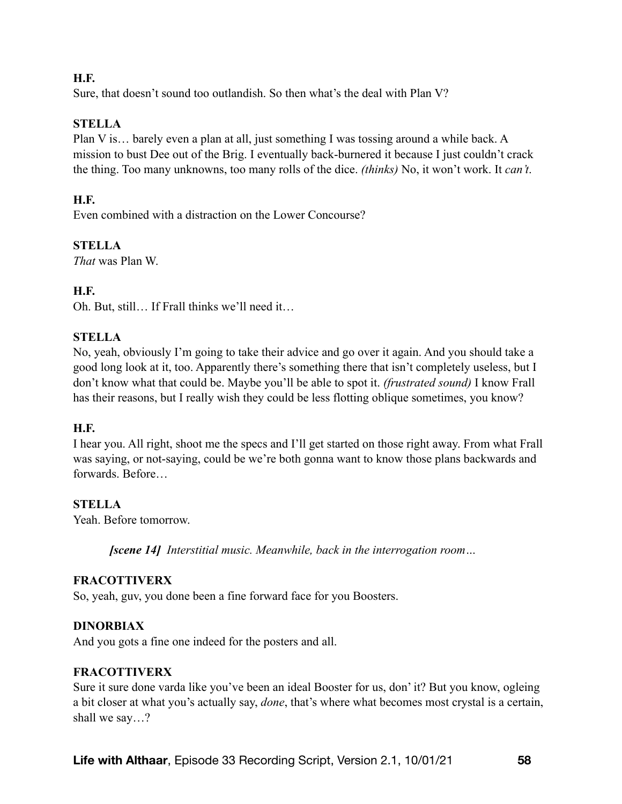## **H.F.**

Sure, that doesn't sound too outlandish. So then what's the deal with Plan V?

## **STELLA**

Plan V is… barely even a plan at all, just something I was tossing around a while back. A mission to bust Dee out of the Brig. I eventually back-burnered it because I just couldn't crack the thing. Too many unknowns, too many rolls of the dice. *(thinks)* No, it won't work. It *can't*.

## **H.F.**

Even combined with a distraction on the Lower Concourse?

## **STELLA**

*That* was Plan W.

## **H.F.**

Oh. But, still… If Frall thinks we'll need it…

## **STELLA**

No, yeah, obviously I'm going to take their advice and go over it again. And you should take a good long look at it, too. Apparently there's something there that isn't completely useless, but I don't know what that could be. Maybe you'll be able to spot it. *(frustrated sound)* I know Frall has their reasons, but I really wish they could be less flotting oblique sometimes, you know?

## **H.F.**

I hear you. All right, shoot me the specs and I'll get started on those right away. From what Frall was saying, or not-saying, could be we're both gonna want to know those plans backwards and forwards. Before…

## **STELLA**

Yeah. Before tomorrow.

*[scene 14] Interstitial music. Meanwhile, back in the interrogation room…* 

## **FRACOTTIVERX**

So, yeah, guv, you done been a fine forward face for you Boosters.

## **DINORBIAX**

And you gots a fine one indeed for the posters and all.

## **FRACOTTIVERX**

Sure it sure done varda like you've been an ideal Booster for us, don' it? But you know, ogleing a bit closer at what you's actually say, *done*, that's where what becomes most crystal is a certain, shall we say…?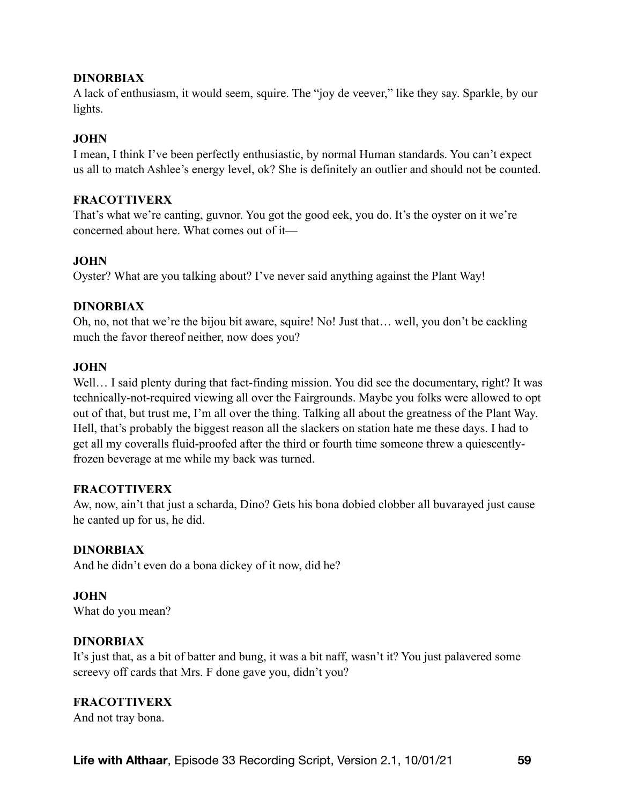## **DINORBIAX**

A lack of enthusiasm, it would seem, squire. The "joy de veever," like they say. Sparkle, by our lights.

## **JOHN**

I mean, I think I've been perfectly enthusiastic, by normal Human standards. You can't expect us all to match Ashlee's energy level, ok? She is definitely an outlier and should not be counted.

#### **FRACOTTIVERX**

That's what we're canting, guvnor. You got the good eek, you do. It's the oyster on it we're concerned about here. What comes out of it—

## **JOHN**

Oyster? What are you talking about? I've never said anything against the Plant Way!

#### **DINORBIAX**

Oh, no, not that we're the bijou bit aware, squire! No! Just that… well, you don't be cackling much the favor thereof neither, now does you?

#### **JOHN**

Well… I said plenty during that fact-finding mission. You did see the documentary, right? It was technically-not-required viewing all over the Fairgrounds. Maybe you folks were allowed to opt out of that, but trust me, I'm all over the thing. Talking all about the greatness of the Plant Way. Hell, that's probably the biggest reason all the slackers on station hate me these days. I had to get all my coveralls fluid-proofed after the third or fourth time someone threw a quiescentlyfrozen beverage at me while my back was turned.

#### **FRACOTTIVERX**

Aw, now, ain't that just a scharda, Dino? Gets his bona dobied clobber all buvarayed just cause he canted up for us, he did.

## **DINORBIAX**

And he didn't even do a bona dickey of it now, did he?

#### **JOHN**  What do you mean?

## **DINORBIAX**

It's just that, as a bit of batter and bung, it was a bit naff, wasn't it? You just palavered some screevy off cards that Mrs. F done gave you, didn't you?

## **FRACOTTIVERX**

And not tray bona.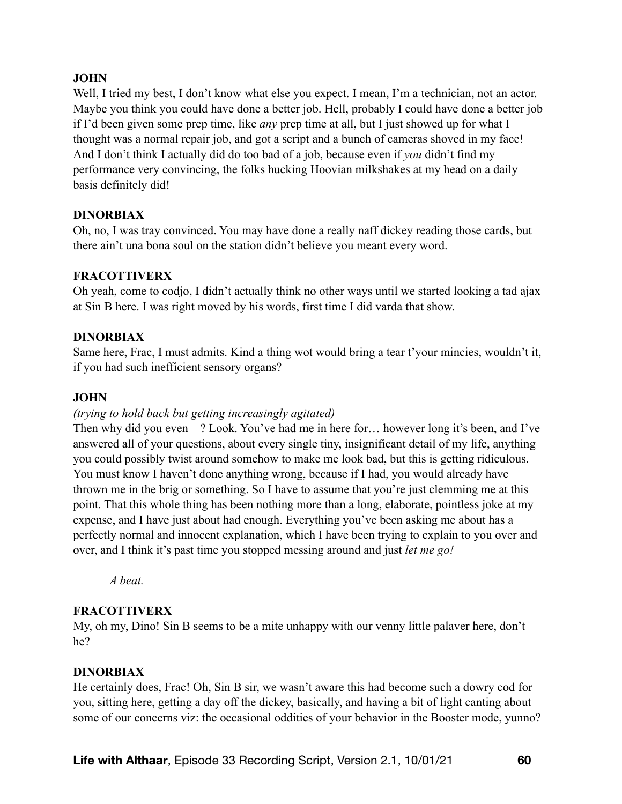## **JOHN**

Well, I tried my best, I don't know what else you expect. I mean, I'm a technician, not an actor. Maybe you think you could have done a better job. Hell, probably I could have done a better job if I'd been given some prep time, like *any* prep time at all, but I just showed up for what I thought was a normal repair job, and got a script and a bunch of cameras shoved in my face! And I don't think I actually did do too bad of a job, because even if *you* didn't find my performance very convincing, the folks hucking Hoovian milkshakes at my head on a daily basis definitely did!

## **DINORBIAX**

Oh, no, I was tray convinced. You may have done a really naff dickey reading those cards, but there ain't una bona soul on the station didn't believe you meant every word.

## **FRACOTTIVERX**

Oh yeah, come to codjo, I didn't actually think no other ways until we started looking a tad ajax at Sin B here. I was right moved by his words, first time I did varda that show.

## **DINORBIAX**

Same here, Frac, I must admits. Kind a thing wot would bring a tear t'your mincies, wouldn't it, if you had such inefficient sensory organs?

## **JOHN**

## *(trying to hold back but getting increasingly agitated)*

Then why did you even—? Look. You've had me in here for… however long it's been, and I've answered all of your questions, about every single tiny, insignificant detail of my life, anything you could possibly twist around somehow to make me look bad, but this is getting ridiculous. You must know I haven't done anything wrong, because if I had, you would already have thrown me in the brig or something. So I have to assume that you're just clemming me at this point. That this whole thing has been nothing more than a long, elaborate, pointless joke at my expense, and I have just about had enough. Everything you've been asking me about has a perfectly normal and innocent explanation, which I have been trying to explain to you over and over, and I think it's past time you stopped messing around and just *let me go!*

*A beat.* 

## **FRACOTTIVERX**

My, oh my, Dino! Sin B seems to be a mite unhappy with our venny little palaver here, don't he?

## **DINORBIAX**

He certainly does, Frac! Oh, Sin B sir, we wasn't aware this had become such a dowry cod for you, sitting here, getting a day off the dickey, basically, and having a bit of light canting about some of our concerns viz: the occasional oddities of your behavior in the Booster mode, yunno?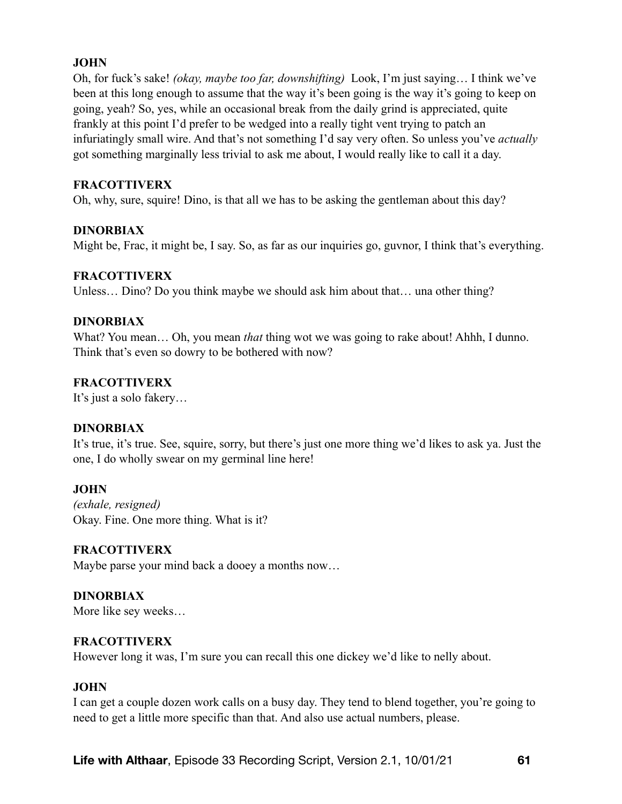## **JOHN**

Oh, for fuck's sake! *(okay, maybe too far, downshifting)* Look, I'm just saying… I think we've been at this long enough to assume that the way it's been going is the way it's going to keep on going, yeah? So, yes, while an occasional break from the daily grind is appreciated, quite frankly at this point I'd prefer to be wedged into a really tight vent trying to patch an infuriatingly small wire. And that's not something I'd say very often. So unless you've *actually* got something marginally less trivial to ask me about, I would really like to call it a day.

## **FRACOTTIVERX**

Oh, why, sure, squire! Dino, is that all we has to be asking the gentleman about this day?

## **DINORBIAX**

Might be, Frac, it might be, I say. So, as far as our inquiries go, guvnor, I think that's everything.

## **FRACOTTIVERX**

Unless… Dino? Do you think maybe we should ask him about that… una other thing?

## **DINORBIAX**

What? You mean… Oh, you mean *that* thing wot we was going to rake about! Ahhh, I dunno. Think that's even so dowry to be bothered with now?

## **FRACOTTIVERX**

It's just a solo fakery…

## **DINORBIAX**

It's true, it's true. See, squire, sorry, but there's just one more thing we'd likes to ask ya. Just the one, I do wholly swear on my germinal line here!

## **JOHN**

*(exhale, resigned)*  Okay. Fine. One more thing. What is it?

## **FRACOTTIVERX**

Maybe parse your mind back a dooey a months now…

# **DINORBIAX**

More like sey weeks…

## **FRACOTTIVERX**

However long it was, I'm sure you can recall this one dickey we'd like to nelly about.

## **JOHN**

I can get a couple dozen work calls on a busy day. They tend to blend together, you're going to need to get a little more specific than that. And also use actual numbers, please.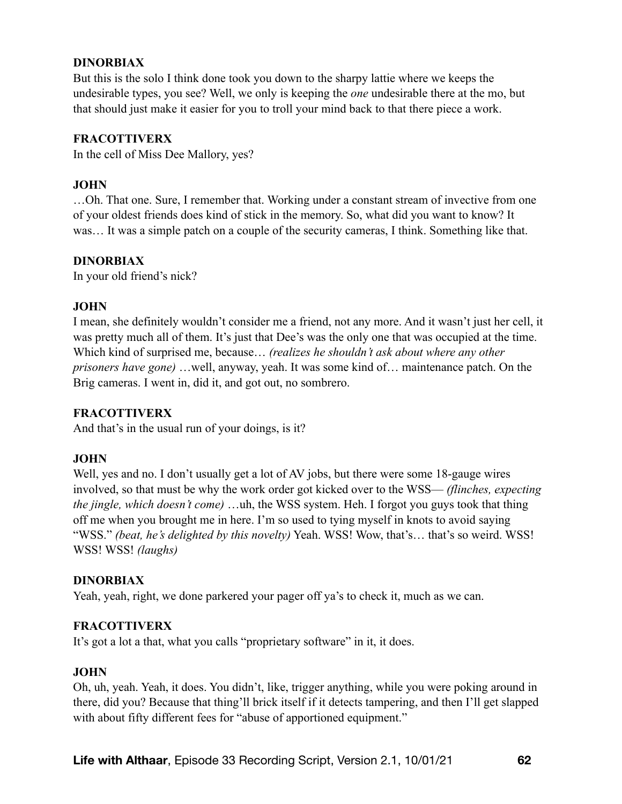## **DINORBIAX**

But this is the solo I think done took you down to the sharpy lattie where we keeps the undesirable types, you see? Well, we only is keeping the *one* undesirable there at the mo, but that should just make it easier for you to troll your mind back to that there piece a work.

## **FRACOTTIVERX**

In the cell of Miss Dee Mallory, yes?

## **JOHN**

…Oh. That one. Sure, I remember that. Working under a constant stream of invective from one of your oldest friends does kind of stick in the memory. So, what did you want to know? It was... It was a simple patch on a couple of the security cameras, I think. Something like that.

## **DINORBIAX**

In your old friend's nick?

## **JOHN**

I mean, she definitely wouldn't consider me a friend, not any more. And it wasn't just her cell, it was pretty much all of them. It's just that Dee's was the only one that was occupied at the time. Which kind of surprised me, because… *(realizes he shouldn't ask about where any other prisoners have gone)* …well, anyway, yeah. It was some kind of… maintenance patch. On the Brig cameras. I went in, did it, and got out, no sombrero.

## **FRACOTTIVERX**

And that's in the usual run of your doings, is it?

## **JOHN**

Well, yes and no. I don't usually get a lot of AV jobs, but there were some 18-gauge wires involved, so that must be why the work order got kicked over to the WSS— *(flinches, expecting the jingle, which doesn't come)* …uh, the WSS system. Heh. I forgot you guys took that thing off me when you brought me in here. I'm so used to tying myself in knots to avoid saying "WSS." *(beat, he's delighted by this novelty)* Yeah. WSS! Wow, that's… that's so weird. WSS! WSS! WSS! *(laughs)* 

## **DINORBIAX**

Yeah, yeah, right, we done parkered your pager off ya's to check it, much as we can.

## **FRACOTTIVERX**

It's got a lot a that, what you calls "proprietary software" in it, it does.

## **JOHN**

Oh, uh, yeah. Yeah, it does. You didn't, like, trigger anything, while you were poking around in there, did you? Because that thing'll brick itself if it detects tampering, and then I'll get slapped with about fifty different fees for "abuse of apportioned equipment."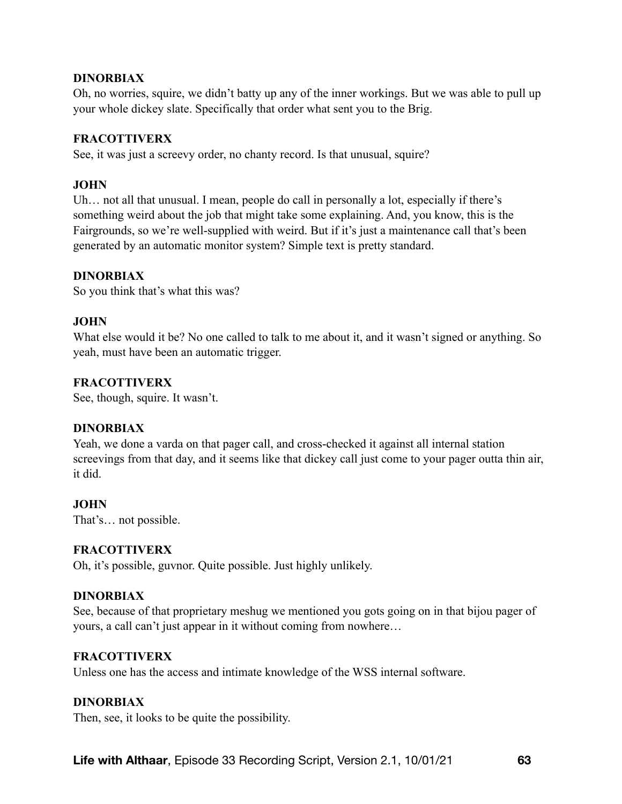## **DINORBIAX**

Oh, no worries, squire, we didn't batty up any of the inner workings. But we was able to pull up your whole dickey slate. Specifically that order what sent you to the Brig.

## **FRACOTTIVERX**

See, it was just a screevy order, no chanty record. Is that unusual, squire?

## **JOHN**

Uh... not all that unusual. I mean, people do call in personally a lot, especially if there's something weird about the job that might take some explaining. And, you know, this is the Fairgrounds, so we're well-supplied with weird. But if it's just a maintenance call that's been generated by an automatic monitor system? Simple text is pretty standard.

## **DINORBIAX**

So you think that's what this was?

## **JOHN**

What else would it be? No one called to talk to me about it, and it wasn't signed or anything. So yeah, must have been an automatic trigger.

## **FRACOTTIVERX**

See, though, squire. It wasn't.

## **DINORBIAX**

Yeah, we done a varda on that pager call, and cross-checked it against all internal station screevings from that day, and it seems like that dickey call just come to your pager outta thin air, it did.

**JOHN**  That's… not possible.

## **FRACOTTIVERX**

Oh, it's possible, guvnor. Quite possible. Just highly unlikely.

## **DINORBIAX**

See, because of that proprietary meshug we mentioned you gots going on in that bijou pager of yours, a call can't just appear in it without coming from nowhere…

## **FRACOTTIVERX**

Unless one has the access and intimate knowledge of the WSS internal software.

## **DINORBIAX**

Then, see, it looks to be quite the possibility.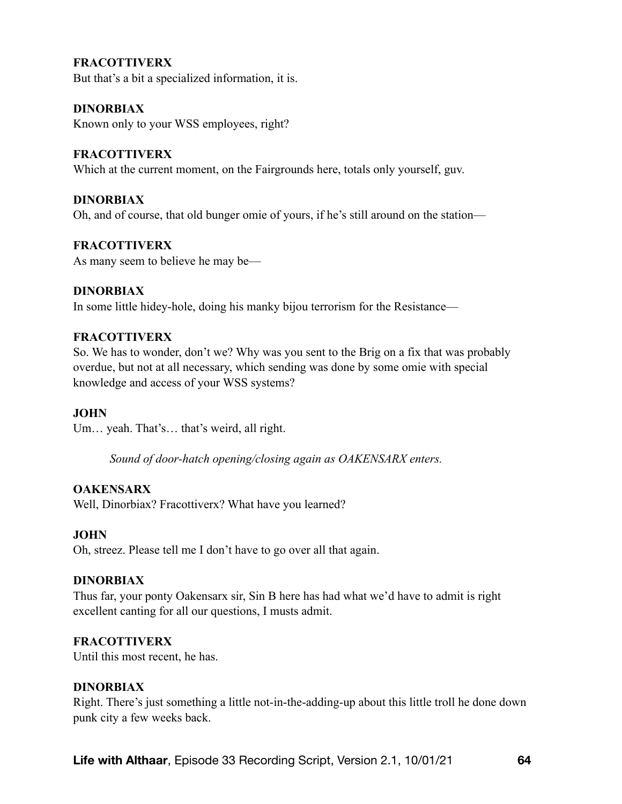## **FRACOTTIVERX**

But that's a bit a specialized information, it is.

## **DINORBIAX**

Known only to your WSS employees, right?

#### **FRACOTTIVERX**

Which at the current moment, on the Fairgrounds here, totals only yourself, guv.

#### **DINORBIAX**

Oh, and of course, that old bunger omie of yours, if he's still around on the station—

## **FRACOTTIVERX**

As many seem to believe he may be—

#### **DINORBIAX**

In some little hidey-hole, doing his manky bijou terrorism for the Resistance—

#### **FRACOTTIVERX**

So. We has to wonder, don't we? Why was you sent to the Brig on a fix that was probably overdue, but not at all necessary, which sending was done by some omie with special knowledge and access of your WSS systems?

#### **JOHN**

Um… yeah. That's… that's weird, all right.

*Sound of door-hatch opening/closing again as OAKENSARX enters.* 

#### **OAKENSARX**

Well, Dinorbiax? Fracottiverx? What have you learned?

#### **JOHN**

Oh, streez. Please tell me I don't have to go over all that again.

#### **DINORBIAX**

Thus far, your ponty Oakensarx sir, Sin B here has had what we'd have to admit is right excellent canting for all our questions, I musts admit.

#### **FRACOTTIVERX**

Until this most recent, he has.

#### **DINORBIAX**

Right. There's just something a little not-in-the-adding-up about this little troll he done down punk city a few weeks back.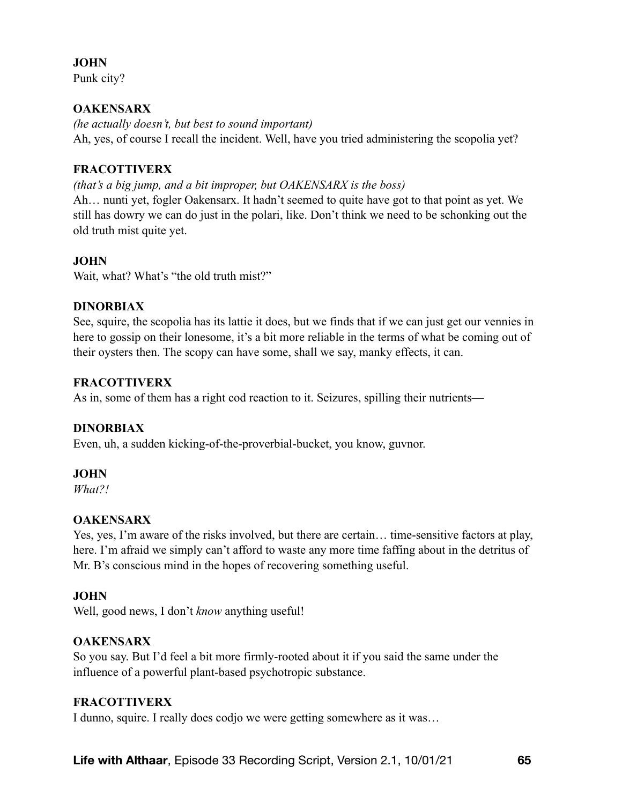## **JOHN**

Punk city?

## **OAKENSARX**

*(he actually doesn't, but best to sound important)*  Ah, yes, of course I recall the incident. Well, have you tried administering the scopolia yet?

## **FRACOTTIVERX**

*(that's a big jump, and a bit improper, but OAKENSARX is the boss)*  Ah… nunti yet, fogler Oakensarx. It hadn't seemed to quite have got to that point as yet. We still has dowry we can do just in the polari, like. Don't think we need to be schonking out the old truth mist quite yet.

## **JOHN**

Wait, what? What's "the old truth mist?"

## **DINORBIAX**

See, squire, the scopolia has its lattie it does, but we finds that if we can just get our vennies in here to gossip on their lonesome, it's a bit more reliable in the terms of what be coming out of their oysters then. The scopy can have some, shall we say, manky effects, it can.

## **FRACOTTIVERX**

As in, some of them has a right cod reaction to it. Seizures, spilling their nutrients—

## **DINORBIAX**

Even, uh, a sudden kicking-of-the-proverbial-bucket, you know, guvnor.

## **JOHN**

*What?!* 

## **OAKENSARX**

Yes, yes, I'm aware of the risks involved, but there are certain… time-sensitive factors at play, here. I'm afraid we simply can't afford to waste any more time faffing about in the detritus of Mr. B's conscious mind in the hopes of recovering something useful.

## **JOHN**

Well, good news, I don't *know* anything useful!

## **OAKENSARX**

So you say. But I'd feel a bit more firmly-rooted about it if you said the same under the influence of a powerful plant-based psychotropic substance.

## **FRACOTTIVERX**

I dunno, squire. I really does codjo we were getting somewhere as it was…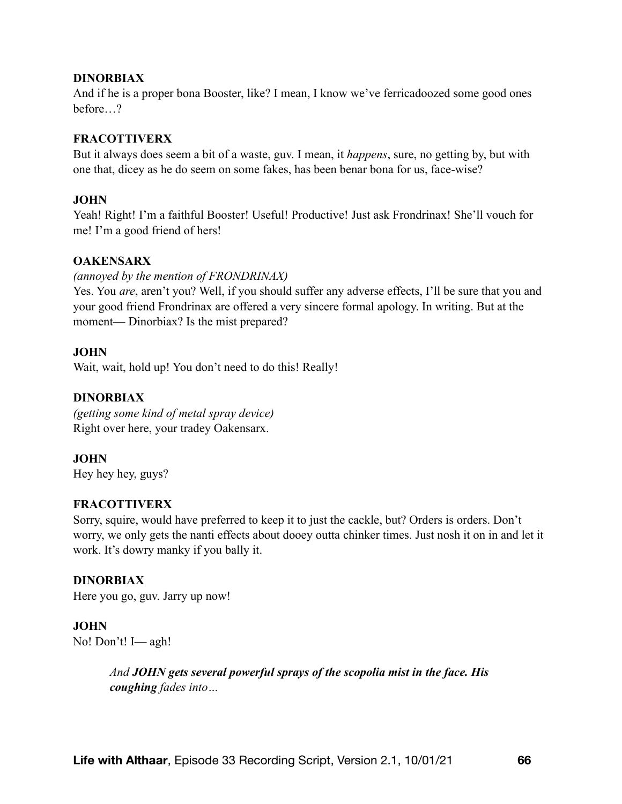## **DINORBIAX**

And if he is a proper bona Booster, like? I mean, I know we've ferricadoozed some good ones before…?

#### **FRACOTTIVERX**

But it always does seem a bit of a waste, guv. I mean, it *happens*, sure, no getting by, but with one that, dicey as he do seem on some fakes, has been benar bona for us, face-wise?

#### **JOHN**

Yeah! Right! I'm a faithful Booster! Useful! Productive! Just ask Frondrinax! She'll vouch for me! I'm a good friend of hers!

#### **OAKENSARX**

#### *(annoyed by the mention of FRONDRINAX)*

Yes. You *are*, aren't you? Well, if you should suffer any adverse effects, I'll be sure that you and your good friend Frondrinax are offered a very sincere formal apology. In writing. But at the moment— Dinorbiax? Is the mist prepared?

#### **JOHN**

Wait, wait, hold up! You don't need to do this! Really!

#### **DINORBIAX**

*(getting some kind of metal spray device)*  Right over here, your tradey Oakensarx.

## **JOHN**

Hey hey hey, guys?

#### **FRACOTTIVERX**

Sorry, squire, would have preferred to keep it to just the cackle, but? Orders is orders. Don't worry, we only gets the nanti effects about dooey outta chinker times. Just nosh it on in and let it work. It's dowry manky if you bally it.

## **DINORBIAX**

Here you go, guv. Jarry up now!

# **JOHN**

No! Don't! I— agh!

*And JOHN gets several powerful sprays of the scopolia mist in the face. His coughing fades into…*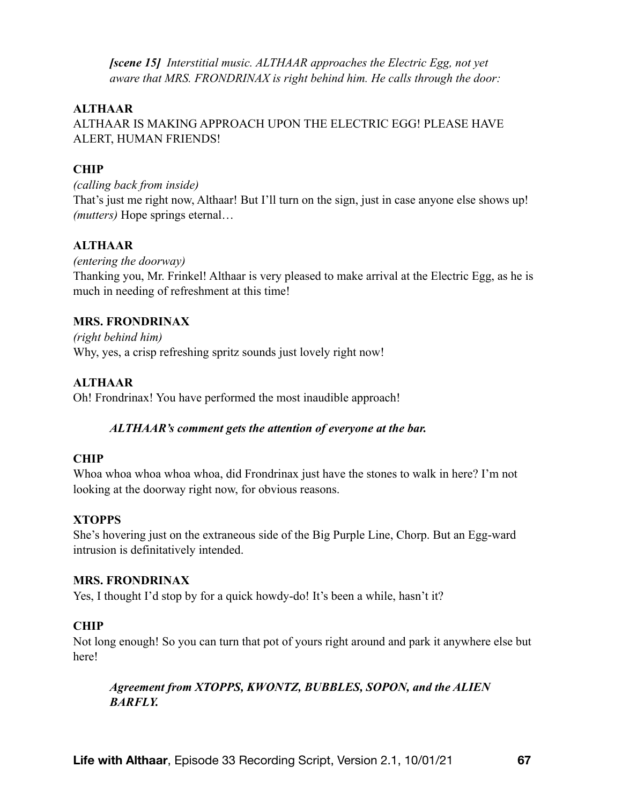*[scene 15] Interstitial music. ALTHAAR approaches the Electric Egg, not yet aware that MRS. FRONDRINAX is right behind him. He calls through the door:* 

## **ALTHAAR**

ALTHAAR IS MAKING APPROACH UPON THE ELECTRIC EGG! PLEASE HAVE ALERT, HUMAN FRIENDS!

## **CHIP**

*(calling back from inside)*  That's just me right now, Althaar! But I'll turn on the sign, just in case anyone else shows up! *(mutters)* Hope springs eternal…

## **ALTHAAR**

*(entering the doorway)*  Thanking you, Mr. Frinkel! Althaar is very pleased to make arrival at the Electric Egg, as he is much in needing of refreshment at this time!

## **MRS. FRONDRINAX**

*(right behind him)*  Why, yes, a crisp refreshing spritz sounds just lovely right now!

## **ALTHAAR**

Oh! Frondrinax! You have performed the most inaudible approach!

## *ALTHAAR's comment gets the attention of everyone at the bar.*

## **CHIP**

Whoa whoa whoa whoa whoa, did Frondrinax just have the stones to walk in here? I'm not looking at the doorway right now, for obvious reasons.

## **XTOPPS**

She's hovering just on the extraneous side of the Big Purple Line, Chorp. But an Egg-ward intrusion is definitatively intended.

## **MRS. FRONDRINAX**

Yes, I thought I'd stop by for a quick howdy-do! It's been a while, hasn't it?

## **CHIP**

Not long enough! So you can turn that pot of yours right around and park it anywhere else but here!

*Agreement from XTOPPS, KWONTZ, BUBBLES, SOPON, and the ALIEN BARFLY.*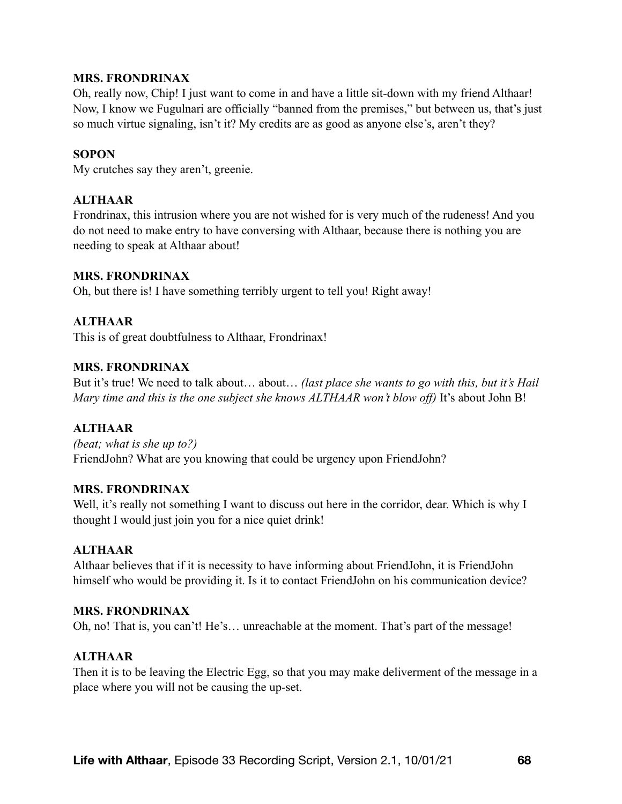Oh, really now, Chip! I just want to come in and have a little sit-down with my friend Althaar! Now, I know we Fugulnari are officially "banned from the premises," but between us, that's just so much virtue signaling, isn't it? My credits are as good as anyone else's, aren't they?

#### **SOPON**

My crutches say they aren't, greenie.

## **ALTHAAR**

Frondrinax, this intrusion where you are not wished for is very much of the rudeness! And you do not need to make entry to have conversing with Althaar, because there is nothing you are needing to speak at Althaar about!

#### **MRS. FRONDRINAX**

Oh, but there is! I have something terribly urgent to tell you! Right away!

#### **ALTHAAR**

This is of great doubtfulness to Althaar, Frondrinax!

#### **MRS. FRONDRINAX**

But it's true! We need to talk about… about… *(last place she wants to go with this, but it's Hail Mary time and this is the one subject she knows ALTHAAR won't blow off)* It's about John B!

#### **ALTHAAR**

*(beat; what is she up to?)*  FriendJohn? What are you knowing that could be urgency upon FriendJohn?

#### **MRS. FRONDRINAX**

Well, it's really not something I want to discuss out here in the corridor, dear. Which is why I thought I would just join you for a nice quiet drink!

#### **ALTHAAR**

Althaar believes that if it is necessity to have informing about FriendJohn, it is FriendJohn himself who would be providing it. Is it to contact FriendJohn on his communication device?

#### **MRS. FRONDRINAX**

Oh, no! That is, you can't! He's… unreachable at the moment. That's part of the message!

#### **ALTHAAR**

Then it is to be leaving the Electric Egg, so that you may make deliverment of the message in a place where you will not be causing the up-set.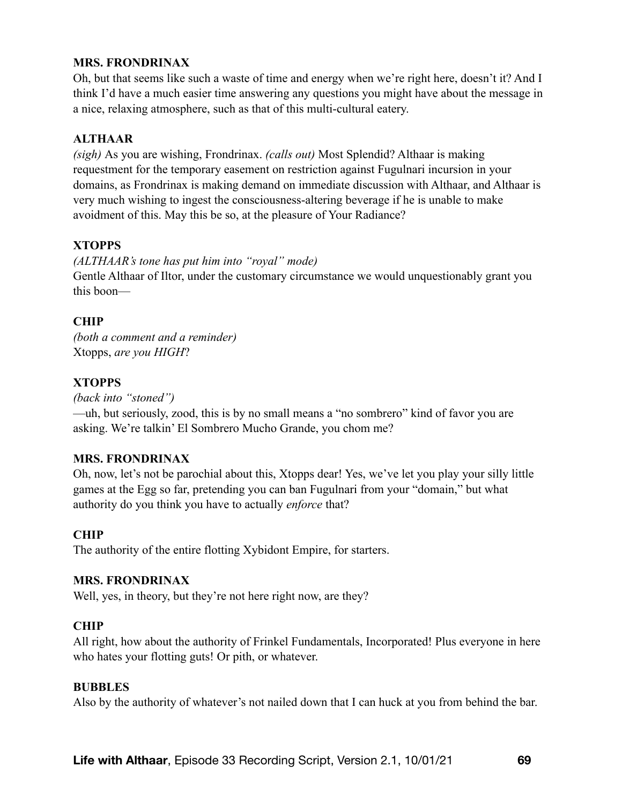Oh, but that seems like such a waste of time and energy when we're right here, doesn't it? And I think I'd have a much easier time answering any questions you might have about the message in a nice, relaxing atmosphere, such as that of this multi-cultural eatery.

## **ALTHAAR**

*(sigh)* As you are wishing, Frondrinax. *(calls out)* Most Splendid? Althaar is making requestment for the temporary easement on restriction against Fugulnari incursion in your domains, as Frondrinax is making demand on immediate discussion with Althaar, and Althaar is very much wishing to ingest the consciousness-altering beverage if he is unable to make avoidment of this. May this be so, at the pleasure of Your Radiance?

## **XTOPPS**

*(ALTHAAR's tone has put him into "royal" mode)*  Gentle Althaar of Iltor, under the customary circumstance we would unquestionably grant you this boon—

## **CHIP**

*(both a comment and a reminder)*  Xtopps, *are you HIGH*?

## **XTOPPS**

*(back into "stoned")* 

—uh, but seriously, zood, this is by no small means a "no sombrero" kind of favor you are asking. We're talkin' El Sombrero Mucho Grande, you chom me?

## **MRS. FRONDRINAX**

Oh, now, let's not be parochial about this, Xtopps dear! Yes, we've let you play your silly little games at the Egg so far, pretending you can ban Fugulnari from your "domain," but what authority do you think you have to actually *enforce* that?

## **CHIP**

The authority of the entire flotting Xybidont Empire, for starters.

## **MRS. FRONDRINAX**

Well, yes, in theory, but they're not here right now, are they?

## **CHIP**

All right, how about the authority of Frinkel Fundamentals, Incorporated! Plus everyone in here who hates your flotting guts! Or pith, or whatever.

## **BUBBLES**

Also by the authority of whatever's not nailed down that I can huck at you from behind the bar.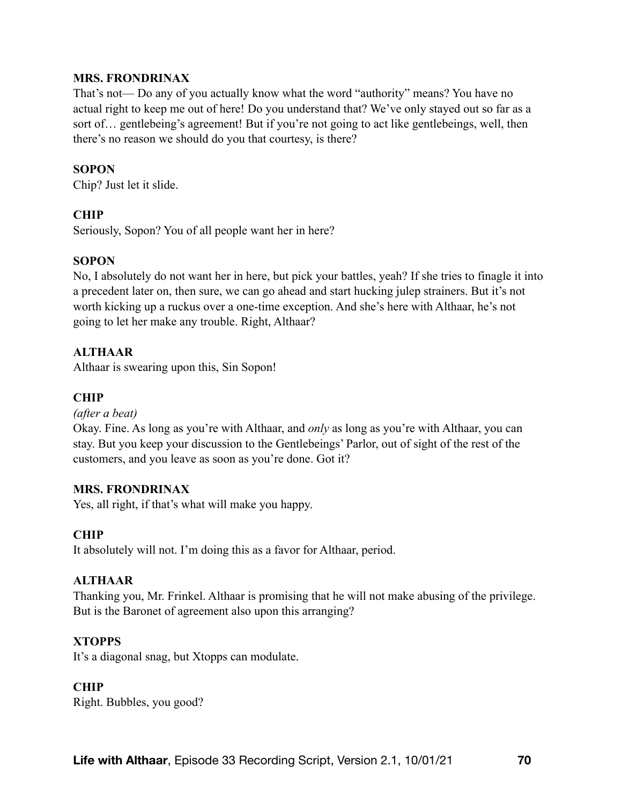That's not— Do any of you actually know what the word "authority" means? You have no actual right to keep me out of here! Do you understand that? We've only stayed out so far as a sort of… gentlebeing's agreement! But if you're not going to act like gentlebeings, well, then there's no reason we should do you that courtesy, is there?

#### **SOPON**

Chip? Just let it slide.

#### **CHIP**

Seriously, Sopon? You of all people want her in here?

#### **SOPON**

No, I absolutely do not want her in here, but pick your battles, yeah? If she tries to finagle it into a precedent later on, then sure, we can go ahead and start hucking julep strainers. But it's not worth kicking up a ruckus over a one-time exception. And she's here with Althaar, he's not going to let her make any trouble. Right, Althaar?

## **ALTHAAR**

Althaar is swearing upon this, Sin Sopon!

## **CHIP**

*(after a beat)* 

Okay. Fine. As long as you're with Althaar, and *only* as long as you're with Althaar, you can stay. But you keep your discussion to the Gentlebeings' Parlor, out of sight of the rest of the customers, and you leave as soon as you're done. Got it?

#### **MRS. FRONDRINAX**

Yes, all right, if that's what will make you happy.

## **CHIP**

It absolutely will not. I'm doing this as a favor for Althaar, period.

#### **ALTHAAR**

Thanking you, Mr. Frinkel. Althaar is promising that he will not make abusing of the privilege. But is the Baronet of agreement also upon this arranging?

#### **XTOPPS**

It's a diagonal snag, but Xtopps can modulate.

## **CHIP**

Right. Bubbles, you good?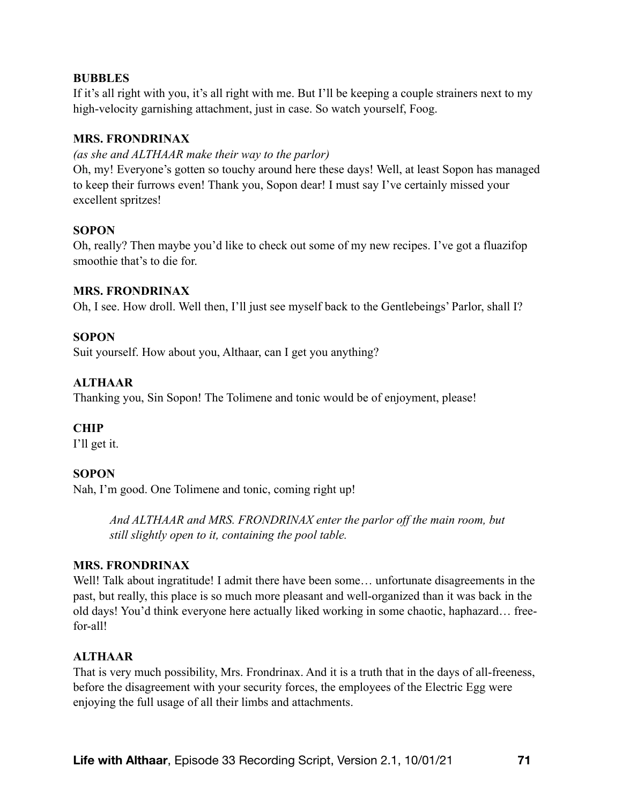## **BUBBLES**

If it's all right with you, it's all right with me. But I'll be keeping a couple strainers next to my high-velocity garnishing attachment, just in case. So watch yourself, Foog.

## **MRS. FRONDRINAX**

*(as she and ALTHAAR make their way to the parlor)* 

Oh, my! Everyone's gotten so touchy around here these days! Well, at least Sopon has managed to keep their furrows even! Thank you, Sopon dear! I must say I've certainly missed your excellent spritzes!

## **SOPON**

Oh, really? Then maybe you'd like to check out some of my new recipes. I've got a fluazifop smoothie that's to die for.

## **MRS. FRONDRINAX**

Oh, I see. How droll. Well then, I'll just see myself back to the Gentlebeings' Parlor, shall I?

## **SOPON**

Suit yourself. How about you, Althaar, can I get you anything?

## **ALTHAAR**

Thanking you, Sin Sopon! The Tolimene and tonic would be of enjoyment, please!

## **CHIP**

I'll get it.

## **SOPON**

Nah, I'm good. One Tolimene and tonic, coming right up!

*And ALTHAAR and MRS. FRONDRINAX enter the parlor off the main room, but still slightly open to it, containing the pool table.* 

## **MRS. FRONDRINAX**

Well! Talk about ingratitude! I admit there have been some... unfortunate disagreements in the past, but really, this place is so much more pleasant and well-organized than it was back in the old days! You'd think everyone here actually liked working in some chaotic, haphazard… freefor-all!

## **ALTHAAR**

That is very much possibility, Mrs. Frondrinax. And it is a truth that in the days of all-freeness, before the disagreement with your security forces, the employees of the Electric Egg were enjoying the full usage of all their limbs and attachments.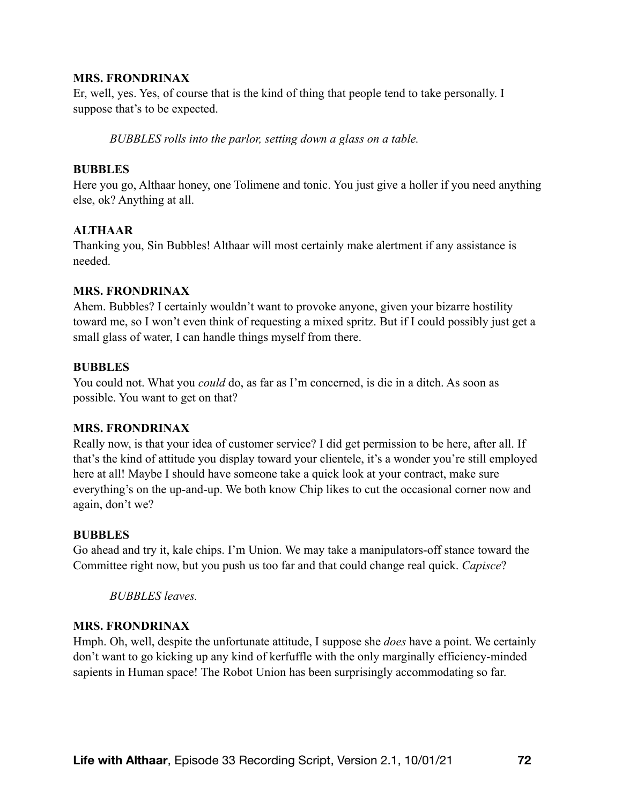Er, well, yes. Yes, of course that is the kind of thing that people tend to take personally. I suppose that's to be expected.

*BUBBLES rolls into the parlor, setting down a glass on a table.* 

#### **BUBBLES**

Here you go, Althaar honey, one Tolimene and tonic. You just give a holler if you need anything else, ok? Anything at all.

## **ALTHAAR**

Thanking you, Sin Bubbles! Althaar will most certainly make alertment if any assistance is needed.

## **MRS. FRONDRINAX**

Ahem. Bubbles? I certainly wouldn't want to provoke anyone, given your bizarre hostility toward me, so I won't even think of requesting a mixed spritz. But if I could possibly just get a small glass of water, I can handle things myself from there.

#### **BUBBLES**

You could not. What you *could* do, as far as I'm concerned, is die in a ditch. As soon as possible. You want to get on that?

## **MRS. FRONDRINAX**

Really now, is that your idea of customer service? I did get permission to be here, after all. If that's the kind of attitude you display toward your clientele, it's a wonder you're still employed here at all! Maybe I should have someone take a quick look at your contract, make sure everything's on the up-and-up. We both know Chip likes to cut the occasional corner now and again, don't we?

## **BUBBLES**

Go ahead and try it, kale chips. I'm Union. We may take a manipulators-off stance toward the Committee right now, but you push us too far and that could change real quick. *Capisce*?

*BUBBLES leaves.* 

## **MRS. FRONDRINAX**

Hmph. Oh, well, despite the unfortunate attitude, I suppose she *does* have a point. We certainly don't want to go kicking up any kind of kerfuffle with the only marginally efficiency-minded sapients in Human space! The Robot Union has been surprisingly accommodating so far.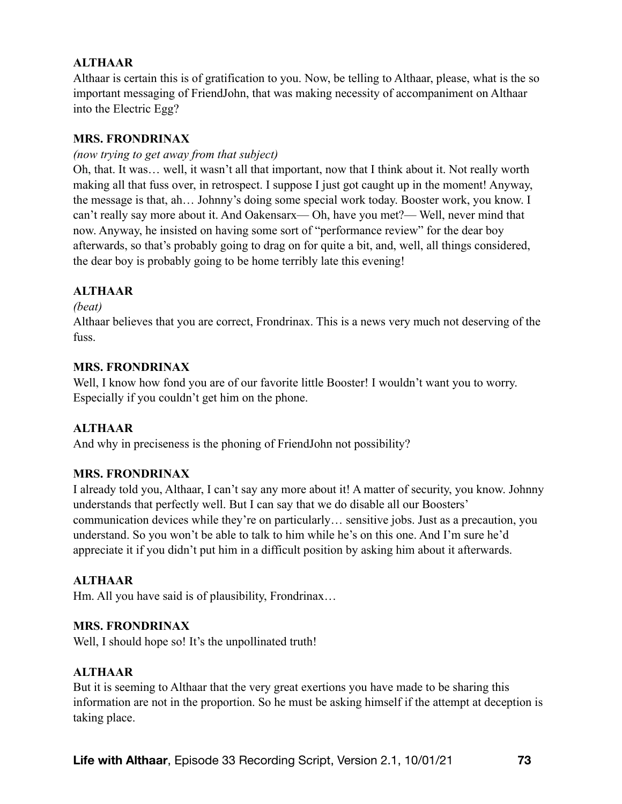# **ALTHAAR**

Althaar is certain this is of gratification to you. Now, be telling to Althaar, please, what is the so important messaging of FriendJohn, that was making necessity of accompaniment on Althaar into the Electric Egg?

# **MRS. FRONDRINAX**

# *(now trying to get away from that subject)*

Oh, that. It was… well, it wasn't all that important, now that I think about it. Not really worth making all that fuss over, in retrospect. I suppose I just got caught up in the moment! Anyway, the message is that, ah… Johnny's doing some special work today. Booster work, you know. I can't really say more about it. And Oakensarx— Oh, have you met?— Well, never mind that now. Anyway, he insisted on having some sort of "performance review" for the dear boy afterwards, so that's probably going to drag on for quite a bit, and, well, all things considered, the dear boy is probably going to be home terribly late this evening!

# **ALTHAAR**

*(beat)* 

Althaar believes that you are correct, Frondrinax. This is a news very much not deserving of the fuss.

# **MRS. FRONDRINAX**

Well, I know how fond you are of our favorite little Booster! I wouldn't want you to worry. Especially if you couldn't get him on the phone.

# **ALTHAAR**

And why in preciseness is the phoning of FriendJohn not possibility?

# **MRS. FRONDRINAX**

I already told you, Althaar, I can't say any more about it! A matter of security, you know. Johnny understands that perfectly well. But I can say that we do disable all our Boosters' communication devices while they're on particularly… sensitive jobs. Just as a precaution, you understand. So you won't be able to talk to him while he's on this one. And I'm sure he'd appreciate it if you didn't put him in a difficult position by asking him about it afterwards.

# **ALTHAAR**

Hm. All you have said is of plausibility, Frondrinax…

# **MRS. FRONDRINAX**

Well, I should hope so! It's the unpollinated truth!

# **ALTHAAR**

But it is seeming to Althaar that the very great exertions you have made to be sharing this information are not in the proportion. So he must be asking himself if the attempt at deception is taking place.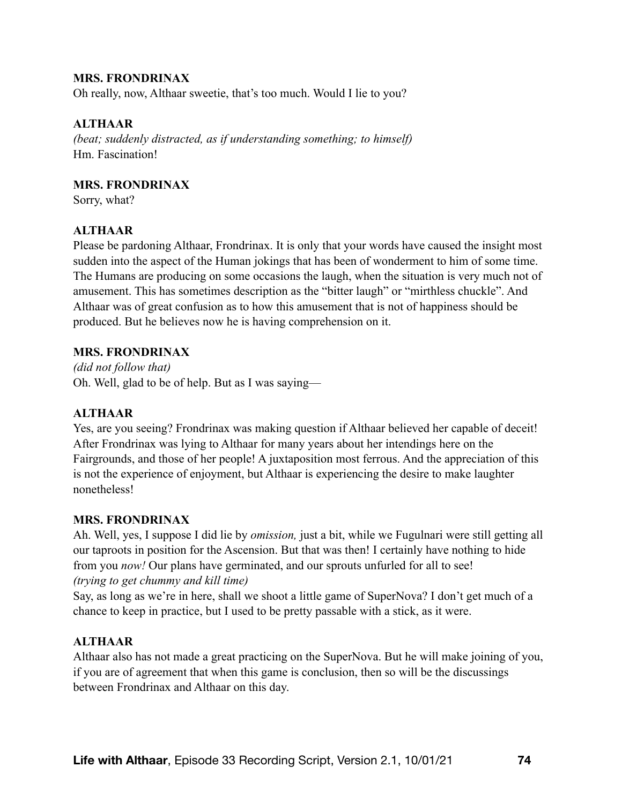Oh really, now, Althaar sweetie, that's too much. Would I lie to you?

#### **ALTHAAR**

*(beat; suddenly distracted, as if understanding something; to himself)*  Hm. Fascination!

#### **MRS. FRONDRINAX**

Sorry, what?

# **ALTHAAR**

Please be pardoning Althaar, Frondrinax. It is only that your words have caused the insight most sudden into the aspect of the Human jokings that has been of wonderment to him of some time. The Humans are producing on some occasions the laugh, when the situation is very much not of amusement. This has sometimes description as the "bitter laugh" or "mirthless chuckle". And Althaar was of great confusion as to how this amusement that is not of happiness should be produced. But he believes now he is having comprehension on it.

#### **MRS. FRONDRINAX**

*(did not follow that)*  Oh. Well, glad to be of help. But as I was saying—

# **ALTHAAR**

Yes, are you seeing? Frondrinax was making question if Althaar believed her capable of deceit! After Frondrinax was lying to Althaar for many years about her intendings here on the Fairgrounds, and those of her people! A juxtaposition most ferrous. And the appreciation of this is not the experience of enjoyment, but Althaar is experiencing the desire to make laughter nonetheless!

#### **MRS. FRONDRINAX**

Ah. Well, yes, I suppose I did lie by *omission,* just a bit, while we Fugulnari were still getting all our taproots in position for the Ascension. But that was then! I certainly have nothing to hide from you *now!* Our plans have germinated, and our sprouts unfurled for all to see! *(trying to get chummy and kill time)* 

Say, as long as we're in here, shall we shoot a little game of SuperNova? I don't get much of a chance to keep in practice, but I used to be pretty passable with a stick, as it were.

# **ALTHAAR**

Althaar also has not made a great practicing on the SuperNova. But he will make joining of you, if you are of agreement that when this game is conclusion, then so will be the discussings between Frondrinax and Althaar on this day.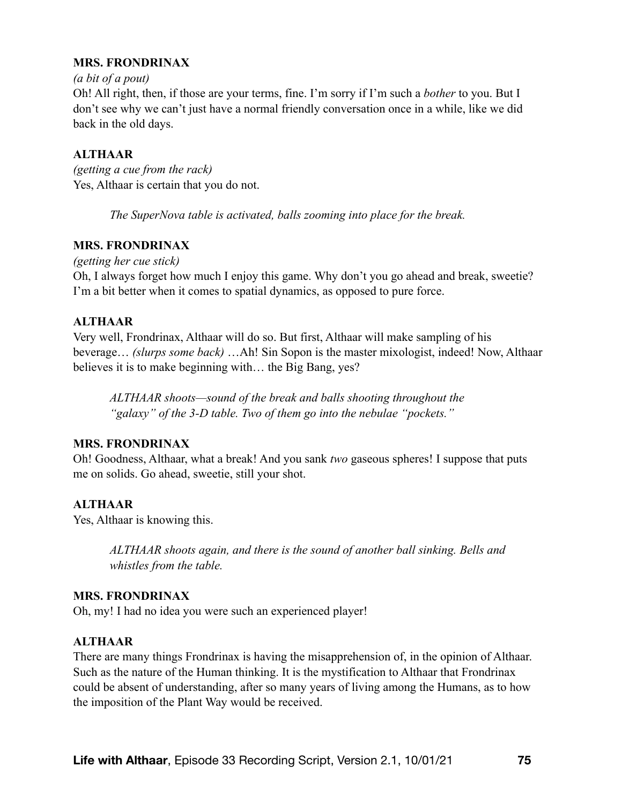#### *(a bit of a pout)*

Oh! All right, then, if those are your terms, fine. I'm sorry if I'm such a *bother* to you. But I don't see why we can't just have a normal friendly conversation once in a while, like we did back in the old days.

#### **ALTHAAR**

*(getting a cue from the rack)*  Yes, Althaar is certain that you do not.

*The SuperNova table is activated, balls zooming into place for the break.* 

# **MRS. FRONDRINAX**

*(getting her cue stick)* 

Oh, I always forget how much I enjoy this game. Why don't you go ahead and break, sweetie? I'm a bit better when it comes to spatial dynamics, as opposed to pure force.

# **ALTHAAR**

Very well, Frondrinax, Althaar will do so. But first, Althaar will make sampling of his beverage… *(slurps some back)* …Ah! Sin Sopon is the master mixologist, indeed! Now, Althaar believes it is to make beginning with… the Big Bang, yes?

*ALTHAAR shoots—sound of the break and balls shooting throughout the "galaxy" of the 3-D table. Two of them go into the nebulae "pockets."* 

# **MRS. FRONDRINAX**

Oh! Goodness, Althaar, what a break! And you sank *two* gaseous spheres! I suppose that puts me on solids. Go ahead, sweetie, still your shot.

# **ALTHAAR**

Yes, Althaar is knowing this.

*ALTHAAR shoots again, and there is the sound of another ball sinking. Bells and whistles from the table.* 

#### **MRS. FRONDRINAX**

Oh, my! I had no idea you were such an experienced player!

# **ALTHAAR**

There are many things Frondrinax is having the misapprehension of, in the opinion of Althaar. Such as the nature of the Human thinking. It is the mystification to Althaar that Frondrinax could be absent of understanding, after so many years of living among the Humans, as to how the imposition of the Plant Way would be received.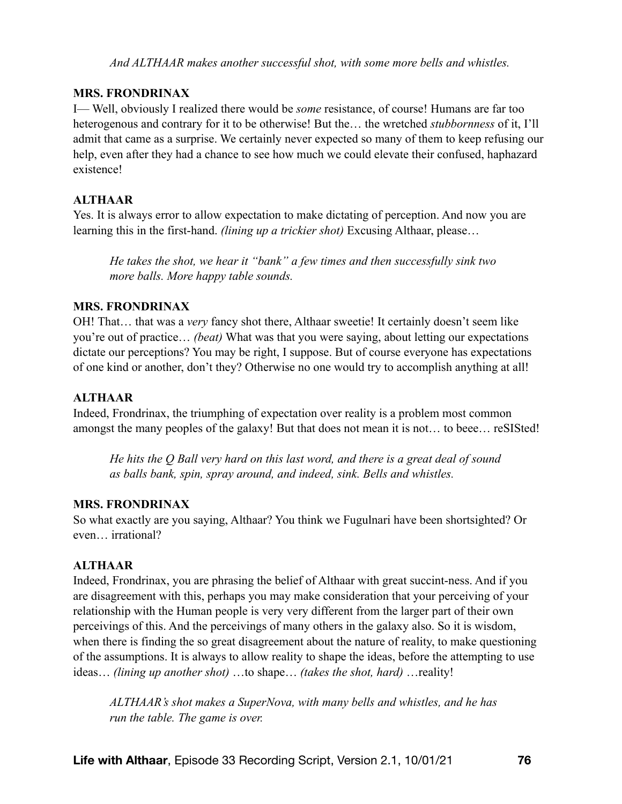*And ALTHAAR makes another successful shot, with some more bells and whistles.* 

# **MRS. FRONDRINAX**

I— Well, obviously I realized there would be *some* resistance, of course! Humans are far too heterogenous and contrary for it to be otherwise! But the… the wretched *stubbornness* of it, I'll admit that came as a surprise. We certainly never expected so many of them to keep refusing our help, even after they had a chance to see how much we could elevate their confused, haphazard existence!

# **ALTHAAR**

Yes. It is always error to allow expectation to make dictating of perception. And now you are learning this in the first-hand. *(lining up a trickier shot)* Excusing Althaar, please…

*He takes the shot, we hear it "bank" a few times and then successfully sink two more balls. More happy table sounds.* 

# **MRS. FRONDRINAX**

OH! That… that was a *very* fancy shot there, Althaar sweetie! It certainly doesn't seem like you're out of practice… *(beat)* What was that you were saying, about letting our expectations dictate our perceptions? You may be right, I suppose. But of course everyone has expectations of one kind or another, don't they? Otherwise no one would try to accomplish anything at all!

# **ALTHAAR**

Indeed, Frondrinax, the triumphing of expectation over reality is a problem most common amongst the many peoples of the galaxy! But that does not mean it is not… to beee… reSISted!

*He hits the Q Ball very hard on this last word, and there is a great deal of sound as balls bank, spin, spray around, and indeed, sink. Bells and whistles.* 

# **MRS. FRONDRINAX**

So what exactly are you saying, Althaar? You think we Fugulnari have been shortsighted? Or even… irrational?

# **ALTHAAR**

Indeed, Frondrinax, you are phrasing the belief of Althaar with great succint-ness. And if you are disagreement with this, perhaps you may make consideration that your perceiving of your relationship with the Human people is very very different from the larger part of their own perceivings of this. And the perceivings of many others in the galaxy also. So it is wisdom, when there is finding the so great disagreement about the nature of reality, to make questioning of the assumptions. It is always to allow reality to shape the ideas, before the attempting to use ideas… *(lining up another shot)* …to shape… *(takes the shot, hard)* …reality!

*ALTHAAR's shot makes a SuperNova, with many bells and whistles, and he has run the table. The game is over.*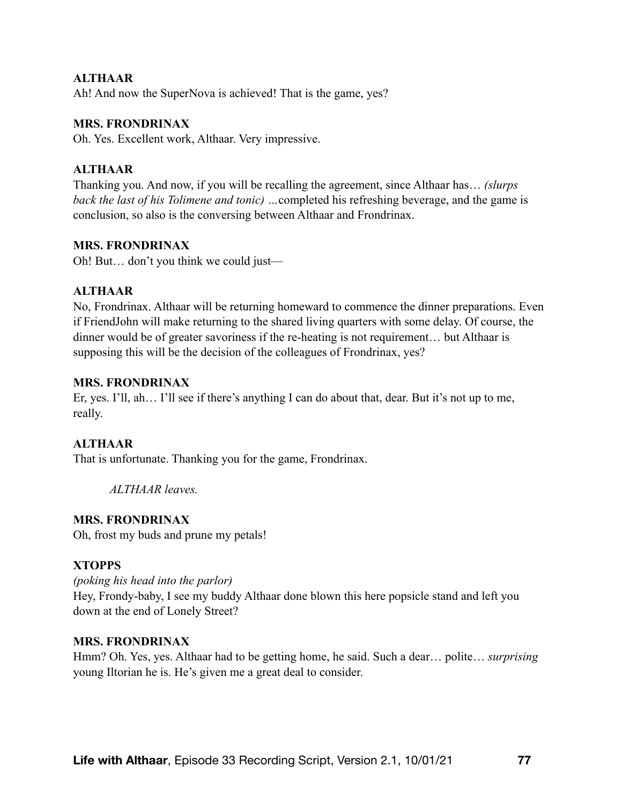# **ALTHAAR**

Ah! And now the SuperNova is achieved! That is the game, yes?

#### **MRS. FRONDRINAX**

Oh. Yes. Excellent work, Althaar. Very impressive.

#### **ALTHAAR**

Thanking you. And now, if you will be recalling the agreement, since Althaar has… *(slurps back the last of his Tolimene and tonic) …*completed his refreshing beverage, and the game is conclusion, so also is the conversing between Althaar and Frondrinax.

# **MRS. FRONDRINAX**

Oh! But… don't you think we could just—

#### **ALTHAAR**

No, Frondrinax. Althaar will be returning homeward to commence the dinner preparations. Even if FriendJohn will make returning to the shared living quarters with some delay. Of course, the dinner would be of greater savoriness if the re-heating is not requirement… but Althaar is supposing this will be the decision of the colleagues of Frondrinax, yes?

#### **MRS. FRONDRINAX**

Er, yes. I'll, ah… I'll see if there's anything I can do about that, dear. But it's not up to me, really.

# **ALTHAAR**

That is unfortunate. Thanking you for the game, Frondrinax.

*ALTHAAR leaves.* 

# **MRS. FRONDRINAX**

Oh, frost my buds and prune my petals!

# **XTOPPS**

*(poking his head into the parlor)* 

Hey, Frondy-baby, I see my buddy Althaar done blown this here popsicle stand and left you down at the end of Lonely Street?

# **MRS. FRONDRINAX**

Hmm? Oh. Yes, yes. Althaar had to be getting home, he said. Such a dear… polite… *surprising* young Iltorian he is. He's given me a great deal to consider.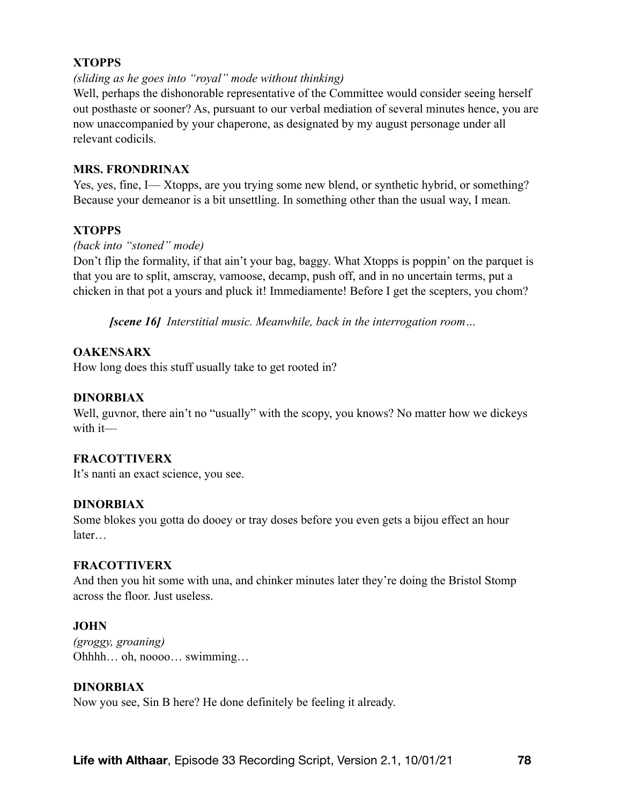# **XTOPPS**

*(sliding as he goes into "royal" mode without thinking)* 

Well, perhaps the dishonorable representative of the Committee would consider seeing herself out posthaste or sooner? As, pursuant to our verbal mediation of several minutes hence, you are now unaccompanied by your chaperone, as designated by my august personage under all relevant codicils.

# **MRS. FRONDRINAX**

Yes, yes, fine, I— Xtopps, are you trying some new blend, or synthetic hybrid, or something? Because your demeanor is a bit unsettling. In something other than the usual way, I mean.

# **XTOPPS**

#### *(back into "stoned" mode)*

Don't flip the formality, if that ain't your bag, baggy. What Xtopps is poppin' on the parquet is that you are to split, amscray, vamoose, decamp, push off, and in no uncertain terms, put a chicken in that pot a yours and pluck it! Immediamente! Before I get the scepters, you chom?

*[scene 16] Interstitial music. Meanwhile, back in the interrogation room…* 

# **OAKENSARX**

How long does this stuff usually take to get rooted in?

# **DINORBIAX**

Well, guvnor, there ain't no "usually" with the scopy, you knows? No matter how we dickeys with it—

# **FRACOTTIVERX**

It's nanti an exact science, you see.

# **DINORBIAX**

Some blokes you gotta do dooey or tray doses before you even gets a bijou effect an hour later…

# **FRACOTTIVERX**

And then you hit some with una, and chinker minutes later they're doing the Bristol Stomp across the floor. Just useless.

# **JOHN**

*(groggy, groaning)*  Ohhhh… oh, noooo… swimming…

# **DINORBIAX**

Now you see, Sin B here? He done definitely be feeling it already.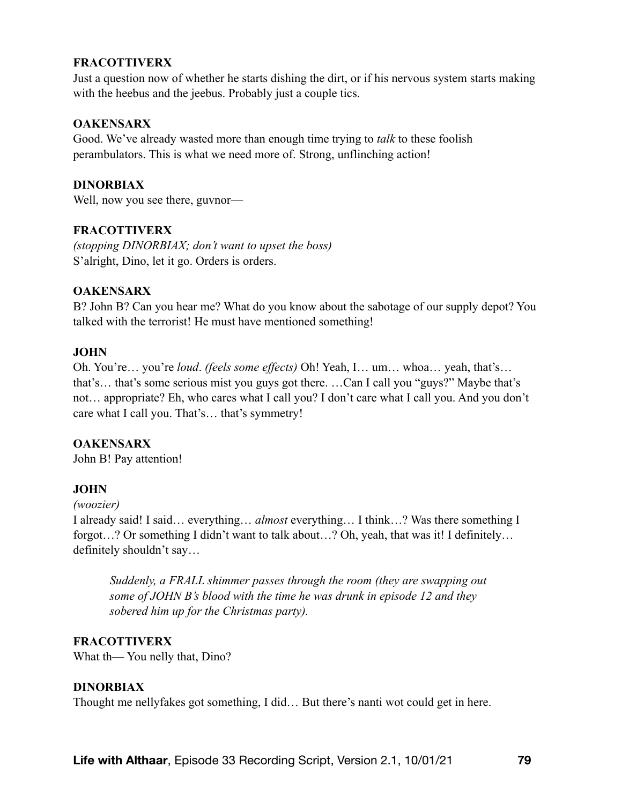#### **FRACOTTIVERX**

Just a question now of whether he starts dishing the dirt, or if his nervous system starts making with the heebus and the jeebus. Probably just a couple tics.

# **OAKENSARX**

Good. We've already wasted more than enough time trying to *talk* to these foolish perambulators. This is what we need more of. Strong, unflinching action!

# **DINORBIAX**

Well, now you see there, guvnor—

# **FRACOTTIVERX**

*(stopping DINORBIAX; don't want to upset the boss)*  S'alright, Dino, let it go. Orders is orders.

# **OAKENSARX**

B? John B? Can you hear me? What do you know about the sabotage of our supply depot? You talked with the terrorist! He must have mentioned something!

# **JOHN**

Oh. You're… you're *loud*. *(feels some effects)* Oh! Yeah, I… um… whoa… yeah, that's… that's… that's some serious mist you guys got there. …Can I call you "guys?" Maybe that's not… appropriate? Eh, who cares what I call you? I don't care what I call you. And you don't care what I call you. That's… that's symmetry!

# **OAKENSARX**

John B! Pay attention!

# **JOHN**

#### *(woozier)*

I already said! I said… everything… *almost* everything… I think…? Was there something I forgot…? Or something I didn't want to talk about…? Oh, yeah, that was it! I definitely… definitely shouldn't say…

*Suddenly, a FRALL shimmer passes through the room (they are swapping out some of JOHN B's blood with the time he was drunk in episode 12 and they sobered him up for the Christmas party).* 

# **FRACOTTIVERX**

What th— You nelly that, Dino?

# **DINORBIAX**

Thought me nellyfakes got something, I did… But there's nanti wot could get in here.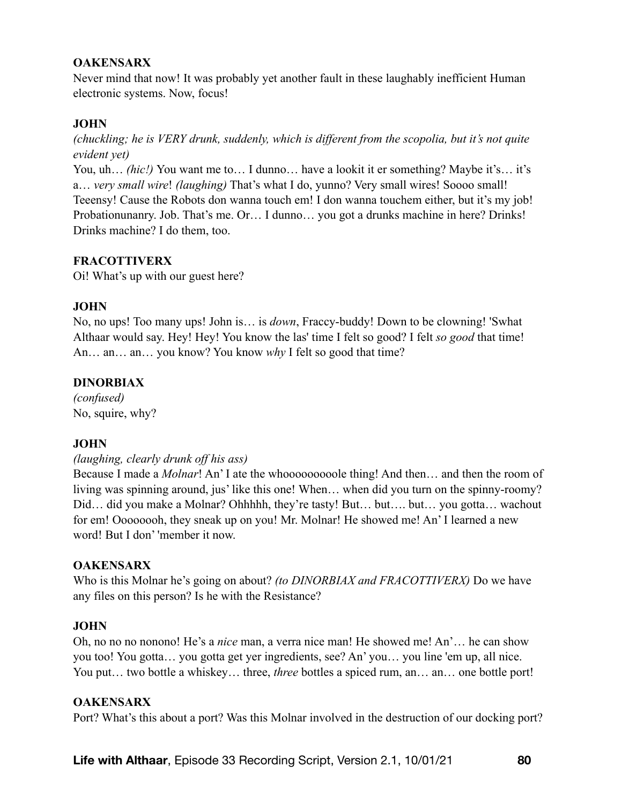# **OAKENSARX**

Never mind that now! It was probably yet another fault in these laughably inefficient Human electronic systems. Now, focus!

# **JOHN**

*(chuckling; he is VERY drunk, suddenly, which is different from the scopolia, but it's not quite evident yet)* 

You, uh... *(hic!)* You want me to... I dunno... have a lookit it er something? Maybe it's... it's a… *very small wire*! *(laughing)* That's what I do, yunno? Very small wires! Soooo small! Teeensy! Cause the Robots don wanna touch em! I don wanna touchem either, but it's my job! Probationunanry. Job. That's me. Or… I dunno… you got a drunks machine in here? Drinks! Drinks machine? I do them, too.

# **FRACOTTIVERX**

Oi! What's up with our guest here?

# **JOHN**

No, no ups! Too many ups! John is… is *down*, Fraccy-buddy! Down to be clowning! 'Swhat Althaar would say. Hey! Hey! You know the las' time I felt so good? I felt *so good* that time! An… an… an… you know? You know *why* I felt so good that time?

# **DINORBIAX**

*(confused)*  No, squire, why?

# **JOHN**

# *(laughing, clearly drunk off his ass)*

Because I made a *Molnar*! An' I ate the whooooooooole thing! And then… and then the room of living was spinning around, jus' like this one! When… when did you turn on the spinny-roomy? Did… did you make a Molnar? Ohhhhh, they're tasty! But… but…. but… you gotta… wachout for em! Oooooooh, they sneak up on you! Mr. Molnar! He showed me! An' I learned a new word! But I don' 'member it now.

# **OAKENSARX**

Who is this Molnar he's going on about? *(to DINORBIAX and FRACOTTIVERX)* Do we have any files on this person? Is he with the Resistance?

# **JOHN**

Oh, no no no nonono! He's a *nice* man, a verra nice man! He showed me! An'… he can show you too! You gotta… you gotta get yer ingredients, see? An' you… you line 'em up, all nice. You put... two bottle a whiskey... three, *three* bottles a spiced rum, an... an... one bottle port!

# **OAKENSARX**

Port? What's this about a port? Was this Molnar involved in the destruction of our docking port?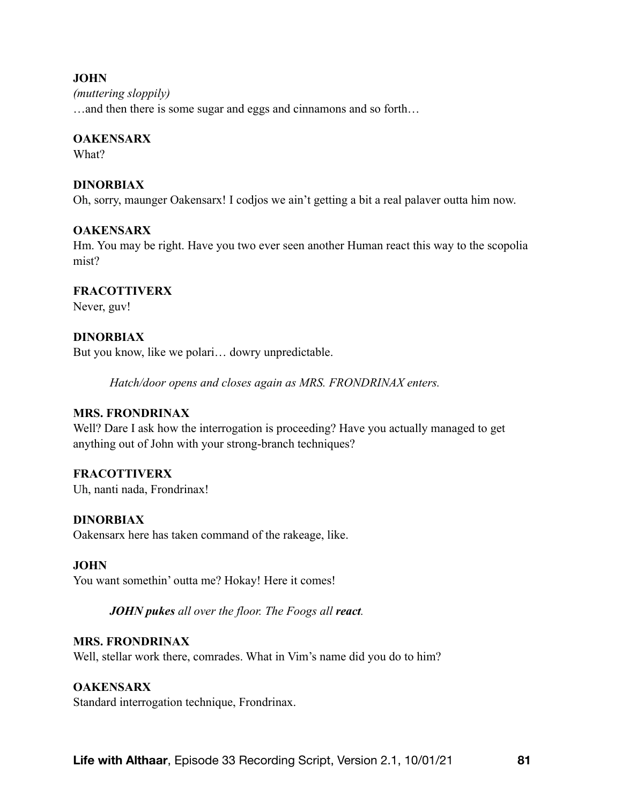# **JOHN**

*(muttering sloppily)*  …and then there is some sugar and eggs and cinnamons and so forth…

#### **OAKENSARX**

What?

# **DINORBIAX**

Oh, sorry, maunger Oakensarx! I codjos we ain't getting a bit a real palaver outta him now.

# **OAKENSARX**

Hm. You may be right. Have you two ever seen another Human react this way to the scopolia mist?

# **FRACOTTIVERX**

Never, guv!

# **DINORBIAX**

But you know, like we polari… dowry unpredictable.

*Hatch/door opens and closes again as MRS. FRONDRINAX enters.* 

# **MRS. FRONDRINAX**

Well? Dare I ask how the interrogation is proceeding? Have you actually managed to get anything out of John with your strong-branch techniques?

# **FRACOTTIVERX**

Uh, nanti nada, Frondrinax!

# **DINORBIAX**

Oakensarx here has taken command of the rakeage, like.

# **JOHN**

You want somethin' outta me? Hokay! Here it comes!

# *JOHN pukes all over the floor. The Foogs all react.*

# **MRS. FRONDRINAX**

Well, stellar work there, comrades. What in Vim's name did you do to him?

# **OAKENSARX**

Standard interrogation technique, Frondrinax.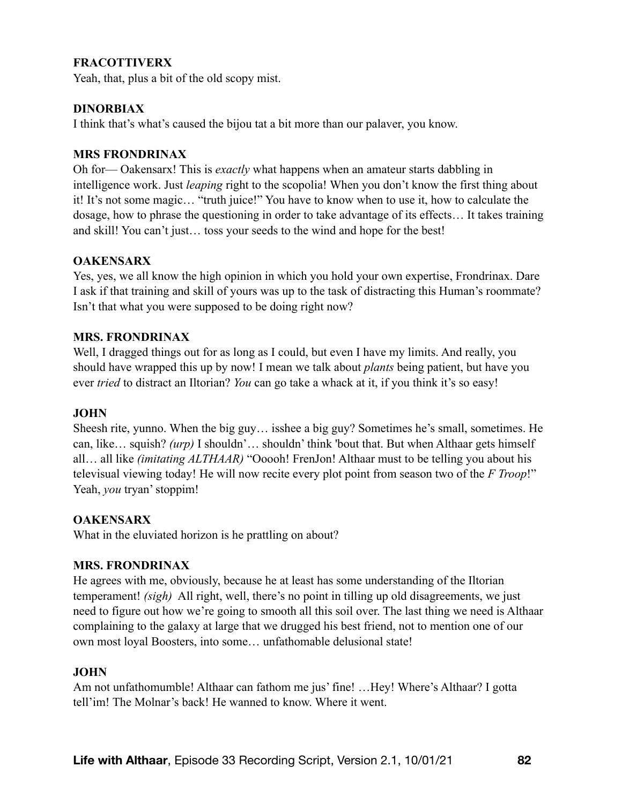# **FRACOTTIVERX**

Yeah, that, plus a bit of the old scopy mist.

# **DINORBIAX**

I think that's what's caused the bijou tat a bit more than our palaver, you know.

#### **MRS FRONDRINAX**

Oh for— Oakensarx! This is *exactly* what happens when an amateur starts dabbling in intelligence work. Just *leaping* right to the scopolia! When you don't know the first thing about it! It's not some magic… "truth juice!" You have to know when to use it, how to calculate the dosage, how to phrase the questioning in order to take advantage of its effects… It takes training and skill! You can't just… toss your seeds to the wind and hope for the best!

#### **OAKENSARX**

Yes, yes, we all know the high opinion in which you hold your own expertise, Frondrinax. Dare I ask if that training and skill of yours was up to the task of distracting this Human's roommate? Isn't that what you were supposed to be doing right now?

#### **MRS. FRONDRINAX**

Well, I dragged things out for as long as I could, but even I have my limits. And really, you should have wrapped this up by now! I mean we talk about *plants* being patient, but have you ever *tried* to distract an Iltorian? *You* can go take a whack at it, if you think it's so easy!

#### **JOHN**

Sheesh rite, yunno. When the big guy… isshee a big guy? Sometimes he's small, sometimes. He can, like… squish? *(urp)* I shouldn'… shouldn' think 'bout that. But when Althaar gets himself all… all like *(imitating ALTHAAR)* "Ooooh! FrenJon! Althaar must to be telling you about his televisual viewing today! He will now recite every plot point from season two of the *F Troop*!" Yeah, *you* tryan' stoppim!

# **OAKENSARX**

What in the eluviated horizon is he prattling on about?

# **MRS. FRONDRINAX**

He agrees with me, obviously, because he at least has some understanding of the Iltorian temperament! *(sigh)* All right, well, there's no point in tilling up old disagreements, we just need to figure out how we're going to smooth all this soil over. The last thing we need is Althaar complaining to the galaxy at large that we drugged his best friend, not to mention one of our own most loyal Boosters, into some… unfathomable delusional state!

#### **JOHN**

Am not unfathomumble! Althaar can fathom me jus' fine! …Hey! Where's Althaar? I gotta tell'im! The Molnar's back! He wanned to know. Where it went.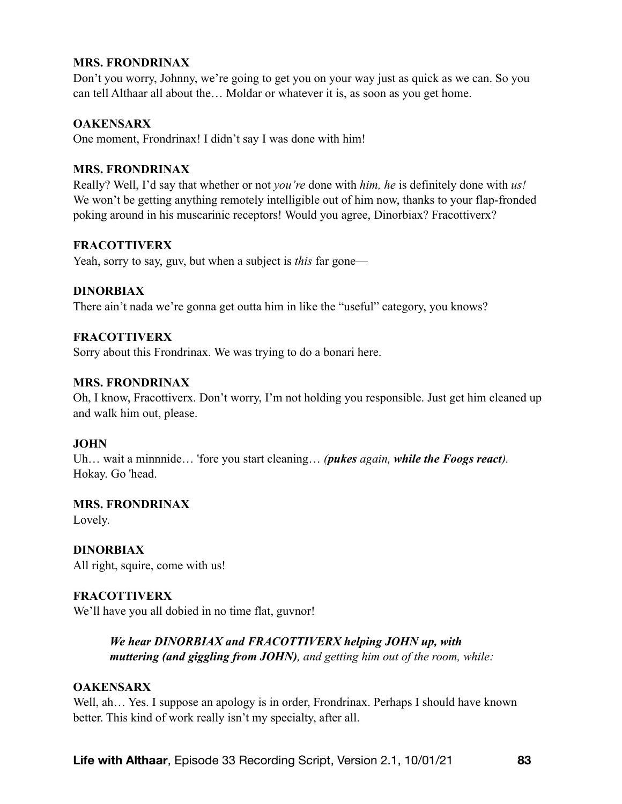Don't you worry, Johnny, we're going to get you on your way just as quick as we can. So you can tell Althaar all about the… Moldar or whatever it is, as soon as you get home.

# **OAKENSARX**

One moment, Frondrinax! I didn't say I was done with him!

#### **MRS. FRONDRINAX**

Really? Well, I'd say that whether or not *you're* done with *him, he* is definitely done with *us!* We won't be getting anything remotely intelligible out of him now, thanks to your flap-fronded poking around in his muscarinic receptors! Would you agree, Dinorbiax? Fracottiverx?

# **FRACOTTIVERX**

Yeah, sorry to say, guv, but when a subject is *this* far gone—

# **DINORBIAX**

There ain't nada we're gonna get outta him in like the "useful" category, you knows?

# **FRACOTTIVERX**

Sorry about this Frondrinax. We was trying to do a bonari here.

# **MRS. FRONDRINAX**

Oh, I know, Fracottiverx. Don't worry, I'm not holding you responsible. Just get him cleaned up and walk him out, please.

# **JOHN**

Uh… wait a minnnide… 'fore you start cleaning… *(pukes again, while the Foogs react).*  Hokay. Go 'head.

# **MRS. FRONDRINAX**

Lovely.

**DINORBIAX**  All right, squire, come with us!

# **FRACOTTIVERX**

We'll have you all dobied in no time flat, guvnor!

# *We hear DINORBIAX and FRACOTTIVERX helping JOHN up, with muttering (and giggling from JOHN), and getting him out of the room, while:*

# **OAKENSARX**

Well, ah... Yes. I suppose an apology is in order, Frondrinax. Perhaps I should have known better. This kind of work really isn't my specialty, after all.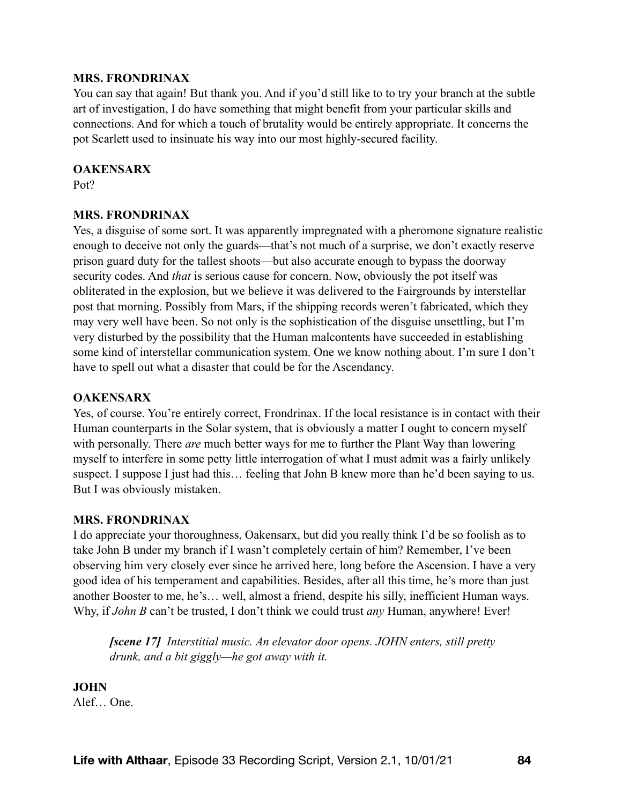You can say that again! But thank you. And if you'd still like to to try your branch at the subtle art of investigation, I do have something that might benefit from your particular skills and connections. And for which a touch of brutality would be entirely appropriate. It concerns the pot Scarlett used to insinuate his way into our most highly-secured facility.

#### **OAKENSARX**

Pot?

# **MRS. FRONDRINAX**

Yes, a disguise of some sort. It was apparently impregnated with a pheromone signature realistic enough to deceive not only the guards—that's not much of a surprise, we don't exactly reserve prison guard duty for the tallest shoots—but also accurate enough to bypass the doorway security codes. And *that* is serious cause for concern. Now, obviously the pot itself was obliterated in the explosion, but we believe it was delivered to the Fairgrounds by interstellar post that morning. Possibly from Mars, if the shipping records weren't fabricated, which they may very well have been. So not only is the sophistication of the disguise unsettling, but I'm very disturbed by the possibility that the Human malcontents have succeeded in establishing some kind of interstellar communication system. One we know nothing about. I'm sure I don't have to spell out what a disaster that could be for the Ascendancy.

# **OAKENSARX**

Yes, of course. You're entirely correct, Frondrinax. If the local resistance is in contact with their Human counterparts in the Solar system, that is obviously a matter I ought to concern myself with personally. There *are* much better ways for me to further the Plant Way than lowering myself to interfere in some petty little interrogation of what I must admit was a fairly unlikely suspect. I suppose I just had this... feeling that John B knew more than he'd been saying to us. But I was obviously mistaken.

# **MRS. FRONDRINAX**

I do appreciate your thoroughness, Oakensarx, but did you really think I'd be so foolish as to take John B under my branch if I wasn't completely certain of him? Remember, I've been observing him very closely ever since he arrived here, long before the Ascension. I have a very good idea of his temperament and capabilities. Besides, after all this time, he's more than just another Booster to me, he's… well, almost a friend, despite his silly, inefficient Human ways. Why, if *John B* can't be trusted, I don't think we could trust *any* Human, anywhere! Ever!

*[scene 17] Interstitial music. An elevator door opens. JOHN enters, still pretty drunk, and a bit giggly—he got away with it.* 

**JOHN**  Alef… One.

**Life with Althaar**, Episode 33 Recording Script, Version 2.1, 10/01/21 **84**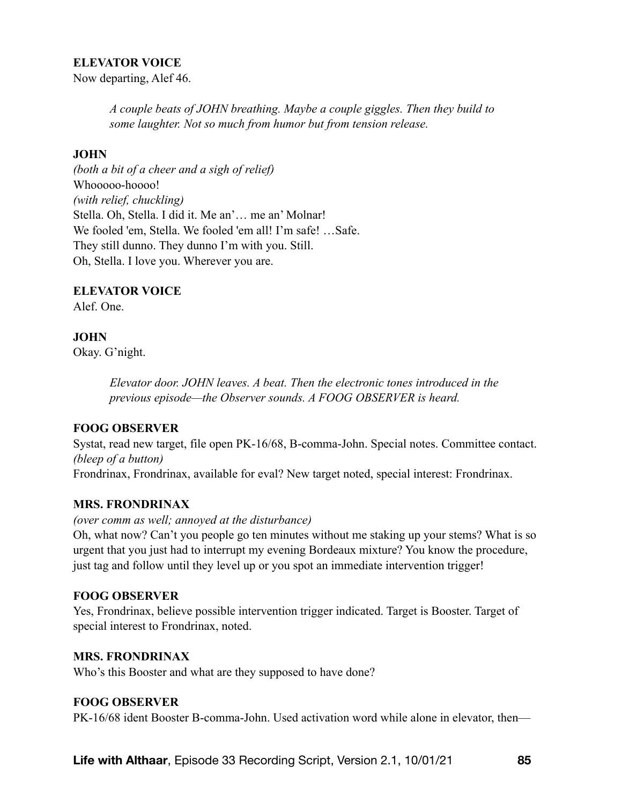# **ELEVATOR VOICE**

Now departing, Alef 46.

*A couple beats of JOHN breathing. Maybe a couple giggles. Then they build to some laughter. Not so much from humor but from tension release.* 

#### **JOHN**

*(both a bit of a cheer and a sigh of relief)*  Whooooo-hoooo! *(with relief, chuckling)*  Stella. Oh, Stella. I did it. Me an'… me an' Molnar! We fooled 'em, Stella. We fooled 'em all! I'm safe! …Safe. They still dunno. They dunno I'm with you. Still. Oh, Stella. I love you. Wherever you are.

# **ELEVATOR VOICE**

Alef. One.

# **JOHN**

Okay. G'night.

*Elevator door. JOHN leaves. A beat. Then the electronic tones introduced in the previous episode—the Observer sounds. A FOOG OBSERVER is heard.* 

# **FOOG OBSERVER**

Systat, read new target, file open PK-16/68, B-comma-John. Special notes. Committee contact. *(bleep of a button)*  Frondrinax, Frondrinax, available for eval? New target noted, special interest: Frondrinax.

#### **MRS. FRONDRINAX**

*(over comm as well; annoyed at the disturbance)* 

Oh, what now? Can't you people go ten minutes without me staking up your stems? What is so urgent that you just had to interrupt my evening Bordeaux mixture? You know the procedure, just tag and follow until they level up or you spot an immediate intervention trigger!

#### **FOOG OBSERVER**

Yes, Frondrinax, believe possible intervention trigger indicated. Target is Booster. Target of special interest to Frondrinax, noted.

#### **MRS. FRONDRINAX**

Who's this Booster and what are they supposed to have done?

#### **FOOG OBSERVER**

PK-16/68 ident Booster B-comma-John. Used activation word while alone in elevator, then—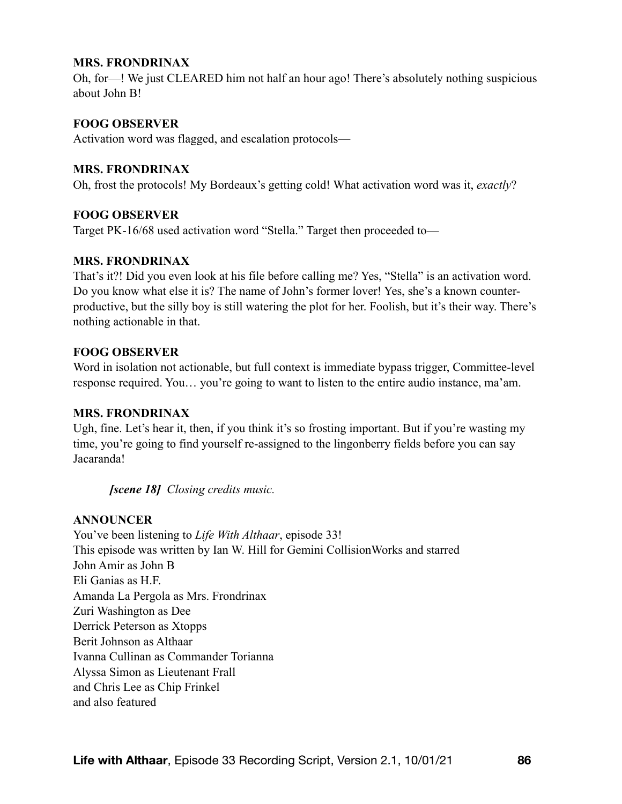Oh, for—! We just CLEARED him not half an hour ago! There's absolutely nothing suspicious about John B!

#### **FOOG OBSERVER**

Activation word was flagged, and escalation protocols—

#### **MRS. FRONDRINAX**

Oh, frost the protocols! My Bordeaux's getting cold! What activation word was it, *exactly*?

#### **FOOG OBSERVER**

Target PK-16/68 used activation word "Stella." Target then proceeded to—

#### **MRS. FRONDRINAX**

That's it?! Did you even look at his file before calling me? Yes, "Stella" is an activation word. Do you know what else it is? The name of John's former lover! Yes, she's a known counterproductive, but the silly boy is still watering the plot for her. Foolish, but it's their way. There's nothing actionable in that.

#### **FOOG OBSERVER**

Word in isolation not actionable, but full context is immediate bypass trigger, Committee-level response required. You… you're going to want to listen to the entire audio instance, ma'am.

# **MRS. FRONDRINAX**

Ugh, fine. Let's hear it, then, if you think it's so frosting important. But if you're wasting my time, you're going to find yourself re-assigned to the lingonberry fields before you can say Jacaranda!

*[scene 18] Closing credits music.* 

# **ANNOUNCER**

You've been listening to *Life With Althaar*, episode 33! This episode was written by Ian W. Hill for Gemini CollisionWorks and starred John Amir as John B Eli Ganias as H.F. Amanda La Pergola as Mrs. Frondrinax Zuri Washington as Dee Derrick Peterson as Xtopps Berit Johnson as Althaar Ivanna Cullinan as Commander Torianna Alyssa Simon as Lieutenant Frall and Chris Lee as Chip Frinkel and also featured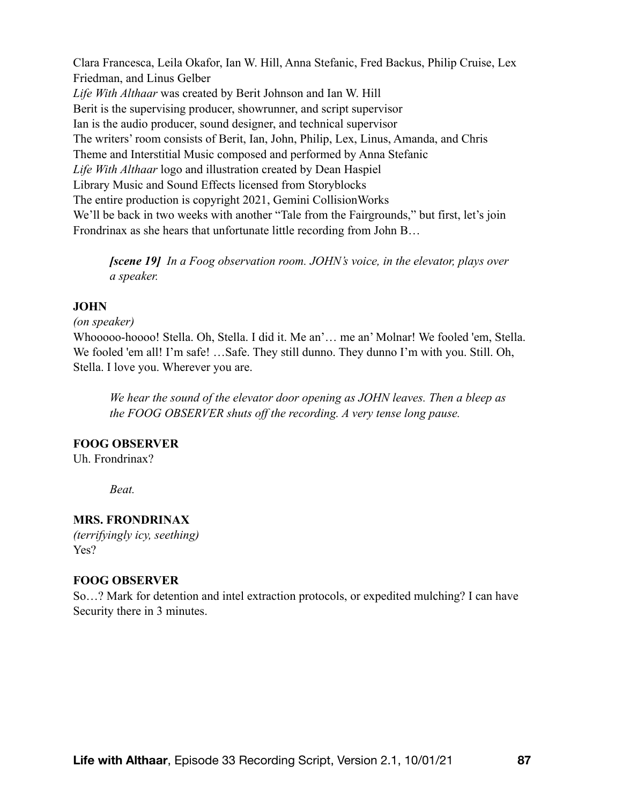Clara Francesca, Leila Okafor, Ian W. Hill, Anna Stefanic, Fred Backus, Philip Cruise, Lex Friedman, and Linus Gelber *Life With Althaar* was created by Berit Johnson and Ian W. Hill Berit is the supervising producer, showrunner, and script supervisor Ian is the audio producer, sound designer, and technical supervisor The writers' room consists of Berit, Ian, John, Philip, Lex, Linus, Amanda, and Chris Theme and Interstitial Music composed and performed by Anna Stefanic *Life With Althaar* logo and illustration created by Dean Haspiel Library Music and Sound Effects licensed from Storyblocks The entire production is copyright 2021, Gemini CollisionWorks We'll be back in two weeks with another "Tale from the Fairgrounds," but first, let's join Frondrinax as she hears that unfortunate little recording from John B…

*[scene 19] In a Foog observation room. JOHN's voice, in the elevator, plays over a speaker.* 

# **JOHN**

*(on speaker)* 

Whooooo-hoooo! Stella. Oh, Stella. I did it. Me an'… me an' Molnar! We fooled 'em, Stella. We fooled 'em all! I'm safe! ...Safe. They still dunno. They dunno I'm with you. Still. Oh, Stella. I love you. Wherever you are.

*We hear the sound of the elevator door opening as JOHN leaves. Then a bleep as the FOOG OBSERVER shuts off the recording. A very tense long pause.* 

# **FOOG OBSERVER**

Uh. Frondrinax?

*Beat.* 

#### **MRS. FRONDRINAX**

*(terrifyingly icy, seething)*  Yes?

#### **FOOG OBSERVER**

So…? Mark for detention and intel extraction protocols, or expedited mulching? I can have Security there in 3 minutes.